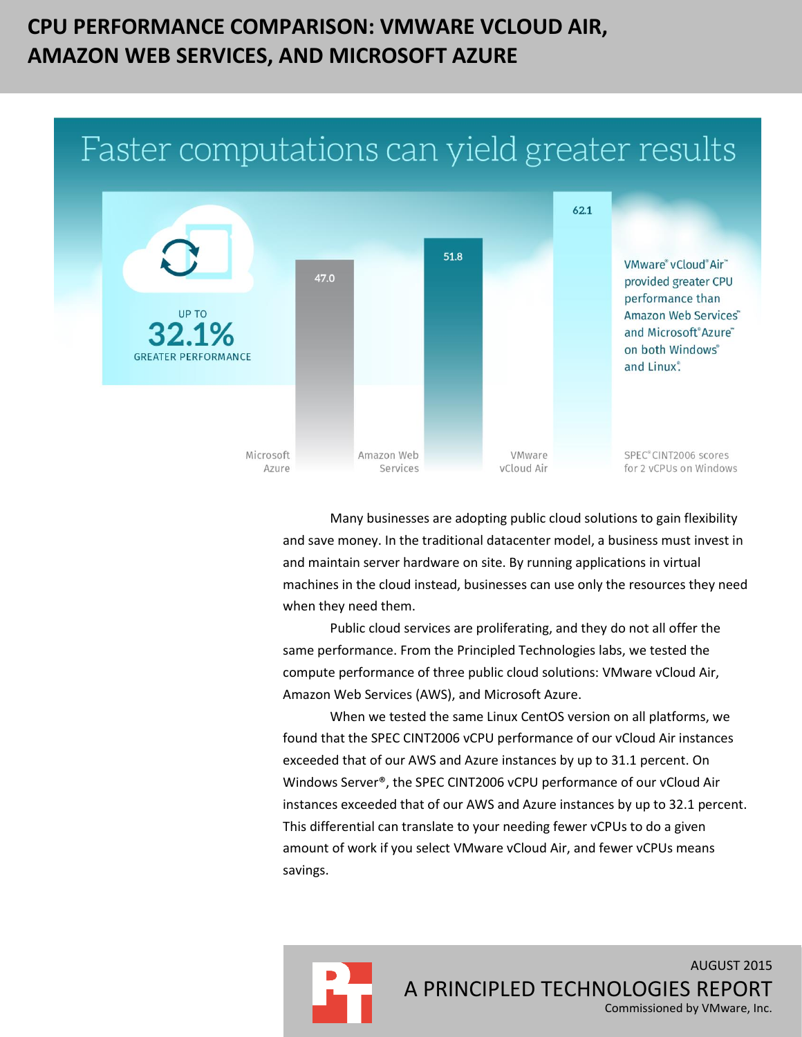# **CPU PERFORMANCE COMPARISON: VMWARE VCLOUD AIR, AMAZON WEB SERVICES, AND MICROSOFT AZURE**

# Faster computations can yield greater results



Many businesses are adopting public cloud solutions to gain flexibility and save money. In the traditional datacenter model, a business must invest in and maintain server hardware on site. By running applications in virtual machines in the cloud instead, businesses can use only the resources they need when they need them.

Public cloud services are proliferating, and they do not all offer the same performance. From the Principled Technologies labs, we tested the compute performance of three public cloud solutions: VMware vCloud Air, Amazon Web Services (AWS), and Microsoft Azure.

When we tested the same Linux CentOS version on all platforms, we found that the SPEC CINT2006 vCPU performance of our vCloud Air instances exceeded that of our AWS and Azure instances by up to 31.1 percent. On Windows Server®, the SPEC CINT2006 vCPU performance of our vCloud Air instances exceeded that of our AWS and Azure instances by up to 32.1 percent. This differential can translate to your needing fewer vCPUs to do a given amount of work if you select VMware vCloud Air, and fewer vCPUs means savings.

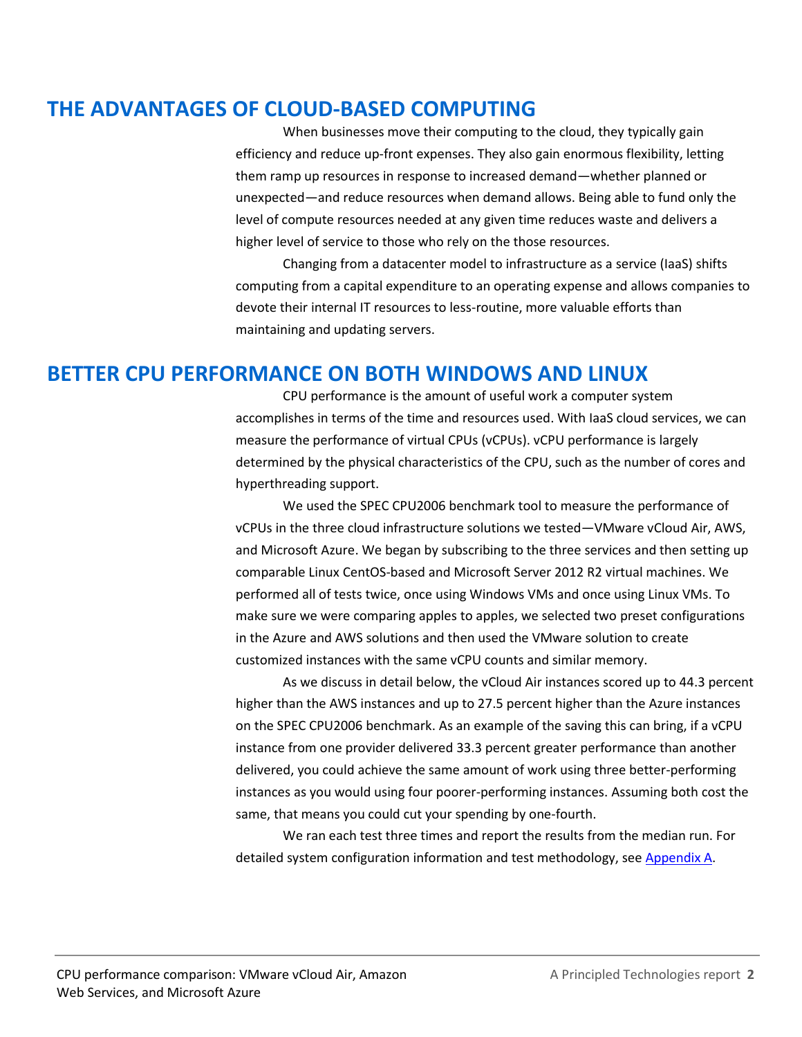### **THE ADVANTAGES OF CLOUD-BASED COMPUTING**

When businesses move their computing to the cloud, they typically gain efficiency and reduce up-front expenses. They also gain enormous flexibility, letting them ramp up resources in response to increased demand—whether planned or unexpected—and reduce resources when demand allows. Being able to fund only the level of compute resources needed at any given time reduces waste and delivers a higher level of service to those who rely on the those resources.

Changing from a datacenter model to infrastructure as a service (IaaS) shifts computing from a capital expenditure to an operating expense and allows companies to devote their internal IT resources to less-routine, more valuable efforts than maintaining and updating servers.

### **BETTER CPU PERFORMANCE ON BOTH WINDOWS AND LINUX**

CPU performance is the amount of useful work a computer system accomplishes in terms of the time and resources used. With IaaS cloud services, we can measure the performance of virtual CPUs (vCPUs). vCPU performance is largely determined by the physical characteristics of the CPU, such as the number of cores and hyperthreading support.

We used the SPEC CPU2006 benchmark tool to measure the performance of vCPUs in the three cloud infrastructure solutions we tested—VMware vCloud Air, AWS, and Microsoft Azure. We began by subscribing to the three services and then setting up comparable Linux CentOS-based and Microsoft Server 2012 R2 virtual machines. We performed all of tests twice, once using Windows VMs and once using Linux VMs. To make sure we were comparing apples to apples, we selected two preset configurations in the Azure and AWS solutions and then used the VMware solution to create customized instances with the same vCPU counts and similar memory.

As we discuss in detail below, the vCloud Air instances scored up to 44.3 percent higher than the AWS instances and up to 27.5 percent higher than the Azure instances on the SPEC CPU2006 benchmark. As an example of the saving this can bring, if a vCPU instance from one provider delivered 33.3 percent greater performance than another delivered, you could achieve the same amount of work using three better-performing instances as you would using four poorer-performing instances. Assuming both cost the same, that means you could cut your spending by one-fourth.

We ran each test three times and report the results from the median run. For detailed system configuration information and test methodology, se[e Appendix A.](#page-6-0)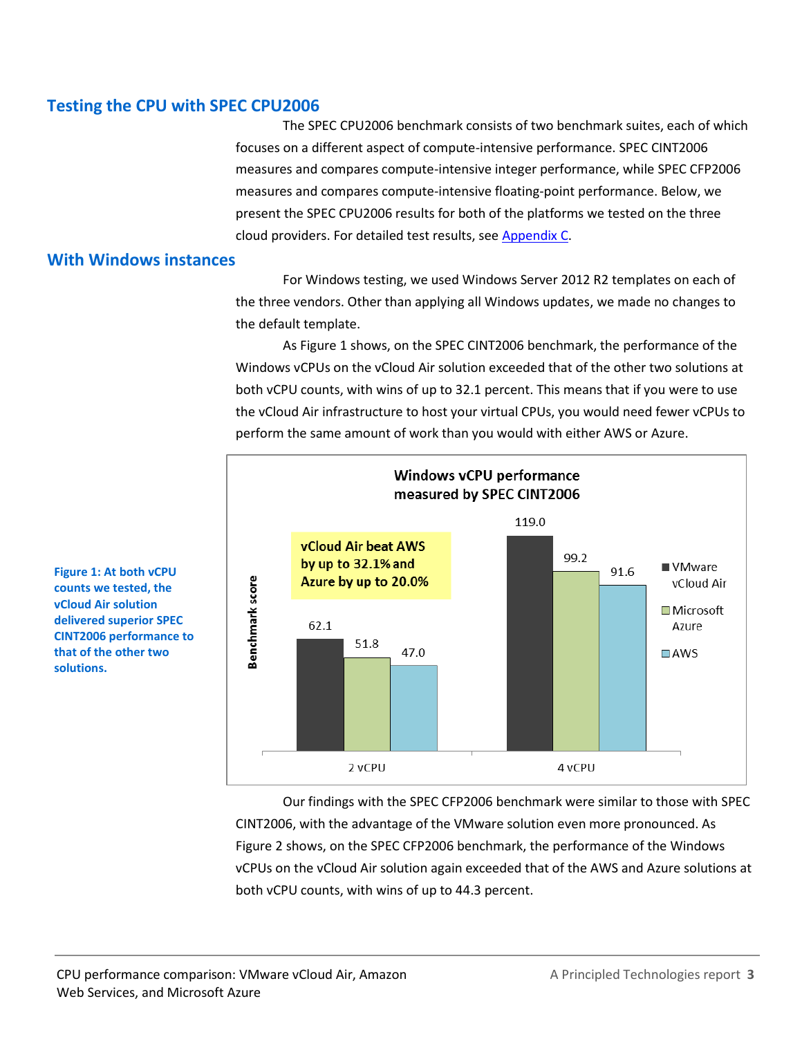#### **Testing the CPU with SPEC CPU2006**

The SPEC CPU2006 benchmark consists of two benchmark suites, each of which focuses on a different aspect of compute-intensive performance. SPEC CINT2006 measures and compares compute-intensive integer performance, while SPEC CFP2006 measures and compares compute-intensive floating-point performance. Below, we present the SPEC CPU2006 results for both of the platforms we tested on the three cloud providers. For detailed test results, see [Appendix C.](#page-21-0)

#### **With Windows instances**

For Windows testing, we used Windows Server 2012 R2 templates on each of the three vendors. Other than applying all Windows updates, we made no changes to the default template.

As Figure 1 shows, on the SPEC CINT2006 benchmark, the performance of the Windows vCPUs on the vCloud Air solution exceeded that of the other two solutions at both vCPU counts, with wins of up to 32.1 percent. This means that if you were to use the vCloud Air infrastructure to host your virtual CPUs, you would need fewer vCPUs to perform the same amount of work than you would with either AWS or Azure.



Our findings with the SPEC CFP2006 benchmark were similar to those with SPEC CINT2006, with the advantage of the VMware solution even more pronounced. As Figure 2 shows, on the SPEC CFP2006 benchmark, the performance of the Windows vCPUs on the vCloud Air solution again exceeded that of the AWS and Azure solutions at both vCPU counts, with wins of up to 44.3 percent.

**Figure 1: At both vCPU counts we tested, the vCloud Air solution delivered superior SPEC CINT2006 performance to that of the other two solutions.**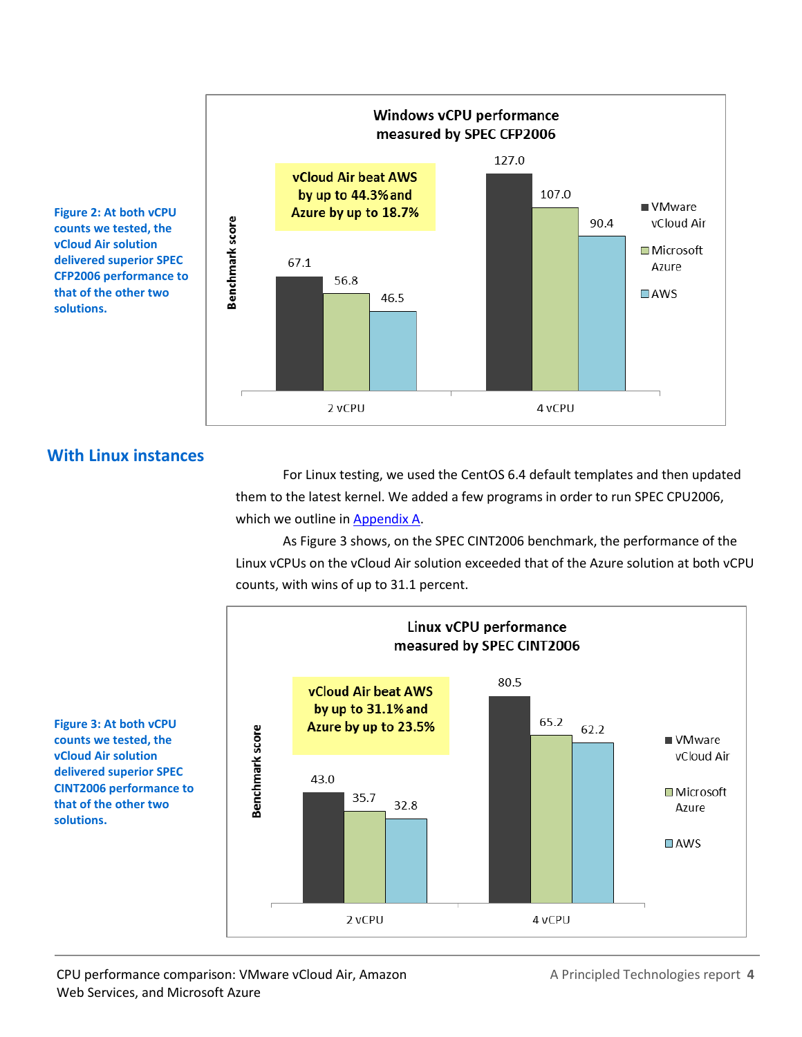

**delivered superior SPEC CFP2006 performance to that of the other two solutions.**

**With Linux instances**

For Linux testing, we used the CentOS 6.4 default templates and then updated them to the latest kernel. We added a few programs in order to run SPEC CPU2006, which we outline in [Appendix A.](#page-6-0)

As Figure 3 shows, on the SPEC CINT2006 benchmark, the performance of the Linux vCPUs on the vCloud Air solution exceeded that of the Azure solution at both vCPU counts, with wins of up to 31.1 percent.



**Figure 3: At both vCPU counts we tested, the vCloud Air solution delivered superior SPEC CINT2006 performance to that of the other two solutions.**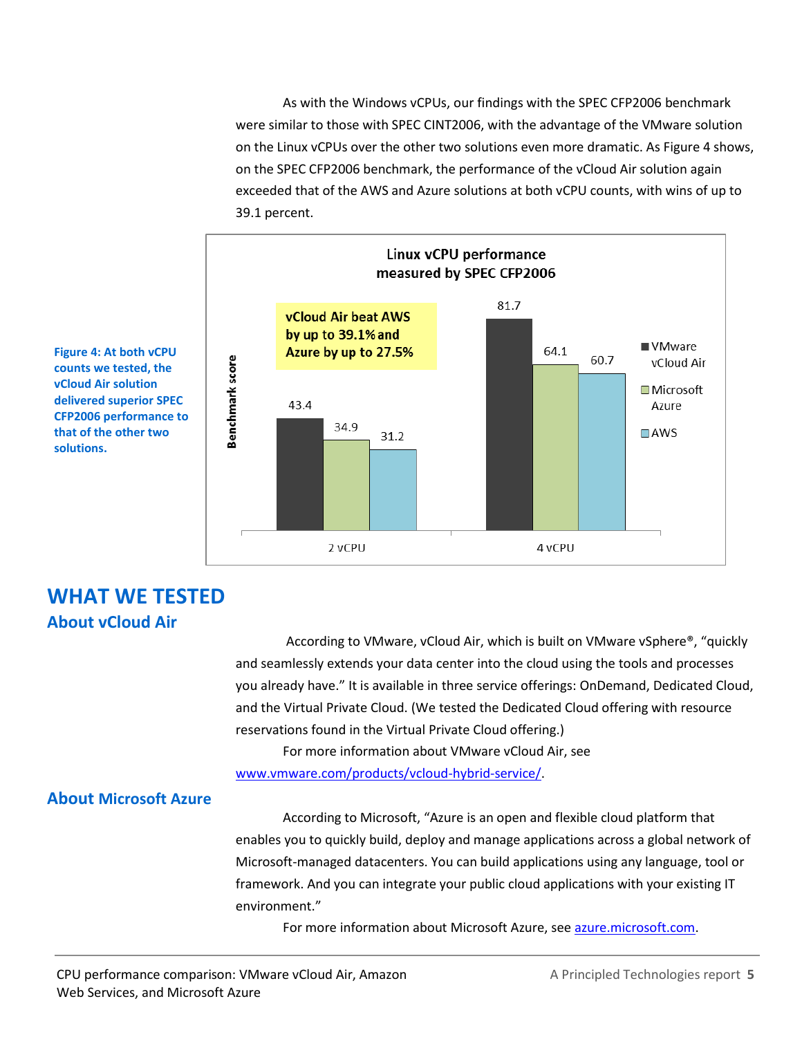As with the Windows vCPUs, our findings with the SPEC CFP2006 benchmark were similar to those with SPEC CINT2006, with the advantage of the VMware solution on the Linux vCPUs over the other two solutions even more dramatic. As Figure 4 shows, on the SPEC CFP2006 benchmark, the performance of the vCloud Air solution again exceeded that of the AWS and Azure solutions at both vCPU counts, with wins of up to 39.1 percent.



**counts we tested, the vCloud Air solution delivered superior SPEC CFP2006 performance to that of the other two solutions.**

# **WHAT WE TESTED About vCloud Air**

According to VMware, vCloud Air, which is built on VMware vSphere®, "quickly and seamlessly extends your data center into the cloud using the tools and processes you already have." It is available in three service offerings: OnDemand, Dedicated Cloud, and the Virtual Private Cloud. (We tested the Dedicated Cloud offering with resource reservations found in the Virtual Private Cloud offering.)

For more information about VMware vCloud Air, see

[www.vmware.com/products/vcloud-hybrid-service/.](http://www.vmware.com/products/vcloud-hybrid-service/)

### **About Microsoft Azure**

According to Microsoft, "Azure is an open and flexible cloud platform that enables you to quickly build, deploy and manage applications across a global network of Microsoft-managed datacenters. You can build applications using any language, tool or framework. And you can integrate your public cloud applications with your existing IT environment."

For more information about Microsoft Azure, see [azure.microsoft.com.](http://azure.microsoft.com/)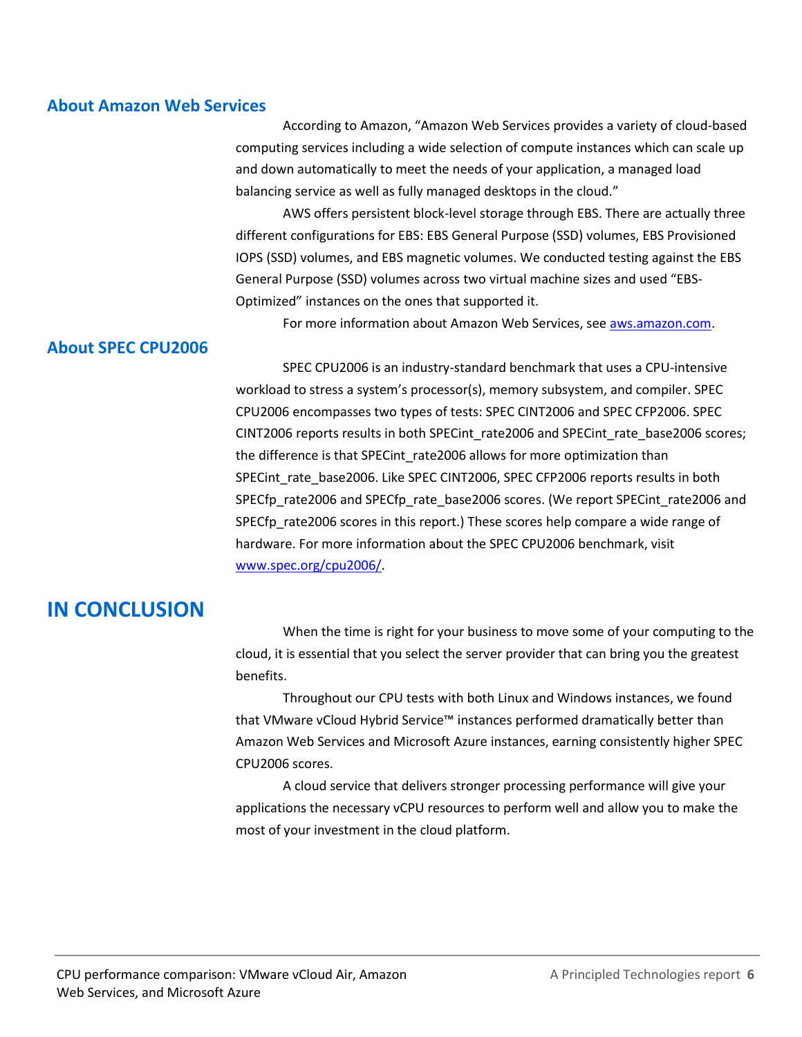#### **About Amazon Web Services**

According to Amazon, "Amazon Web Services provides a variety of cloud-based computing services including a wide selection of compute instances which can scale up and down automatically to meet the needs of your application, a managed load balancing service as well as fully managed desktops in the cloud."

AWS offers persistent block-level storage through EBS. There are actually three different configurations for EBS: EBS General Purpose (SSD) volumes, EBS Provisioned IOPS (SSD) volumes, and EBS magnetic volumes. We conducted testing against the EBS General Purpose (SSD) volumes across two virtual machine sizes and used "EBS-Optimized" instances on the ones that supported it.

For more information about Amazon Web Services, se[e aws.amazon.com.](http://aws.amazon.com/)

#### **About SPEC CPU2006**

SPEC CPU2006 is an industry-standard benchmark that uses a CPU-intensive workload to stress a system's processor(s), memory subsystem, and compiler. SPEC CPU2006 encompasses two types of tests: SPEC CINT2006 and SPEC CFP2006. SPEC CINT2006 reports results in both SPECint\_rate2006 and SPECint\_rate\_base2006 scores; the difference is that SPECint\_rate2006 allows for more optimization than SPECint\_rate\_base2006. Like SPEC CINT2006, SPEC CFP2006 reports results in both SPECfp\_rate2006 and SPECfp\_rate\_base2006 scores. (We report SPECint\_rate2006 and SPECfp rate2006 scores in this report.) These scores help compare a wide range of hardware. For more information about the SPEC CPU2006 benchmark, visit [www.spec.org/cpu2006/.](http://www.spec.org/cpu2006/)

### **IN CONCLUSION**

When the time is right for your business to move some of your computing to the cloud, it is essential that you select the server provider that can bring you the greatest benefits.

Throughout our CPU tests with both Linux and Windows instances, we found that VMware vCloud Hybrid Service™ instances performed dramatically better than Amazon Web Services and Microsoft Azure instances, earning consistently higher SPEC CPU2006 scores.

A cloud service that delivers stronger processing performance will give your applications the necessary vCPU resources to perform well and allow you to make the most of your investment in the cloud platform.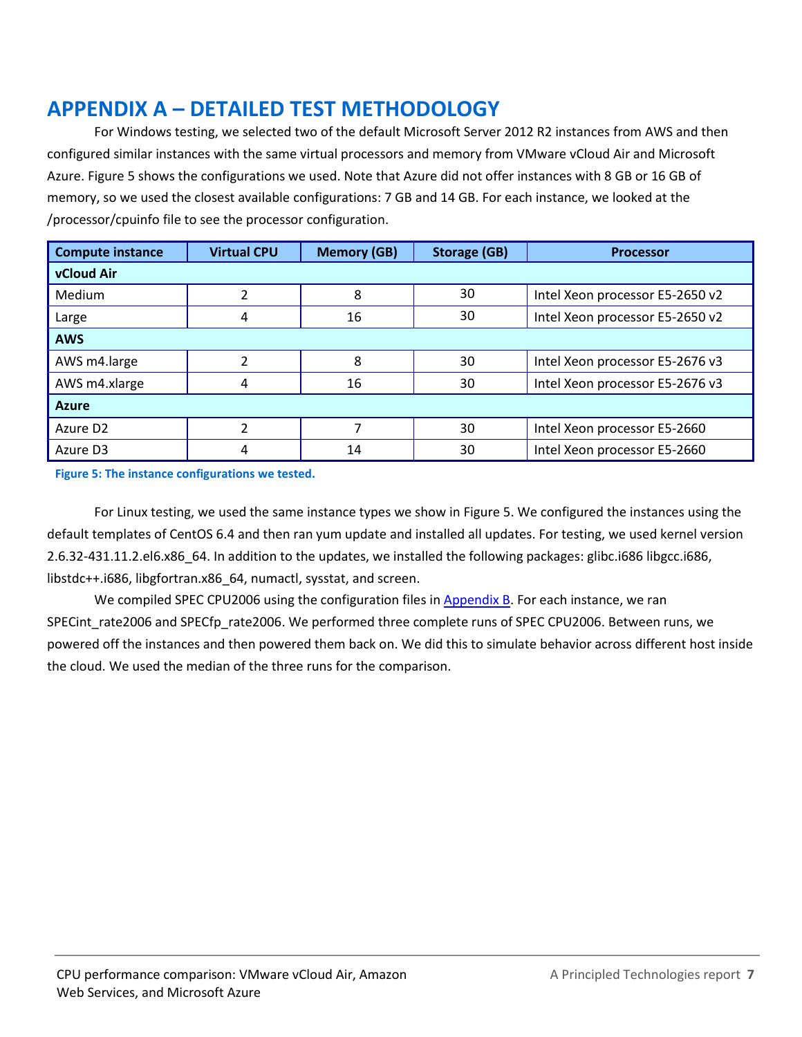# <span id="page-6-0"></span>**APPENDIX A – DETAILED TEST METHODOLOGY**

For Windows testing, we selected two of the default Microsoft Server 2012 R2 instances from AWS and then configured similar instances with the same virtual processors and memory from VMware vCloud Air and Microsoft Azure. Figure 5 shows the configurations we used. Note that Azure did not offer instances with 8 GB or 16 GB of memory, so we used the closest available configurations: 7 GB and 14 GB. For each instance, we looked at the /processor/cpuinfo file to see the processor configuration.

| <b>Compute instance</b> | <b>Virtual CPU</b> | <b>Memory (GB)</b> | <b>Storage (GB)</b> | <b>Processor</b>                |  |  |
|-------------------------|--------------------|--------------------|---------------------|---------------------------------|--|--|
| <b>vCloud Air</b>       |                    |                    |                     |                                 |  |  |
| <b>Medium</b>           |                    | 8                  | 30                  | Intel Xeon processor E5-2650 v2 |  |  |
| Large                   | 4                  | 16                 | 30                  | Intel Xeon processor E5-2650 v2 |  |  |
| <b>AWS</b>              |                    |                    |                     |                                 |  |  |
| AWS m4.large            |                    | 8                  | 30                  | Intel Xeon processor E5-2676 v3 |  |  |
| AWS m4.xlarge           | 4                  | 16                 | 30                  | Intel Xeon processor E5-2676 v3 |  |  |
| <b>Azure</b>            |                    |                    |                     |                                 |  |  |
| Azure D <sub>2</sub>    |                    |                    | 30                  | Intel Xeon processor E5-2660    |  |  |
| Azure D3                | 4                  | 14                 | 30                  | Intel Xeon processor E5-2660    |  |  |

**Figure 5: The instance configurations we tested.**

For Linux testing, we used the same instance types we show in Figure 5. We configured the instances using the default templates of CentOS 6.4 and then ran yum update and installed all updates. For testing, we used kernel version 2.6.32-431.11.2.el6.x86\_64. In addition to the updates, we installed the following packages: glibc.i686 libgcc.i686, libstdc++.i686, libgfortran.x86\_64, numactl, sysstat, and screen.

We compiled SPEC CPU2006 using the configuration files in [Appendix B.](#page-7-0) For each instance, we ran SPECint rate2006 and SPECfp rate2006. We performed three complete runs of SPEC CPU2006. Between runs, we powered off the instances and then powered them back on. We did this to simulate behavior across different host inside the cloud. We used the median of the three runs for the comparison.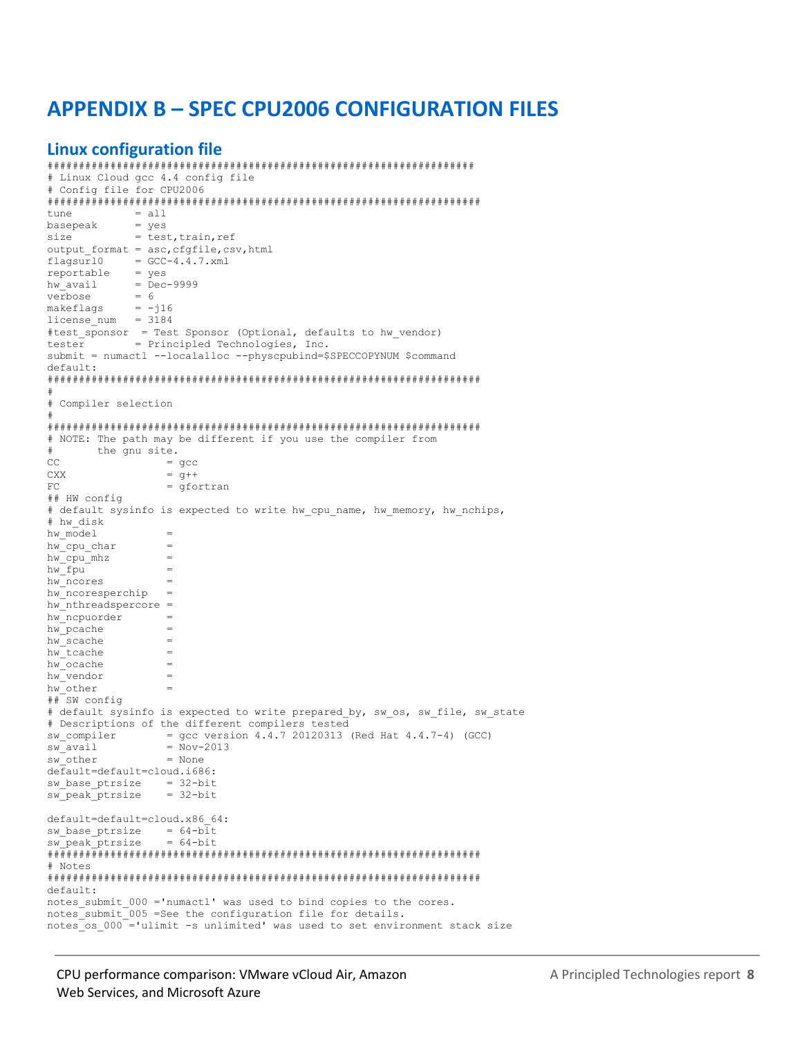# <span id="page-7-0"></span>**APPENDIX B - SPEC CPU2006 CONFIGURATION FILES**

#### **Linux configuration file**

```
# Linux Cloud gcc 4.4 config file
# Config file for CPU2006
= all
tune
         = yes<br>= test, train, ref<br>= cfafile, cs
basepeak
size
output format = asc, cfqfile, csv, html
          = GCC-4.4.7.xmlflagsur10
reportable
          = yeshw_avail = Dec-9999<br>verbose = 6makeflags
          = -116license num = 3184#test sponsor = Test Sponsor (Optional, defaults to hw vendor)
      = Principled Technologies, Inc.
tester
submit = numactl --localalloc --physcpubind=$SPECCOPYNUM $command
default# Compiler selection
# NOTE: The path may be different if you use the compiler from
#the gnu site.
CC= qcc
               = q+1CXXFC= qfortran
## HW config
# default sysinfo is expected to write hw cpu name, hw memory, hw nchips,
# hw disk
hw model
hw cpu char
                \equivhw cpu mhz
hw fpu
                \overline{a}hw ncores
                \overline{a}hw ncoresperchip
                \overline{\phantom{a}}hw<sup>-</sup>nthreadspercore =
hw ncpuorder
                \equivhw pcache
                \equivhw scache
hw tcache
                \equivhwcache
                \equivhw vendor
                \overline{\phantom{a}}hw other
## SW config
# default sysinfo is expected to write prepared by, sw os, sw file, sw state
# Descriptions of the different compilers tested
             = gcc version 4.4.7 20120313 (Red Hat 4.4.7-4) (GCC)
sw compiler
sw avail
               = Nov-2013sw other
               = None
default=default=cloud.i686:
sw_base_ptrsize = 32-bit
               = 32 - \text{bit}sw peak ptrsize
default=default=cloud.x86 64:
sw\_base\_ptrsize = 64-bit= 64-bit
sw peak ptrsize
# Notes
default:notes submit 000 ='numactl' was used to bind copies to the cores.
notes_submit_005 =See the configuration file for details.
notes os 000 ='ulimit -s unlimited' was used to set environment stack size
```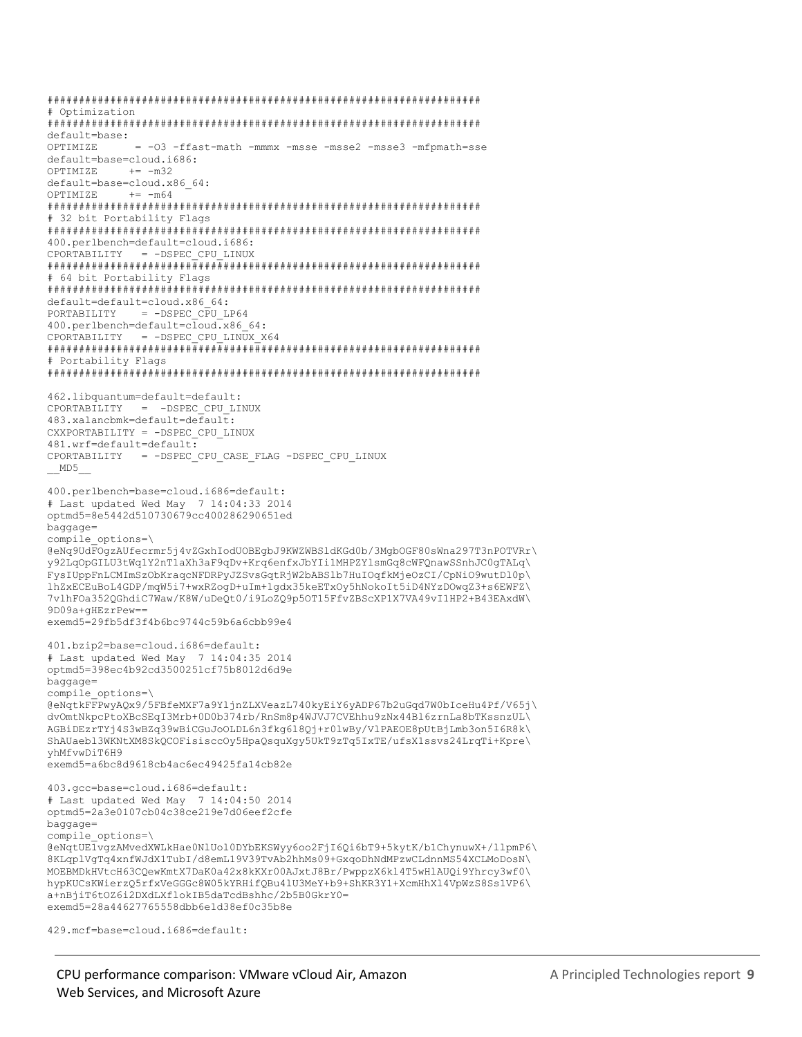```
# Optimization
default=base:
OPTIMIZE
          = -03 -ffast-math -mmmx -msse -msse2 -msse3 -mfpmath=sse
default=base=cloud.i686:
OPTIMIZE += -m32
default=base=cloud.x86 64:
OPTIMIZE
        += -m64# 32 bit Portability Flags
400.perlbench=default=cloud.i686:
CPORTABILITY = -DSPEC CPU LINUX
# 64 bit Portability Flags
default=default=cloud.x86 64:
PORTABILITY = -DSPEC CPU LP64
400.perlbench=default=cloud.x86 64:
CPORTABILITY = -DSPEC CPU LINUX X64
# Portability Flags
462.libquantum=default=default:
CPORTABILITY = -DSPEC CPU LINUX
483.xalancbmk=default=default:
CXXPORTABILITY = -DSPEC CPU LINUX
481.wrf=default=default:
CPORTABILITY = -DSPEC CPU CASE FLAG -DSPEC CPU LINUX
MDS400.perlbench=base=cloud.i686=default:
# Last updated Wed May 7 14:04:33 2014
optmd5=8e5442d510730679cc400286290651ed
baggage=
compile options=\
@eNq9UdFOqzAUfecrmr5j4vZGxhIodUOBEqbJ9KWZWBS1dKGd0b/3MqbOGF80sWna297T3nPOTVRr\
y92LqOpGILU3tWq1Y2nTlaXh3aF9qDv+Krq6enfxJbYIi1MHPZYlsmGq8cWFQnawSSnhJC0qTALq\
FysIUppFnLCMImSzObKraqcNFDRPyJZSvsGqtRjW2bABS1b7HuIOqfkMjeOzCI/CpNiO9wutDl0p\
lhZxECEuBoL4GDP/mqW5i7+wxRZogD+uIm+1qdx35keETxOy5hNokoIt5iD4NYzDOwqZ3+s6EWFZ\
7vlhFOa352QGhdiC7Waw/K8W/uDeQt0/i9LoZQ9p5OT15FfvZBScXP1X7VA49vI1HP2+B43EAxdW\
9D09a+qHEzrPew==
exemd5=29fb5df3f4b6bc9744c59b6a6cbb99e4
401.bzip2=base=cloud.i686=default:
# Last updated Wed May 7 14:04:35 2014
optmd5=398ec4b92cd3500251cf75b8012d6d9e
baqqaqe=compile options=\
@eNqtkFFPwyAQx9/5FBfeMXF7a9YljnZLXVeazL740kyEiY6yADP67b2uGqd7W0bIceHu4Pf/V65j\
dvOmtNkpcPtoXBcSEqI3Mrb+0D0b374rb/RnSm8p4WJVJ7CVEhhu9zNx44Bl6zrnLa8bTKssnzUL\
AGBiDEzrTYj4S3wBZq39wBiCGuJoOLDL6n3fkg618Qj+r01wBy/VlPAEOE8pUtBjLmb3on5I6R8k\
ShAUaebl3WKNtXM8SkQCOFisisccOy5HpaQsquXgy5UkT9zTq5IxTE/ufsX1ssvs24LrqTi+Kpre\
vhMfvwDiT6H9
exemd5=a6bc8d9618cb4ac6ec49425fa14cb82e
403.qcc=base=cloud.i686=default:
# Last updated Wed May 7 14:04:50 2014
optmd5=2a3e0107cb04c38ce219e7d06eef2cfe
baggage=
compile options=\
@eNqtUElvgzAMvedXWLkHae0NlUol0DYbEKSWyy6oo2FjI6Qi6bT9+5kytK/b1ChynuwX+/llpmP6\
8KLqplVqTq4xnfWJdX1TubI/d8emL19V39TvAb2hhMs09+GxqoDhNdMPzwCLdnnMS54XCLMoDosN\
MOEBMDkHVtcH63CQewKmtX7DaK0a42x8kKXr00AJxtJ8Br/PwppzX6k14T5wHlAUQi9Yhrcy3wf0\
hypKUCsKWierzQ5rfxVeGGGc8W05kYRHifQBu4lU3MeY+b9+ShKR3Y1+XcmHhXl4VpWzS8Ss1VP6\
a+nBjiT6tOZ6i2DXdLXflokIB5daTcdBshhc/2b5B0GkrY0=
exemd5=28a44627765558dbb6e1d38ef0c35b8e
```

```
429.mcf=base=cloud.i686=default:
```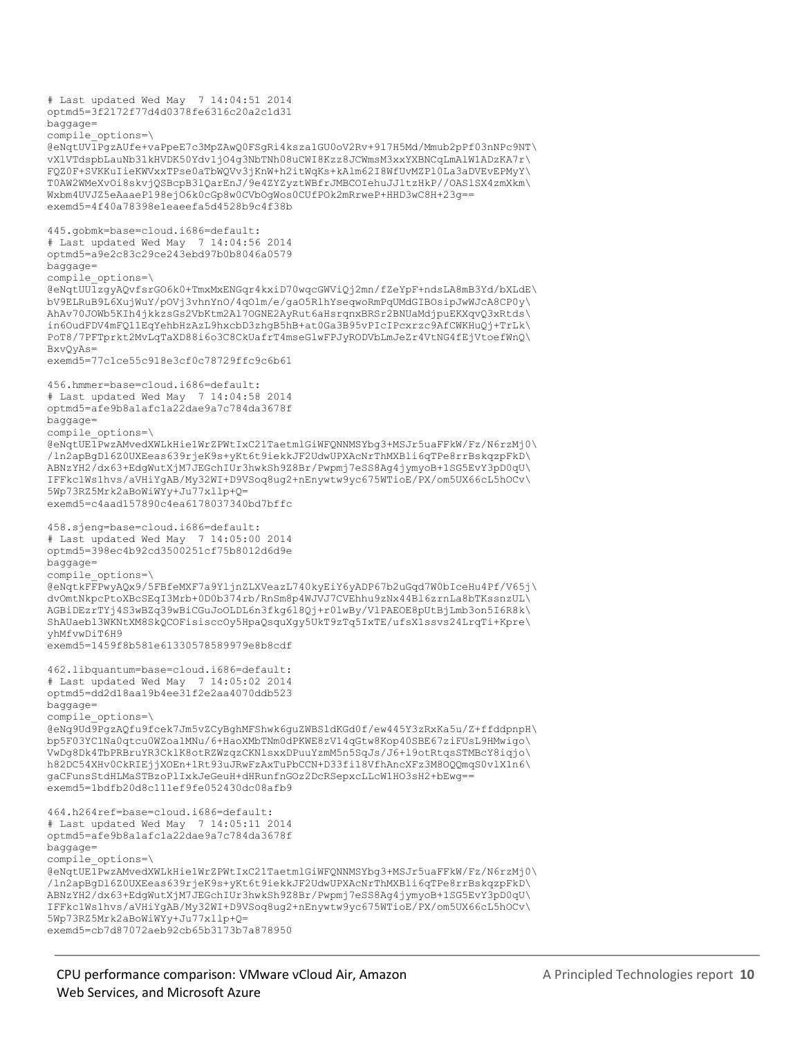# Last updated Wed May 7 14:04:51 2014 optmd5=3f2172f77d4d0378fe6316c20a2c1d31 baggage= compile\_options=\ @eNqtUV1PgzAUfe+vaPpeE7c3MpZAwQ0FSgRi4ksza1GU0oV2Rv+9l7H5Md/Mmub2pPf03nNPc9NT\ vXlVTdspbLauNb31kHVDK50Ydv1jO4g3NbTNh08uCWI8Kzz8JCWmsM3xxYXBNCqLmAlW1ADzKA7r\ FQZ0F+SVKKuIieKWVxxTPse0aTbWQVv3jKnW+h2itWqKs+kAlm62I8WfUvMZPl0La3aDVEvEPMyY\ T0AW2WMeXvOi8skvjQSBcpB3lQarEnJ/9e4ZYZyztWBfrJMBCOIehuJJltzHkP//OASlSX4zmXkm\ Wxbm4UVJZ5eAaaeP198ejO6k0cGp8w0CVbOgWos0CUfPOk2mRrweP+HHD3wC8H+23g== exemd5=4f40a78398e1eaeefa5d4528b9c4f38b 445.gobmk=base=cloud.i686=default: # Last updated Wed May 7 14:04:56 2014 optmd5=a9e2c83c29ce243ebd97b0b8046a0579 baggage= compile\_options=\ @eNqtUU1zgyAQvfsrGO6k0+TmxMxENGqr4kxiD70wqcGWViQj2mn/fZeYpF+ndsLA8mB3Yd/bXLdE\ bV9ELRuB9L6XujWuY/pOVj3vhnYnO/4qOlm/e/gaO5RlhYseqwoRmPqUMdGIBOsipJwWJcA8CP0y\ AhAv70JOWb5KIh4jkkzsGs2VbKtm2Al7OGNE2AyRut6aHsrqnxBRSr2BNUaMdjpuEKXqvQ3xRtds\ in6OudFDV4mFQ11EqYehbHzAzL9hxcbD3zhgB5hB+at0Ga3B95vPIcIPcxrzc9AfCWKHuQj+TrLk\ PoT8/7PFTprkt2MvLqTaXD88i6o3C8CkUafrT4mseGlwFPJyRODVbLmJeZr4VtNG4fEjVtoefWnQ\ BxvQyAs= exemd5=77c1ce55c918e3cf0c78729ffc9c6b61 456.hmmer=base=cloud.i686=default: # Last updated Wed May 7 14:04:58 2014 optmd5=afe9b8a1afc1a22dae9a7c784da3678f baggage= compile\_options=\ @eNqtUE1PwzAMvedXWLkHie1WrZPWtIxC21TaetmlGiWFQNNMSYbg3+MSJr5uaFFkW/Fz/N6rzMj0\ /ln2apBgDl6Z0UXEeas639rjeK9s+yKt6t9iekkJF2UdwUPXAcNrThMXBli6qTPe8rrBskqzpFkD\ ABNzYH2/dx63+EdgWutXjM7JEGchIUr3hwkSh9Z8Br/Pwpmj7eSS8Ag4jymyoB+1SG5EvY3pD0qU\ IFFkc1Ws1hvs/aVHiYgAB/My32WI+D9VSoq8ug2+nEnywtw9yc675WTioE/PX/om5UX66cL5hOCv\ 5Wp73RZ5Mrk2aBoWiWYy+Ju77xllp+Q= exemd5=c4aad157890c4ea6178037340bd7bffc 458.sjeng=base=cloud.i686=default: # Last updated Wed May 7 14:05:00 2014 optmd5=398ec4b92cd3500251cf75b8012d6d9e baggage= compile\_options=\ @eNqtkFFPwyAQx9/5FBfeMXF7a9YljnZLXVeazL740kyEiY6yADP67b2uGqd7W0bIceHu4Pf/V65j\ dvOmtNkpcPtoXBcSEqI3Mrb+0D0b374rb/RnSm8p4WJVJ7CVEhhu9zNx44Bl6zrnLa8bTKssnzUL\ AGBiDEzrTYj4S3wBZq39wBiCGuJoOLDL6n3fkg6l8Qj+r0lwBy/VlPAEOE8pUtBjLmb3on5I6R8k\ ShAUaebl3WKNtXM8SkQCOFisisccOy5HpaQsquXgy5UkT9zTq5IxTE/ufsX1ssvs24LrqTi+Kpre\ yhMfvwDiT6H9 exemd5=1459f8b581e61330578589979e8b8cdf 462.libquantum=base=cloud.i686=default: # Last updated Wed May 7 14:05:02 2014 optmd5=dd2d18aa19b4ee31f2e2aa4070ddb523 baggage= compile\_options=\ @eNq9Ud9PgzAQfu9fcek7Jm5vZCyBghMFShwk6guZWBSldKGd0f/ew445Y3zRxKa5u/Z+ffddpnpH\ bp5F03YC1Na0qtcu0WZoa1MNu/6+HaoXMbTNm0dPKWE8zV14qGtw8Kop40SBE67ziFUsL9HMwigo\ VwDg8Dk4TbPRBruYR3CklK8otRZWzqzCKNlsxxDPuuYzmM5n5SqJs/J6+l9otRtqsSTMBcY8iqjo\ h82DC54XHv0CkRIEjjXOEn+1Rt93uJRwFzAxTuPbCCN+D33fi18VfhAncXFz3M8OQQmqS0vlX1n6\ gaCFunsStdHLMaSTBzoPlIxkJeGeuH+dHRunfnGOz2DcRSepxcLLcW1HO3sH2+bEwg== exemd5=1bdfb20d8c111ef9fe052430dc08afb9 464.h264ref=base=cloud.i686=default: # Last updated Wed May 7 14:05:11 2014 optmd5=afe9b8a1afc1a22dae9a7c784da3678f baggage= compile\_options=\ @eNqtUE1PwzAMvedXWLkHie1WrZPWtIxC21TaetmlGiWFQNNMSYbg3+MSJr5uaFFkW/Fz/N6rzMj0\ /ln2apBgDl6Z0UXEeas639rjeK9s+yKt6t9iekkJF2UdwUPXAcNrThMXBli6qTPe8rrBskqzpFkD\ ABNzYH2/dx63+EdgWutXjM7JEGchIUr3hwkSh9Z8Br/Pwpmj7eSS8Ag4jymyoB+1SG5EvY3pD0qU\ IFFkc1Ws1hvs/aVHiYgAB/My32WI+D9VSoq8ug2+nEnywtw9yc675WTioE/PX/om5UX66cL5hOCv\ 5Wp73RZ5Mrk2aBoWiWYy+Ju77xllp+Q= exemd5=cb7d87072aeb92cb65b3173b7a878950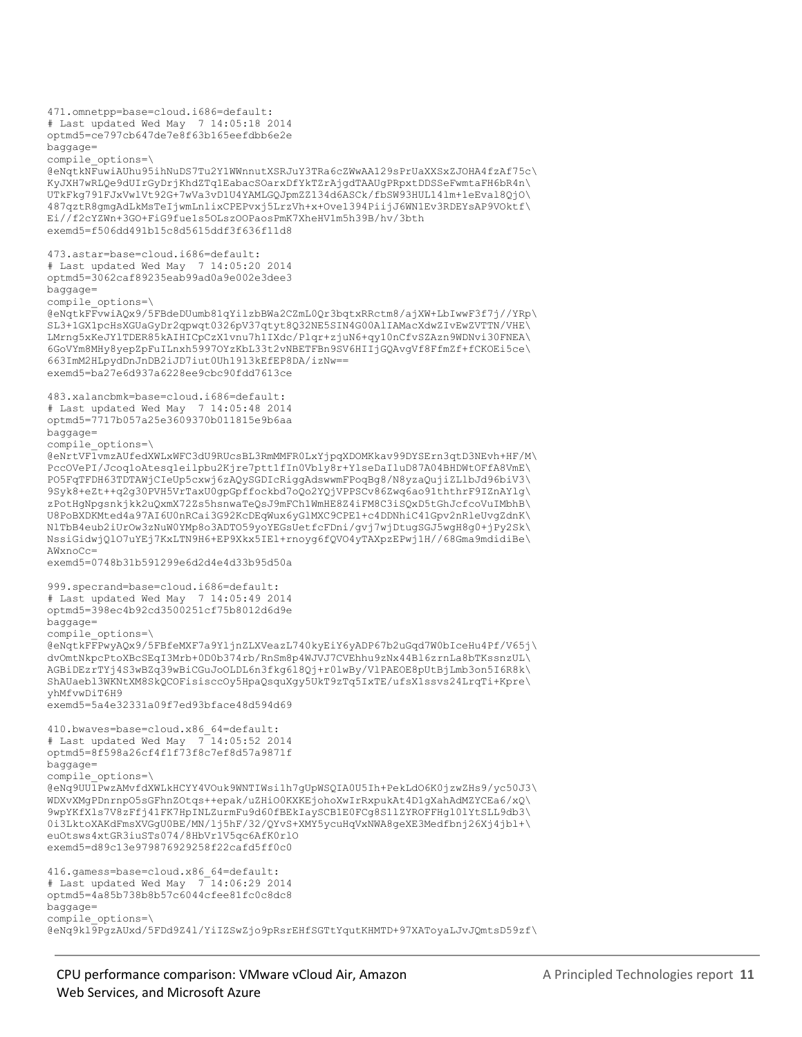```
471.omnetpp=base=cloud.i686=default:
# Last updated Wed May 7 14:05:18 2014
optmd5=ce797cb647de7e8f63b165eefdbb6e2e
baggage=
compile_options=\
@eNqtkNFuwiAUhu95ihNuDS7Tu2Y1WWnnutXSRJuY3TRa6cZWwAA129sPrUaXXSxZJOHA4fzAf75c\
KyJXH7wRLQe9dUIrGyDrjKhdZTq1EabacSOarxDfYkTZrAjgdTAAUgPRpxtDDSSeFwmtaFH6bR4n\
UTkFkg791FJxVwlVt92G+7wVa3vD1U4YAMLGQJpmZZ134d6ASCk/fbSW93HUL14lm+1eEval8QjO\
487qztR8gmgAdLkMsTeIjwmLnlixCPEPvxj5LrzVh+x+Ove1394PiijJ6WN1Ev3RDEYsAP9VOktf\
Ei//f2cYZWn+3GO+FiG9fue1s5OLszOOPaosPmK7XheHV1m5h39B/hv/3bth
exemd5=f506dd491b15c8d5615ddf3f636f11d8
473.astar=base=cloud.i686=default:
# Last updated Wed May 7 14:05:20 2014
optmd5=3062caf89235eab99ad0a9e002e3dee3
baggage=
compile_options=\
@eNqtkFFvwiAQx9/5FBdeDUumb81qYilzbBWa2CZmL0Qr3bqtxRRctm8/ajXW+LbIwwF3f7j//YRp\
SL3+1GX1pcHsXGUaGyDr2qpwqt0326pV37qtyt8Q32NE5SIN4G00AlIAMacXdwZIvEwZVTTN/VHE\
LMrng5xKeJYlTDER85kAIHICpCzX1vnu7h1IXdc/Plqr+zjuN6+qy10nCfvSZAzn9WDNvi30FNEA\
6GoVYm8MHy8yepZpFuILnxh5997OYzKbL33t2vNBETFBn9SV6HIIjGQAvgVf8FfmZf+fCKOEi5ce\
663ImM2HLpydDnJnDB2iJD7iut0Uh19l3kEfEP8DA/izNw==
exemd5=ba27e6d937a6228ee9cbc90fdd7613ce
483.xalancbmk=base=cloud.i686=default:
# Last updated Wed May 7 14:05:48 2014
optmd5=7717b057a25e3609370b011815e9b6aa
baggage=
compile_options=\
@eNrtVF1vmzAUfedXWLxWFC3dU9RUcsBL3RmMMFR0LxYjpqXDOMKkav99DYSErn3qtD3NEvh+HF/M\
PccOVePI/Jcoq1oAtesq1eilpbu2Kjre7ptt1fIn0Vbly8r+YlseDaIluD87A04BHDWtOFfA8VmE\
PO5FqTFDH63TDTAWjCIeUp5cxwj6zAQySGDIcRiggAdswwmFPoqBg8/N8yzaQujiZLlbJd96biV3\
9Syk8+eZt++q2g30PVH5VrTaxU0gpGpffockbd7oQo2YQjVPPSCv86Zwq6ao91ththrF9IZnAYlg\
zPotHgNpgsnkjkk2uQxmX72Zs5hsnwaTeQsJ9mFCh1WmHE8Z4iFM8C3iSQxD5tGhJcfcoVuIMbhB\
U8PoBXDKMted4a97AI6U0nRCai3G92KcDEqWux6yGlMXC9CPE1+c4DDNhiC41Gpv2nRleUvgZdnK\
NlTbB4eub2iUrOw3zNuW0YMp8o3ADTO59yoYEGsUetfcFDni/gvj7wjDtugSGJ5wgH8g0+jPy2Sk\
NssiGidwjQlO7uYEj7KxLTN9H6+EP9Xkx5IEl+rnoyg6fQVO4yTAXpzEPwj1H//68Gma9mdidiBe\
AWxnoCc=
exemd5=0748b31b591299e6d2d4e4d33b95d50a
999.specrand=base=cloud.i686=default:
# Last updated Wed May 7 14:05:49 2014
optmd5=398ec4b92cd3500251cf75b8012d6d9e
baggage=
compile_options=\
@eNqtkFFPwyAQx9/5FBfeMXF7a9YljnZLXVeazL740kyEiY6yADP67b2uGqd7W0bIceHu4Pf/V65j\
dvOmtNkpcPtoXBcSEqI3Mrb+0D0b374rb/RnSm8p4WJVJ7CVEhhu9zNx44Bl6zrnLa8bTKssnzUL\
AGBiDEzrTYj4S3wBZq39wBiCGuJoOLDL6n3fkg6l8Qj+r0lwBy/VlPAEOE8pUtBjLmb3on5I6R8k\
ShAUaebl3WKNtXM8SkQCOFisisccOy5HpaQsquXgy5UkT9zTq5IxTE/ufsX1ssvs24LrqTi+Kpre\
yhMfvwDiT6H9
exemd5=5a4e32331a09f7ed93bface48d594d69
410.bwaves=base=cloud.x86_64=default:
# Last updated Wed May 7^{-}14:05:52 2014
optmd5=8f598a26cf4f1f73f8c7ef8d57a9871f
baggage=
compile_options=\
@eNq9UU1PwzAMvfdXWLkHCYY4VOuk9WNTIWsi1h7gUpWSQIA0U5Ih+PekLdO6K0jzwZHs9/yc50J3\
WDXvXMgPDnrnpO5sGFhnZOtqs++epak/uZHiO0KXKEjohoXwIrRxpukAt4D1gXahAdMZYCEa6/xQ\
9wpYKfXls7V8zFfj41FK7HpINLZurmFu9d60fBEkIaySCB1E0FCg8S1lZYROFFHgl0lYtSLL9db3\
0i3LktoXAKdFmsXVGgU0BE/MN/lj5hF/32/QYvS+XMY5ycuHqVxNWA8geXE3Medfbnj26Xj4jbl+\
euOtsws4xtGR3iuSTs074/8HbVr1V5qc6AfK0rlO
exemd5=d89c13e979876929258f22cafd5ff0c0
416.gamess=base=cloud.x86_64=default:
# Last updated Wed May 7 14:06:29 2014
optmd5=4a85b738b8b57c6044cfee81fc0c8dc8
baggage=
compile_options=\
@eNq9kl9PgzAUxd/5FDd9Z4l/YiIZSwZjo9pRsrEHfSGTtYqutKHMTD+97XAToyaLJvJQmtsD59zf\
```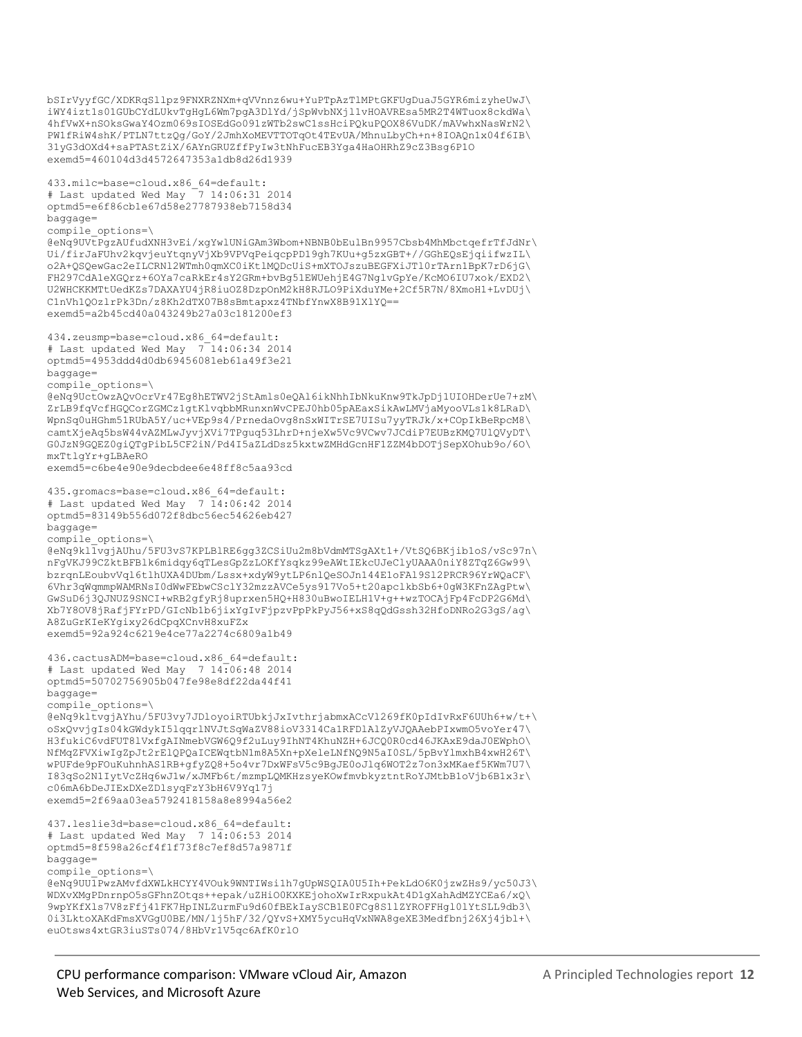```
bSIrVyyfGC/XDKRqSllpz9FNXRZNXm+qVVnnz6wu+YuPTpAzTlMPtGKFUgDuaJ5GYR6mizyheUwJ\
iWY4izt1s01GUbCYdLUkvTgHgL6Wm7pgA3DlYd/jSpWvbNXjl1vHOAVREsa5MR2T4WTuox8ckdWa\
4hfVwX+nSOksGwaY4Ozm069sIOSEdGo091zWTb2swC1ssHciPQkuPQOX86VuDK/mAVwhxNasWrN2\
PW1fRiW4shK/PTLN7ttzQg/GoY/2JmhXoMEVTTOTqOt4TEvUA/MhnuLbyCh+n+8IOAQn1x04f6IB\
31yG3dOXd4+saPTAStZiX/6AYnGRUZffPyIw3tNhFucEB3Yga4HaOHRhZ9cZ3Bsg6P1O
exemd5=460104d3d4572647353a1db8d26d1939
433.milc=base=cloud.x86_64=default:
# Last updated Wed May 7 14:06:31 2014
optmd5=e6f86cb1e67d58e27787938eb7158d34
baggage=
compile_options=\
@eNq9UVtPgzAUfudXNH3vEi/xgYwlUNiGAm3Wbom+NBNB0bEulBn9957Cbsb4MhMbctqefrTfJdNr\
Ui/firJaFUhv2kqvjeuYtqnyVjXb9VPVqPeiqcpPD19gh7KUu+g5zxGBT+//GGhEQsEjqiifwzIL\
o2A+QSQewGac2eILCRNl2WTmh0qmXC0iKtlMQDcUiS+mXTOJszuBEGFXiJTl0rTArn1BpK7rD6jG\
FH297CdA1eXGQrz+6OYa7caRkEr4sY2GRm+bvBg51EWUehjE4G7NglvGpYe/KcMO6IU7xok/EXD2\
U2WHCKKMTtUedKZs7DAXAYU4jR8iuOZ8DzpOnM2kH8RJLO9PiXduYMe+2Cf5R7N/8XmoH1+LvDUj\
C1nVh1QOzlrPk3Dn/z8Kh2dTX07B8sBmtapxz4TNbfYnwX8B91XlYQ==
exemd5=a2b45cd40a043249b27a03c181200ef3
434.zeusmp=base=cloud.x86_64=default:
# Last updated Wed May 7^{-14:06:34 2014
optmd5=4953ddd4d0db69456081eb61a49f3e21
baggage=
compile_options=\
@eNq9UctOwzAQvOcrVr47Eg8hETWV2jStAmls0eQAl6ikNhhIbNkuKnw9TkJpDj1UIOHDerUe7+zM\
ZrLB9fqVcfHGQCorZGMCz1gtKlvqbbMRunxnWvCPEJ0hb05pAEaxSikAwLMVjaMyooVLs1k8LRaD\
WpnSq0uHGhm51RUbA5Y/uc+VEp9s4/PrnedaOvg8nSxWITrSE7UISu7yyTRJk/x+COpIkBeRpcM8\
camtXjeAq5bsW44vAZMLwJyvjXVi7TPguq53LhrD+njeXw5Vc9VCwv7JCdiP7EUBzKMQ7UlQVyDT\
G0JzN9GQEZ0giQTgPibL5CF2iN/Pd4I5aZLdDsz5kxtwZMHdGcnHF1ZZM4bDOTjSepXOhub9o/6O\
mxTtlgYr+gLBAeRO
exemd5=c6be4e90e9decbdee6e48ff8c5aa93cd
435.gromacs=base=cloud.x86_64=default:
# Last updated Wed May 7 14:06:42 2014
optmd5=83149b556d072f8dbc56ec54626eb427
baggage=
compile_options=\
@eNq9kl1vgjAUhu/5FU3vS7KPLBlRE6gg3ZCSiUu2m8bVdmMTSgAXt1+/VtSQ6BKjib1oS/vSc97n\
nFgVKJ99CZktBFBlk6midqy6qTLesGpZzLOKfYsqkz99eAWtIEkcUJeClyUAAA0niY8ZTqZ6Gw99\
bzrqnLEoubvVql6tlhUXA4DUbm/Lssx+xdyW9ytLP6nlQeSOJn144E1oFAl9Sl2PRCR96YrWQaCF\
6Vhr3qWqmmpWAMRNsI0dWwFEbwCSclY32mzzAVCe5ys917Vo5+t20apclkbSb6+0gW3KFnZAgPtw\
GwSuD6j3QJNUZ9SNCI+wRB2gfyRj8uprxen5HQ+H830uBwoIELH1V+g++wzTOCAjFp4FcDP2G6Md\
Xb7Y8OV8jRafjFYrPD/GIcNb1b6jixYgIvFjpzvPpPkPyJ56+xS8qQdGssh32HfoDNRo2G3gS/ag\
A8ZuGrKIeKYgixy26dCpqXCnvH8xuFZx
exemd5=92a924c6219e4ce77a2274c6809a1b49
436.cactusADM=base=cloud.x86_64=default:
# Last updated Wed May 7 14:06:48 2014
optmd5=50702756905b047fe98e8df22da44f41
baggage=
compile_options=\
@eNq9kltvgjAYhu/5FU3vy7JDloyoiRTUbkjJxIvthrjabmxACcVl269fK0pIdIvRxF6UUh6+w/t+\
oSxQvvjgIs04kGWdykI5lqqrlNVJtSqWaZV88ioV3314Ca1RFDlAlZyVJQAAebPIxwmO5voYer47\
H3fukiC6vdFUT8lVxfgAINmebVGW6Q9f2uLuy9IhNT4KhuNZH+6JCQ0R0cd46JKAxE9daJ0EWphO\
NfMqZFVXiwIgZpJt2rElQPQaICEWqtbN1m8A5Xn+pXeleLNfNQ9N5aI0SL/5pBvYlmxhB4xwH26T\
wPUFde9pFOuKuhnhAS1RB+gfyZQ8+5o4vr7DxWFsV5c9BgJE0oJlq6WOT2z7on3xMKaef5KWm7U7\
I83qSo2N1IytVcZHq6wJ1w/xJMFb6t/mzmpLQMKHzsyeKOwfmvbkyztntRoYJMtbB1oVjb6B1x3r\
c06mA6bDeJIExDXeZDlsyqFzY3bH6V9Yq17j
exemd5=2f69aa03ea5792418158a8e8994a56e2
437.leslie3d=base=cloud.x86_64=default:
# Last updated Wed May 7\overline{14}:06:53\overline{2014}optmd5=8f598a26cf4f1f73f8c7ef8d57a9871f
baggage=
compile_options=\
@eNq9UU1PwzAMvfdXWLkHCYY4VOuk9WNTIWsi1h7gUpWSQIA0U5Ih+PekLdO6K0jzwZHs9/yc50J3\
WDXvXMgPDnrnpO5sGFhnZOtqs++epak/uZHiO0KXKEjohoXwIrRxpukAt4D1gXahAdMZYCEa6/xQ\
9wpYKfXls7V8zFfj41FK7HpINLZurmFu9d60fBEkIaySCB1E0FCg8S1lZYROFFHgl0lYtSLL9db3\
0i3LktoXAKdFmsXVGgU0BE/MN/lj5hF/32/QYvS+XMY5ycuHqVxNWA8geXE3Medfbnj26Xj4jbl+\
euOtsws4xtGR3iuSTs074/8HbVr1V5qc6AfK0rlO
```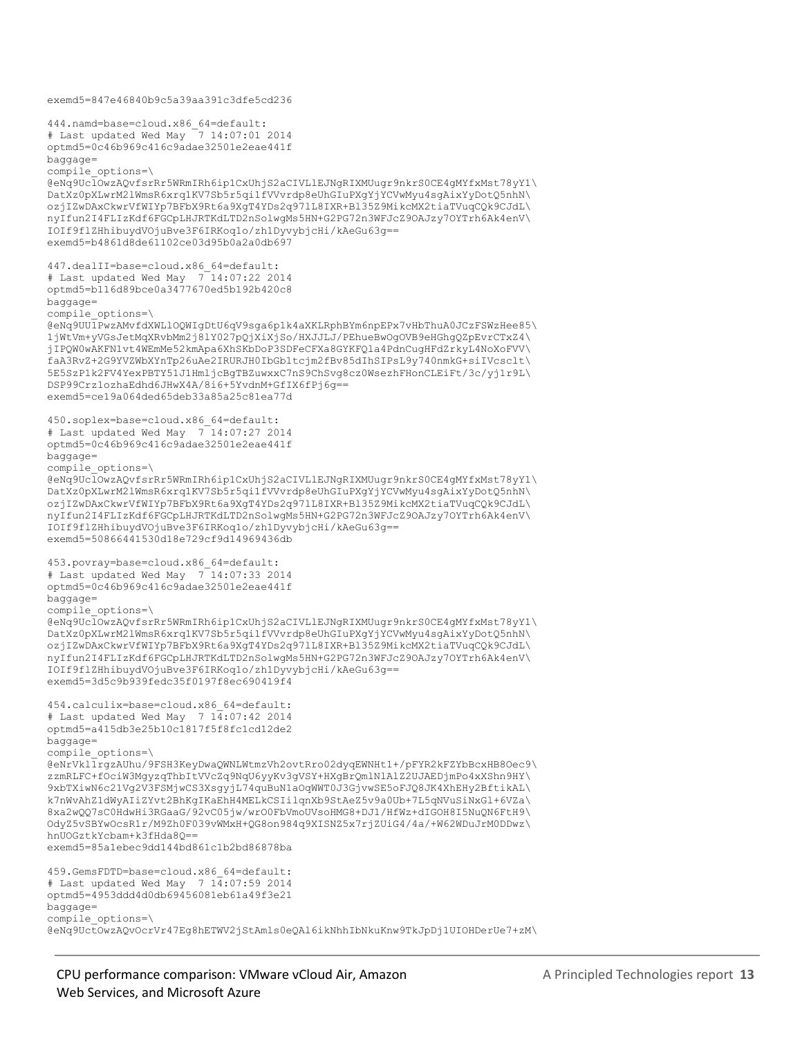```
exemd5=847e46840b9c5a39aa391c3dfe5cd236
444.namd=base=cloud.x86_64=default:
# Last updated Wed May \overline{7} 14:07:01 2014
optmd5=0c46b969c416c9adae32501e2eae441f
baggage=
compile_options=\
@eNq9UclOwzAQvfsrRr5WRmIRh6ip1CxUhjS2aCIVLlEJNgRIXMUugr9nkrS0CE4gMYfxMst78yY1\
DatXz0pXLwrM2lWmsR6xrq1KV7Sb5r5qi1fVVvrdp8eUhGIuPXgYjYCVwMyu4sgAixYyDotQ5nhN\
ozjIZwDAxCkwrVfWIYp7BFbX9Rt6a9XgT4YDs2q97lL8IXR+Bl35Z9MikcMX2tiaTVuqCQk9CJdL\
nyIfun2I4FLIzKdf6FGCpLHJRTKdLTD2nSolwgMs5HN+G2PG72n3WFJcZ9OAJzy7OYTrh6Ak4enV\
IOIf9flZHhibuydVOjuBve3F6IRKoq1o/zh1DyvybjcHi/kAeGu63g==
exemd5=b4861d8de61102ce03d95b0a2a0db697
447.dealII=base=cloud.x86_64=default:
# Last updated Wed May 7 14:07:22 2014
optmd5=b116d89bce0a3477670ed5b192b420c8
baggage=
compile_options=\
@eNq9UU1PwzAMvfdXWLlOQWIgDtU6qV9sga6p1k4aXKLRphBYm6npEPx7vHbThuA0JCzFSWzHee85\
1jWtVm+yVGsJetMqXRvbMm2j8lY027pQjXiXjSo/HXJJLJ/PEhueBwOgOVB9eHGhgQZpEvrCTxZ4\
jIPQW0wAKFN1vt4WEmMe52kmApa6XhSKbDoP3SDFeCFXa8GYKFQla4PdnCugHFdZrkyL4NoXoFVV\
faA3RvZ+2G9YVZWbXYnTp26uAe2IRURJH0IbGb1tcjm2fBv85dIhSIPsL9y740nmkG+siIVcsclt\
5E5SzP1k2FV4YexPBTY51J1HmljcBgTBZuwxxC7nS9ChSvg8cz0WsezhFHonCLEiFt/3c/yj1r9L\
DSP99Crz1ozhaEdhd6JHwX4A/8i6+5YvdnM+GfIX6fPj6g==
exemd5=ce19a064ded65deb33a85a25c81ea77d
450.soplex=base=cloud.x86_64=default:
# Last updated Wed May 7^{-}14:07:27 2014
optmd5=0c46b969c416c9adae32501e2eae441f
baggage=
compile_options=\
@eNq9UclOwzAQvfsrRr5WRmIRh6ip1CxUhjS2aCIVLlEJNgRIXMUugr9nkrS0CE4gMYfxMst78yY1\
DatXz0pXLwrM2lWmsR6xrq1KV7Sb5r5qi1fVVvrdp8eUhGIuPXgYjYCVwMyu4sgAixYyDotQ5nhN\
ozjIZwDAxCkwrVfWIYp7BFbX9Rt6a9XgT4YDs2q97lL8IXR+Bl35Z9MikcMX2tiaTVuqCQk9CJdL\
nyIfun2I4FLIzKdf6FGCpLHJRTKdLTD2nSolwgMs5HN+G2PG72n3WFJcZ9OAJzy7OYTrh6Ak4enV\
IOIf9flZHhibuydVOjuBve3F6IRKoq1o/zh1DyvybjcHi/kAeGu63g==
exemd5=50866441530d18e729cf9d14969436db
453.povray=base=cloud.x86_64=default:
# Last updated Wed May 7 14:07:33 2014
optmd5=0c46b969c416c9adae32501e2eae441f
baggage=
compile_options=\
@eNq9UclOwzAQvfsrRr5WRmIRh6ip1CxUhjS2aCIVLlEJNgRIXMUugr9nkrS0CE4gMYfxMst78yY1\
DatXz0pXLwrM2lWmsR6xrq1KV7Sb5r5qi1fVVvrdp8eUhGIuPXgYjYCVwMyu4sgAixYyDotQ5nhN\
ozjIZwDAxCkwrVfWIYp7BFbX9Rt6a9XgT4YDs2q97lL8IXR+Bl35Z9MikcMX2tiaTVuqCQk9CJdL\
nyIfun2I4FLIzKdf6FGCpLHJRTKdLTD2nSolwgMs5HN+G2PG72n3WFJcZ9OAJzy7OYTrh6Ak4enV\
IOIf9flZHhibuydVOjuBve3F6IRKoq1o/zh1DyvybjcHi/kAeGu63g==
exemd5=3d5c9b939fedc35f0197f8ec690419f4
454.calculix=base=cloud.x86_64=default:
# Last updated Wed May 7 14:07:42 2014
optmd5=a415db3e25b10c1817f5f8fc1cd12de2
baggage=
compile_options=\
@eNrVkl1rgzAUhu/9FSH3KeyDwaQWNLWtmzVh2ovtRro02dyqEWNHt1+/pFYR2kFZYbBcxHB8Oec9\
zzmRLFC+fOciW3MgyzqThbItVVcZq9NqU6yyKv3gVSY+HXgBrQmlNlAlZ2UJAEDjmPo4xXShn9HY\
9xbTXiwN6c21Vg2V3FSMjwCS3XsgyjL74quBuN1aOqWWT0J3GjvwSE5oFJQ8JK4XhEHy2BftikAL\
k7nWvAhZ1dWyAIiZYvt2BhKgIKaEhH4MELkCSIilqnXb9StAeZ5v9a0Ub+7L5qNVuSiNxGl+6VZa\
8xa2wQQ7sC0HdwHi3RGaaG/92vC05jw/wrO0FbVmoUVsoHMG8+DJ1/HfWz+dIGOH8I5NuQN6FtH9\
OdyZ5vSBYwOcsR1r/M9Zh0F039vWMxH+QG8on984q9XISNZ5x7rjZUiG4/4a/+W62WDuJrM0DDwz\
hnUOGztkYcbam+k3fHda8Q==
exemd5=85a1ebec9dd144bd861c1b2bd86878ba
459.GemsFDTD=base=cloud.x86_64=default:
# Last updated Wed May 7 \overline{14} : 07 : 59 \overline{2014}optmd5=4953ddd4d0db69456081eb61a49f3e21
baggage=
compile_options=\
@eNq9UctOwzAQvOcrVr47Eg8hETWV2jStAmls0eQAl6ikNhhIbNkuKnw9TkJpDj1UIOHDerUe7+zM\
```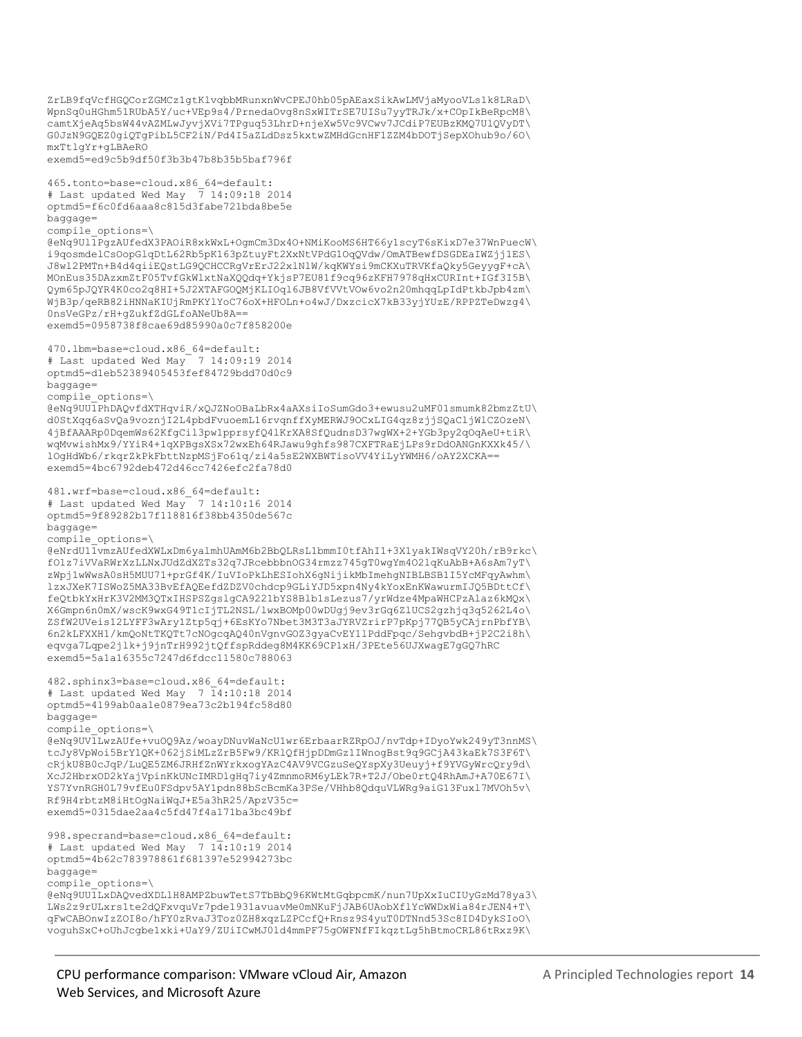```
ZrLB9fqVcfHGQCorZGMCz1gtKlvqbbMRunxnWvCPEJ0hb05pAEaxSikAwLMVjaMyooVLs1k8LRaD\
WpnSq0uHGhm51RUbA5Y/uc+VEp9s4/PrnedaOvg8nSxWITrSE7UISu7yyTRJk/x+COpIkBeRpcM8\
camtXjeAq5bsW44vAZMLwJyvjXVi7TPguq53LhrD+njeXw5Vc9VCwv7JCdiP7EUBzKMQ7UlQVyDT\
G0JzN9GQEZ0giQTgPibL5CF2iN/Pd4I5aZLdDsz5kxtwZMHdGcnHF1ZZM4bDOTjSepXOhub9o/6O\
mxTtlgYr+gLBAeRO
exemd5=ed9c5b9df50f3b3b47b8b35b5baf796f
465.tonto=base=cloud.x86_64=default:
# Last updated Wed May \frac{1}{7} 14:09:18 2014
optmd5=f6c0fd6aaa8c815d3fabe721bda8be5e
baggage=
compile_options=\
@eNq9Ul1PgzAUfedX3PAOiR8xkWxL+OgmCm3Dx4O+NMiKooMS6HT66y1scyT6sKixD7e37WnPuecW\
i9qosmdelCsOopGlqDtL62Rb5pK163pZtuyFt2XxNtVPdG1OqQVdw/OmATBewfDSGDEaIWZjj1ES\
J8wl2PMTn+B4d4qiiEQstLG9QCHCCRgVrErJ22xlNlW/kqKWYsi9mCKXuTRVKfaQky5GeyygF+cA\
MOnEus35DAzxmZtF05TvfGkWlxtNaXQQdq+YkjsP7EU81f9cq96zKFH7978qHxCURInt+IGf3I5B\
Qym65pJQYR4K0co2q8HI+5J2XTAFGOQMjKLIOql6JB8VfVVtVOw6vo2n20mhqqLpIdPtkbJpb4zm\
WjB3p/qeRB82iHNNaKIUjRmPKYlYoC76oX+HFOLn+o4wJ/DxzcicX7kB33yjYUzE/RPPZTeDwzg4\
0nsVeGPz/rH+gZukfZdGLfoANeUb8A==
exemd5=0958738f8cae69d85990a0c7f858200e
470.lbm=base=cloud.x86_64=default:
# Last updated Wed May 7 14:09:19 2014
optmd5=d1eb52389405453fef84729bdd70d0c9
baggage=
compile_options=\
@eNq9UU1PhDAQvfdXTHqviR/xQJZNoOBaLbRx4aAXsiIoSumGdo3+ewusu2uMF01smumk82bmzZtU\
d0StXqq6aSvQa9voznjI2L4pbdFvuoemL16rvqnffXyMERWJ9OCxLIG4qz8zjjSQaCljWlCZOzeN\
4jBfAAARp0DqemWs62KfgCil3pw1pprsyfQ4lKrXA8SfQudnsD37wgWX+2+YGb3py2qOqAeU+tiR\
wqMvwishMx9/YYiR4+1qXPBgsXSx72wxEh64RJawu9ghfs987CXFTRaEjLPs9rDdOANGnKXXk45/\
lOgHdWb6/rkqrZkPkFbttNzpMSjFo61q/zi4a5sE2WXBWTisoVV4YiLyYWMH6/oAY2XCKA==
exemd5=4bc6792deb472d46cc7426efc2fa78d0
481.wrf=base=cloud.x86_64=default:
# Last updated Wed May 7 14:10:16 2014
optmd5=9f89282b17f118816f38bb4350de567c
baggage=
compile_options=\
@eNrdU11vmzAUfedXWLxDm6yalmhUAmM6b2BbQLRsL1bmmI0tfAhI1+3X1yakIWsqVY20h/rB9rkc\
fO1z7iVVaRWrXzLLNxJUdZdXZTs32q7JRcebbbnOG34rmzz745gT0wgYm4O2lqKuAbB+A6sAm7yT\
zWpj1wWwsA0sH5MUU71+prGf4K/IuVIoPkLhESIohX6gNijikMbImehgNIBLBSB1I5YcMFqyAwhm\
lzxJXeK7ISWoZ5MA33BvEfAQEefdZDZV0chdcp9GLiYJD5xpn4Ny4kYoxEnKWawurmIJQ5BDttCf\
feQtbkYxHrK3V2MM3QTxIHSPSZgslgCA9221bYS8Blb1sLezus7/yrWdze4MpaWHCPzAlaz6kMQx\
X6Gmpn6n0mX/wscK9wxG49T1cIjTL2NSL/lwxBOMp00wDUgj9ev3rGq6ZlUCS2gzhjq3q5262L4o\
ZSfW2UVeis12LYFF3wAry1Ztp5qj+6EsKYo7Nbet3M3T3aJYRVZrirP7pKpj77QB5yCAjrnPbfYB\
6n2kLFXXH1/kmQoNtTKQTt7cNOgcqAQ40nVgnvGOZ3gyaCvEY1lPddFpqc/SehgvbdB+jP2C2i8h\
eqvga7Lqpe2jlk+j9jnTrH992jtQffspRddeg8M4KK69CP1xH/3PEte56UJXwagE7gGQ7hRC
exemd5=5a1a16355c7247d6fdcc11580c788063
482.sphinx3=base=cloud.x86_64=default:
# Last updated Wed May 7 14:10:18 2014
optmd5=4199ab0aa1e0879ea73c2b194fc58d80
baggage=
compile_options=\
@eNq9UV1LwzAUfe+vuOQ9Az/woayDNuvWaNcU1wr6ErbaarRZRpOJ/nvTdp+IDyoYwk249yT3nnMS\
tcJy8VpWoi5BrY1QK+062jSiMLzZrB5Fw9/KRlQfHjpDDmGz1IWnogBst9q9GCjA43kaEk7S3F6T\
cRjkU8B0cJqP/LuQE5ZM6JRHfZnWYrkxogYAzC4AV9VCGzuSeQYspXy3Ueuyj+f9YVGyWrcQry9d\
XcJ2HbrxOD2kYajVpinKkUNcIMRDlgHq7iy4ZmnmoRM6yLEk7R+T2J/Obe0rtQ4RhAmJ+A70E67I\
YS7YvnRGH0L79vfEu0FSdpv5AY1pdn88bScBcmKa3PSe/VHhb8QdquVLWRg9aiG13Fuxl7MVOh5v\
Rf9H4rbtzM8iHtOgNaiWqJ+E5a3hR25/ApzV35c=
exemd5=0315dae2aa4c5fd47f4a171ba3bc49bf
998.specrand=base=cloud.x86_64=default:
# Last updated Wed May 7 14:10:19 2014
optmd5=4b62c783978861f681397e52994273bc
baggage=
compile_options=\
@eNq9UU1LxDAQvedXDLlH8AMPZbuwTetS7TbBbQ96KWtMtGqbpcmK/nun7UpXxIuCIUyGzMd78ya3\
LWs2z9rULxrs1te2dQFxvquVr7pde1931avuavMe0mNKuFjJAB6UAobXflYcWWDxWia84rJEN4+T\
qFwCABOnwIzZOI8o/hFY0zRvaJ3Toz0ZH8xqzLZPCcfQ+Rnsz9S4yuT0DTNnd53Sc8ID4DykSIoO\
voguhSxC+oUhJcgbe1xki+UaY9/ZUiICwMJ0ld4mmPF75gOWFNfFIkqztLg5hBtmoCRL86tRxz9K\
```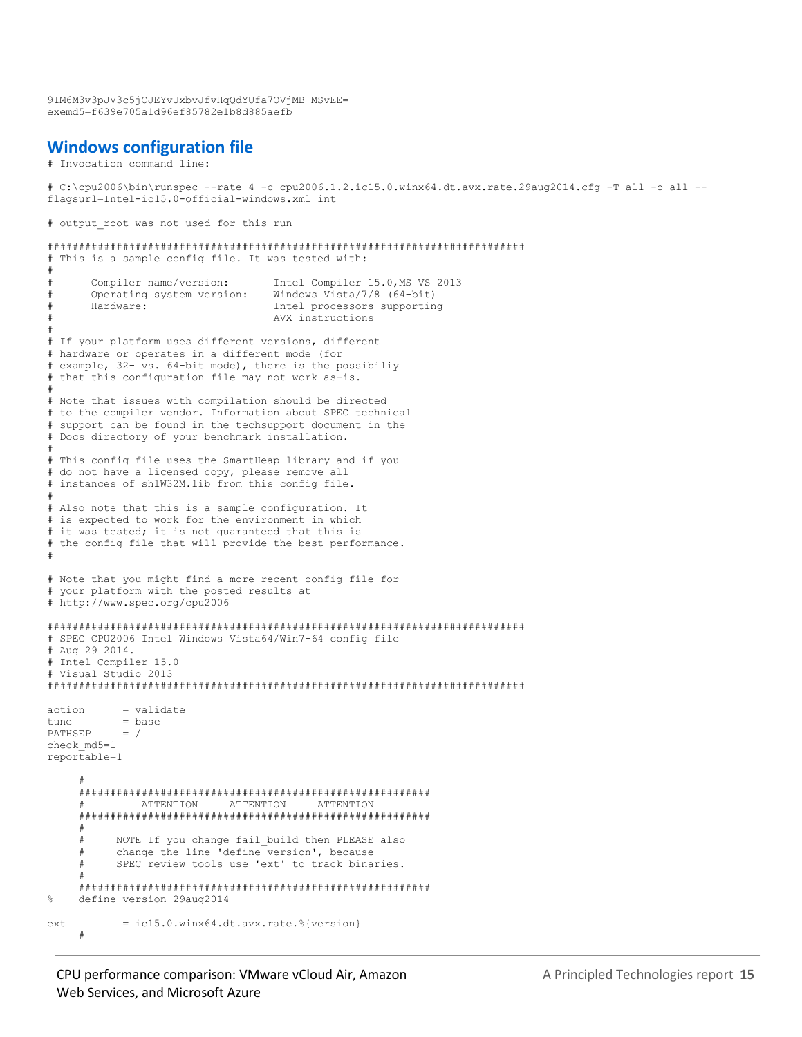9IM6M3v3pJV3c5jOJEYvUxbvJfvHqQdYUfa7OVjMB+MSvEE= exemd5=f639e705a1d96ef85782e1b8d885aefb

#### **Windows configuration file**

```
# Invocation command line:
```

```
# C:\cpu2006\bin\runspec --rate 4 -c cpu2006.1.2.ic15.0.winx64.dt.avx.rate.29aug2014.cfg -T all -o all --
flagsurl=Intel-ic15.0-official-windows.xml int
```
# output root was not used for this run

```
############################################################################
# This is a sample config file. It was tested with:
#
# Compiler name/version: Intel Compiler 15.0,MS VS 2013
# Operating system version: Windows Vista/7/8 (64-bit)
      Hardware: Thel processors supporting
                                  AVX instructions
#
# If your platform uses different versions, different
# hardware or operates in a different mode (for
# example, 32- vs. 64-bit mode), there is the possibiliy
# that this configuration file may not work as-is.
#
# Note that issues with compilation should be directed
# to the compiler vendor. Information about SPEC technical
# support can be found in the techsupport document in the
# Docs directory of your benchmark installation.
#
# This config file uses the SmartHeap library and if you
# do not have a licensed copy, please remove all
# instances of shlW32M.lib from this config file.
#
# Also note that this is a sample configuration. It
# is expected to work for the environment in which
# it was tested; it is not guaranteed that this is
# the config file that will provide the best performance.
#
# Note that you might find a more recent config file for
# your platform with the posted results at
# http://www.spec.org/cpu2006
############################################################################
# SPEC CPU2006 Intel Windows Vista64/Win7-64 config file
# Aug 29 2014.
# Intel Compiler 15.0
# Visual Studio 2013
############################################################################
action = validate
tune = base
PATHSEP = /
check_md5=1
reportable=1
 #
      ########################################################
      # ATTENTION ATTENTION ATTENTION
      ########################################################
      #
      # NOTE If you change fail_build then PLEASE also
      # change the line 'define version', because
      # SPEC review tools use 'ext' to track binaries.
 #
 ########################################################
    define version 29aug2014
ext = ic15.0<u>winx64.dt.avx.rate.</u>%{version} #
```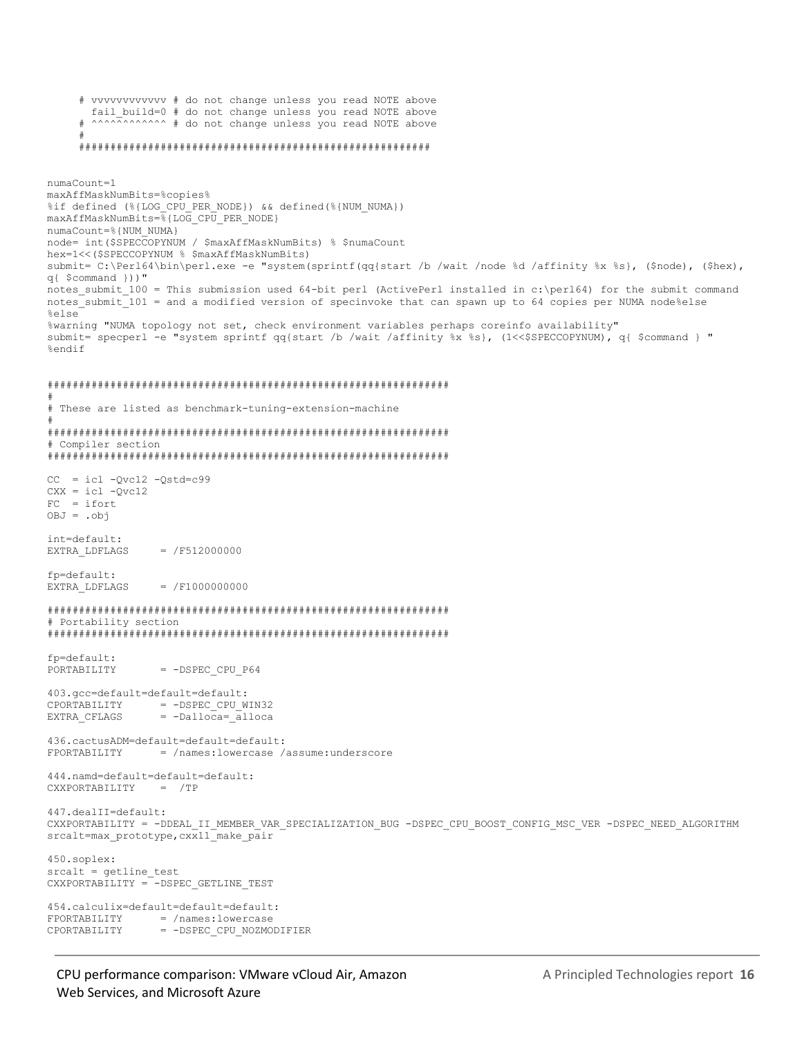```
 # vvvvvvvvvvvv # do not change unless you read NOTE above
        fail_build=0 # do not change unless you read NOTE above
     # ^^^^^^^^^^^^^^ # do not change unless you read NOTE above
 #
      ########################################################
numaCount=1
maxAffMaskNumBits=%copies%
%if defined (%{LOG CPU PER NODE}) && defined(%{NUM_NUMA})
maxAffMaskNumBits=%{LOG_CPU_PER_NODE}
numaCount=%{NUM_NUMA}
node= int($SPECCOPYNUM / $maxAffMaskNumBits) % $numaCount
hex=1<<($SPECCOPYNUM % $maxAffMaskNumBits)
submit= C:\Perl64\bin\perl.exe -e "system(sprintf(qq{start /b /wait /node %d /affinity %x %s}, ($node), ($hex), 
q{ $command }))"
notes submit 100 = This submission used 64-bit perl (ActivePerl installed in c:\perl64) for the submit command
notes_submit_101 = and a modified version of specinvoke that can spawn up to 64 copies per NUMA node%else
%else
%warning "NUMA topology not set, check environment variables perhaps coreinfo availability"
submit= specperl -e "system sprintf qq{start /b /wait /affinity %x %s}, (1<<$SPECCOPYNUM), q{ $command } "
%endif
################################################################
#
# These are listed as benchmark-tuning-extension-machine
#
################################################################
# Compiler section
################################################################
CC = ic1 - Qvc12 - Qstd = c99CXX = ic1 - Qvc12FC = ifortOBJ = .obj
int=default:
EXTRA LDFLAGS = /F512000000fp=default:
EXTRA LDFLAGS = /F1000000000################################################################
# Portability section
################################################################
fp=default:
PORTABILITY = -DSPEC CPU P64
403.gcc=default=default=default:
CPORTABILITY = -DSPEC CPU WIN32
EXTRA_CFLAGS = -Dalloca=_alloca
436.cactusADM=default=default=default:
FPORTABILITY = /names:lowercase /assume:underscore
444.namd=default=default=default:
CXXPORTABILITY = /TP
447.dealII=default:
CXXPORTABILITY = -DDEAL_II_MEMBER_VAR_SPECIALIZATION_BUG -DSPEC_CPU_BOOST_CONFIG_MSC_VER -DSPEC_NEED_ALGORITHM
srcalt=max_prototype, cxx11_make_pair
450.soplex:
srcalt = getline_test
CXXPORTABILITY = -DSPEC GETLINE TEST
454.calculix=default=default=default:
FPORTABILITY = /names:lowercase
CPORTABILITY = -DSPEC CPU NOZMODIFIER
```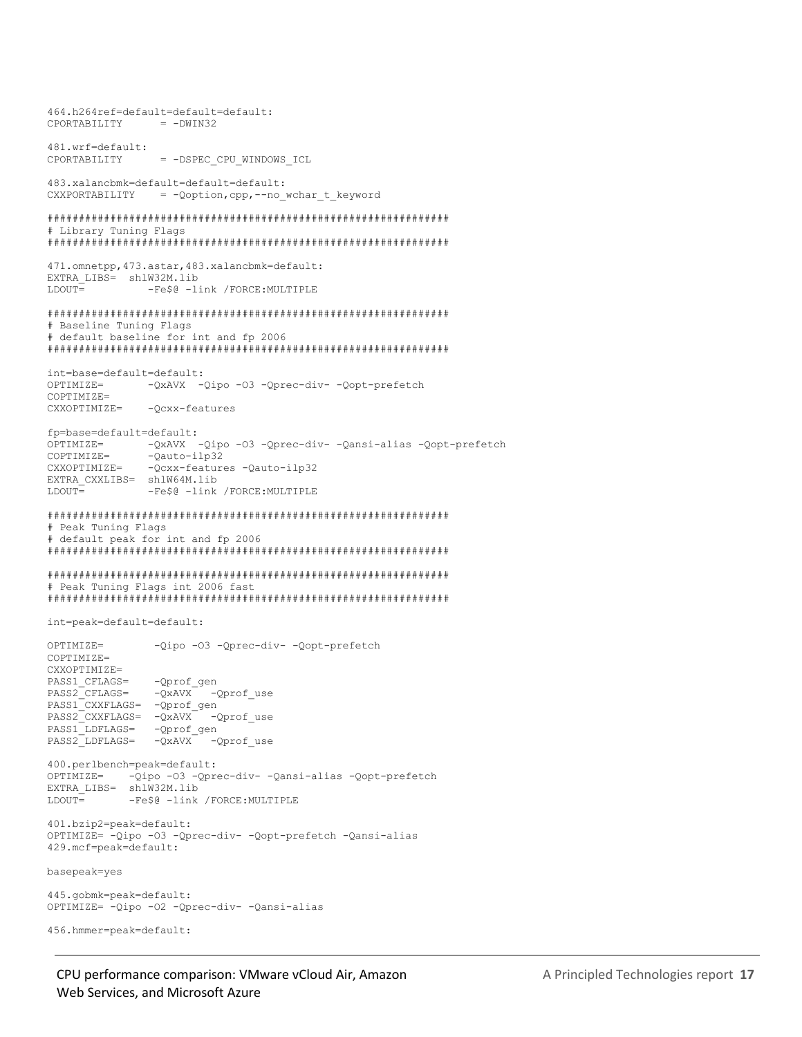464.h264ref=default=default=default: CPORTABILITY  $= -DWIN32$ 481.wrf=default: CPORTABILITY = -DSPEC CPU WINDOWS ICL 483.xalancbmk=default=default=default: CXXPORTABILITY = - Qoption, cpp, -- no\_wchar\_t\_keyword # Library Tuning Flags 471.omnetpp, 473.astar, 483.xalancbmk=default: EXTRA\_LIBS= shlW32M.lib  $T.DOUT =$ -Fe\$@ -link /FORCE:MULTIPLE # Baseline Tuning Flags # default baseline for int and fp 2006 int=base=default=default: -QxAVX -Qipo -03 -Qprec-div- -Oopt-prefetch OPTIMIZE=  $COMITATE =$ CXXOPTIMIZE= -Ocxx-features fp=base=default=default:  $OPTIMTZE =$ -QxAVX -Qipo -03 -Qprec-div- -Qansi-alias -Qopt-prefetch COPTIMIZE= -Qauto-ilp32 CXXOPTIMIZE= -Qcxx-features -Qauto-ilp32 EXTRA CXXLIBS= shlW64M.lib  $LDOUT =$ -Fe\$@ -link /FORCE:MULTIPLE # Peak Tuning Flags # default peak for int and fp 2006 # Peak Tuning Flags int 2006 fast int=peak=default=default: OPTIMIZE= -Qipo -03 -Qprec-div- -Qopt-prefetch COPTIMIZE= CXXOPTIMIZE= -Qprof\_gen PASS1 CFLAGS= PASS2 CFLAGS= -QxAVX - Qprof use PASS1\_CXXFLAGS= - Qprof\_gen PASS2<sup>-</sup>CXXFLAGS= - QxAVX<sup>-</sup> - Qprof use  ${\tt PASS1}$   ${\tt LDFLAGS}=\begin{array}{cc} -{\tt Qprof\_gen} \end{array}$  $PASS2$  LDFLAGS=  $-QXAVX$ -Qprof use 400.perlbench=peak=default: OPTIMIZE= - Qipo -03 - Qprec-div- - Qansi-alias - Qopt-prefetch EXTRA LIBS= shlW32M.lib -Fe\$@ -link /FORCE:MULTIPLE  $T.DOTIT =$ 401.bzip2=peak=default: OPTIMIZE= -Qipo -03 -Qprec-div- -Qopt-prefetch -Qansi-alias 429.mcf=peak=default: basepeak=yes 445.gobmk=peak=default: OPTIMIZE= - Qipo - 02 - Qprec-div- - Qansi-alias 456.hmmer=peak=default: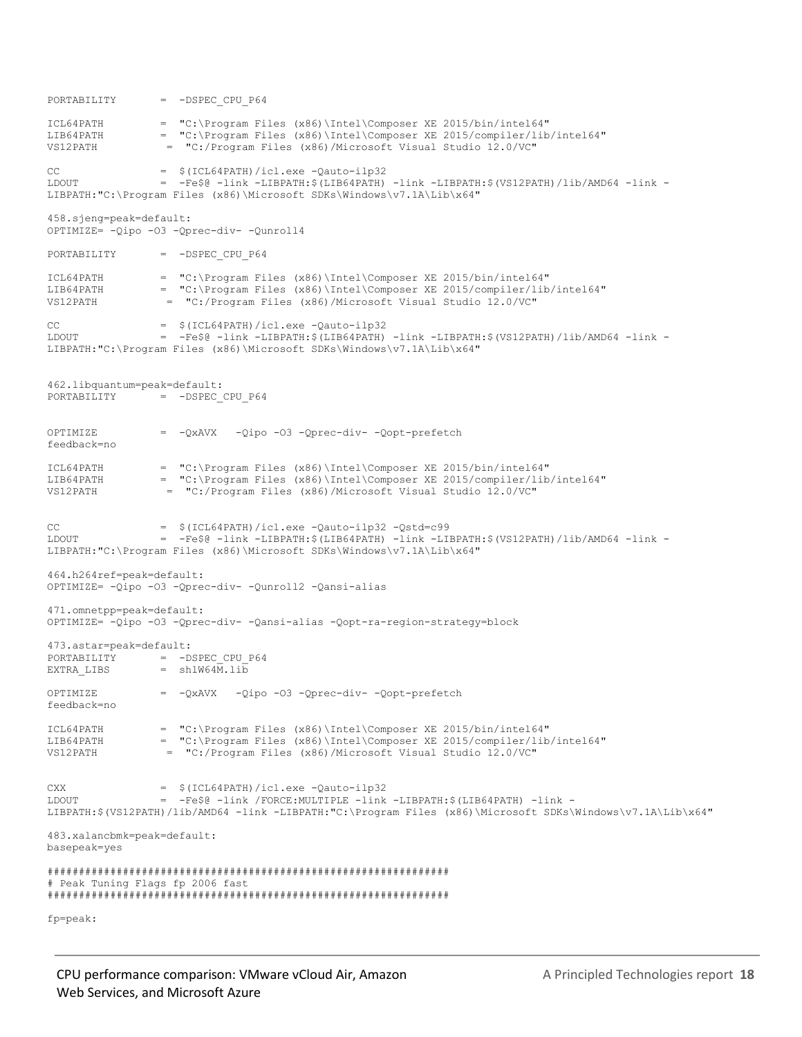PORTABILITY = -DSPEC CPU P64 ICL64PATH =  $C:\Perogram$  Files (x86)\Intel\Composer XE 2015/bin/intel64"<br>ITR64PATH =  $C:\Perogram$  Files (x86)\Intel\Composer XE 2015/compiler/lib  $=$  "C:\Program Files (x86)\Intel\Composer XE 2015/compiler/lib/intel64" VS12PATH = "C:/Program Files (x86)/Microsoft Visual Studio 12.0/VC"  $CC =$   $$ (ICL64PATH) / 1cl.exe -Qauto-11p32$ LDOUT  $= -Fe\$  $0 - link - LIBPATH:$   $(LIB64PATH) - link - LIBPATH:$   $(VS12PATH)/lib/AMD64 - link -$ LIBPATH:"C:\Program Files (x86)\Microsoft SDKs\Windows\v7.1A\Lib\x64" 458.sjeng=peak=default: OPTIMIZE= -Qipo -O3 -Qprec-div- -Qunroll4 PORTABILITY = -DSPEC CPU P64 ICL64PATH = "C:\Program Files (x86)\Intel\Composer XE 2015/bin/intel64" LIB64PATH = "C:\Program Files (x86)\Intel\Composer XE 2015/compiler/lib/intel64" VS12PATH = "C:/Program Files (x86)/Microsoft Visual Studio 12.0/VC"  $CC =$   $$ (ICL64PATH) / 1cl.exe -Qauto-11p32$ LDOUT = -Fe\$@ -link -LIBPATH:\$(LIB64PATH) -link -LIBPATH:\$(VS12PATH)/lib/AMD64 -link - LIBPATH:"C:\Program Files (x86)\Microsoft SDKs\Windows\v7.1A\Lib\x64" 462.libquantum=peak=default: PORTABILITY = -DSPEC CPU P64 OPTIMIZE = -QxAVX -Qipo -O3 -Qprec-div- -Qopt-prefetch feedback=no ICL64PATH = "C:\Program Files (x86)\Intel\Composer XE 2015/bin/intel64" LIB64PATH = "C:\Program Files (x86)\Intel\Composer XE 2015/compiler/lib/intel64" VS12PATH = "C:/Program Files (x86)/Microsoft Visual Studio 12.0/VC"  $CC = \frac{1}{2}$  (ICL64PATH)/icl.exe -Qauto-ilp32 -Qstd=c99<br>  $= -Fe\$  $\frac{1}{2}$  -Fe $\frac{1}{2}$  -Link -LIBPATH:  $\frac{1}{2}$  (LIB64PATH) -link -LIB  $= -Fe$  $0 - link -LIBPATH:$ \$(LIB64PATH) -link -LIBPATH:\$(VS12PATH)/lib/AMD64 -link -LIBPATH:"C:\Program Files (x86)\Microsoft SDKs\Windows\v7.1A\Lib\x64" 464.h264ref=peak=default: OPTIMIZE= -Qipo -O3 -Qprec-div- -Qunroll2 -Qansi-alias 471.omnetpp=peak=default: OPTIMIZE= -Qipo -O3 -Qprec-div- -Qansi-alias -Qopt-ra-region-strategy=block 473.astar=peak=default: PORTABILITY = -DSPEC CPU P64  $EXTRA$  LIBS  $=$  shlW64M.lib OPTIMIZE = -QxAVX -Qipo -O3 -Qprec-div- -Qopt-prefetch feedback=no ICL64PATH = "C:\Program Files (x86)\Intel\Composer XE 2015/bin/intel64" LIB64PATH = "C:\Program Files (x86)\Intel\Composer XE 2015/compiler/lib/intel64" VS12PATH = "C:/Program Files (x86)/Microsoft Visual Studio 12.0/VC"  $CXX =$  \$(ICL64PATH)/icl.exe  $-Qauto-ilp32$ LDOUT = -Fe\$@ -link /FORCE:MULTIPLE -link -LIBPATH:\$(LIB64PATH) -link - LIBPATH:\$(VS12PATH)/lib/AMD64 -link -LIBPATH:"C:\Program Files (x86)\Microsoft SDKs\Windows\v7.1A\Lib\x64" 483.xalancbmk=peak=default: basepeak=yes ################################################################ # Peak Tuning Flags fp 2006 fast ################################################################

fp=peak: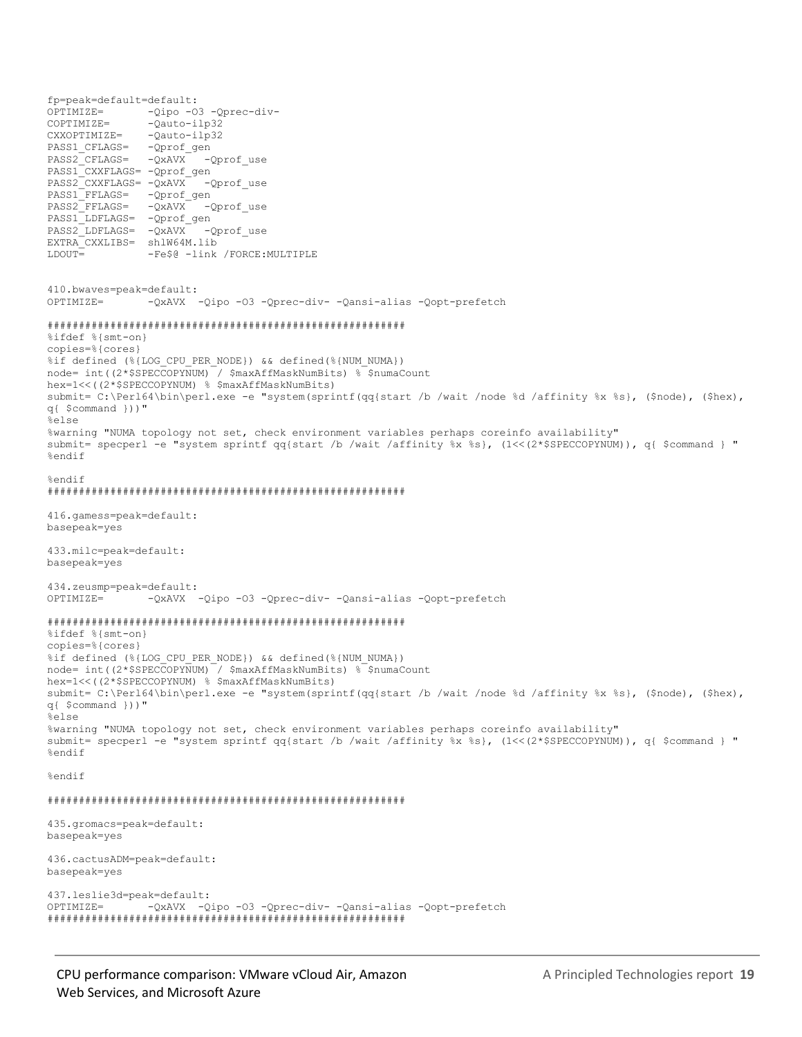fp=peak=default=default: OPTIMIZE= -Qipo -O3 -Qprec-div-COPTIMIZE= - Qauto-ilp32 CXXOPTIMIZE= -Qauto-ilp32 PASS1\_CFLAGS= - Qprof\_gen PASS2 CFLAGS= - QxAVX - Qprof use PASS1\_CXXFLAGS= - Qprof\_gen PASS2<sup>-</sup>CXXFLAGS= -QxAVX -Qprof\_use PASS1\_FFLAGS= - Qprof\_gen PASS2\_FFLAGS= - QxAVX - Qprof\_use PASS1\_LDFLAGS= -Qprof\_gen PASS2\_LDFLAGS= - QxAVX - Qprof use EXTRA\_CXXLIBS= shlW64M.lib LDOUT= -Fe\$@ -link /FORCE:MULTIPLE 410.bwaves=peak=default: OPTIMIZE= -QxAVX -Qipo -O3 -Qprec-div- -Qansi-alias -Qopt-prefetch ######################################################### %ifdef %{smt-on} copies=%{cores} %if defined (%{LOG\_CPU\_PER\_NODE}) && defined(%{NUM\_NUMA}) node= int((2\*\$SPECCOPYNUM) / \$maxAffMaskNumBits) % \$numaCount hex=1<<((2\*\$SPECCOPYNUM) % \$maxAffMaskNumBits) submit= C:\Perl64\bin\perl.exe -e "system(sprintf(qq{start /b /wait /node %d /affinity %x %s}, (\$node), (\$hex), q{ \$command }))" %else %warning "NUMA topology not set, check environment variables perhaps coreinfo availability" submit= specperl -e "system sprintf qq{start /b /wait /affinity %x %s}, (1<<(2\*\$SPECCOPYNUM)), q{ \$command } " %endif %endif ######################################################### 416.gamess=peak=default: basepeak=yes 433.milc=peak=default: basepeak=yes 434.zeusmp=peak=default: OPTIMIZE= -QxAVX -Qipo -O3 -Qprec-div- -Qansi-alias -Qopt-prefetch ######################################################### %ifdef %{smt-on} copies=%{cores} %if defined (%{LOG\_CPU\_PER\_NODE}) && defined(%{NUM\_NUMA}) node= int((2\*\$SPECCOPYNUM) / \$maxAffMaskNumBits) % \$numaCount hex=1<<((2\*\$SPECCOPYNUM) % \$maxAffMaskNumBits) submit= C:\Perl64\bin\perl.exe -e "system(sprintf(qq{start /b /wait /node %d /affinity %x %s}, (\$node), (\$hex), q{ \$command }))" %else %warning "NUMA topology not set, check environment variables perhaps coreinfo availability" submit= specperl -e "system sprintf qq{start /b /wait /affinity %x %s}, (1<<(2\*\$SPECCOPYNUM)), q{ \$command } " %endif %endif ######################################################### 435.gromacs=peak=default: basepeak=yes 436.cactusADM=peak=default: basepeak=yes 437.leslie3d=peak=default: OPTIMIZE= -QxAVX -Qipo -O3 -Qprec-div- -Qansi-alias -Qopt-prefetch #########################################################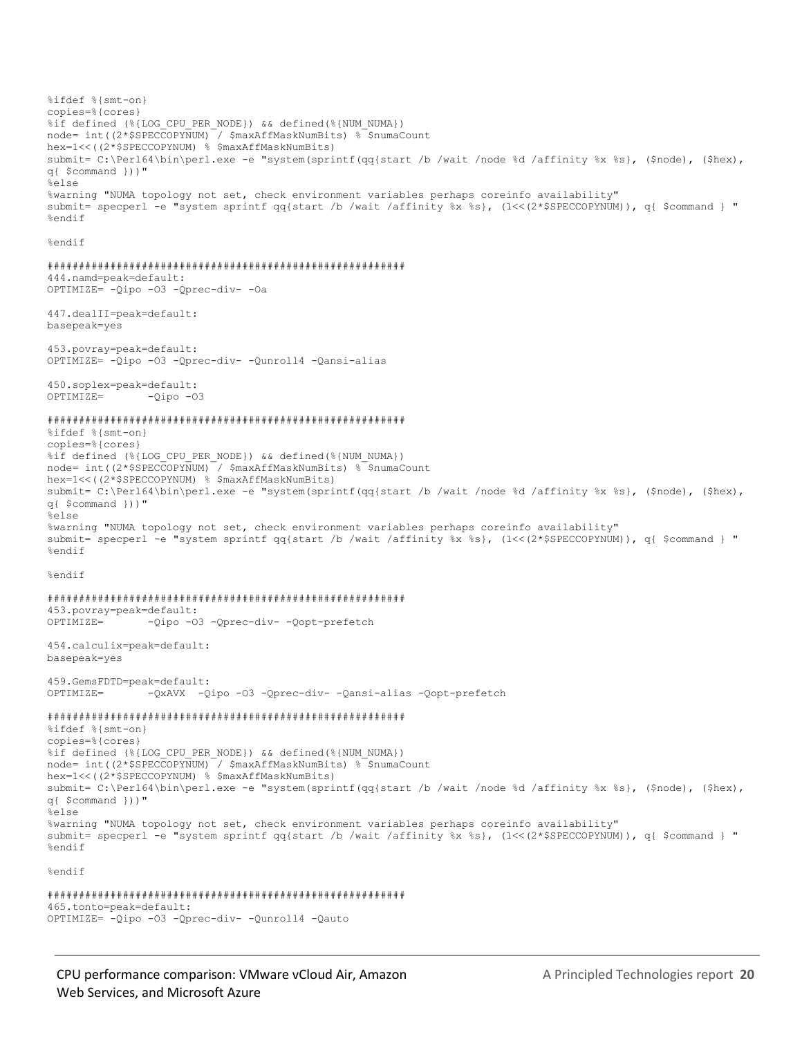%ifdef %{smt-on} copies=%{cores} %if defined (%{LOG CPU PER NODE}) && defined(%{NUM NUMA}) node= int((2\*\$SPECCOPYNUM) / \$maxAffMaskNumBits) % \$numaCount hex=1<<((2\*\$SPECCOPYNUM) % \$maxAffMaskNumBits) submit= C:\Perl64\bin\perl.exe -e "system(sprintf(qq{start /b /wait /node %d /affinity %x %s}, (\$node), (\$hex), q{ \$command }))" %else %warning "NUMA topology not set, check environment variables perhaps coreinfo availability" submit= specperl -e "system sprintf qq{start /b /wait /affinity %x %s}, (1<<(2\*\$SPECCOPYNUM)), q{ \$command } " %endif %endif 444.namd=peak=default: OPTIMIZE= - Qipo -03 - Qprec-div- - Oa 447.dealII=peak=default: basepeak=yes 453.povray=peak=default: OPTIMIZE= -Qipo -03 -Qprec-div- -Qunroll4 -Qansi-alias 450.soplex=peak=default: OPTIMIZE=  $-Qipo -O3$ %ifdef %{smt-on} copies=%{cores} %if defined (%{LOG CPU PER NODE}) && defined(%{NUM NUMA}) node= int((2\*\$SPECCOPYNUM) / \$maxAffMaskNumBits) % \$numaCount hex=1<<((2\*\$SPECCOPYNUM) % \$maxAffMaskNumBits) submit= C:\Perl64\bin\perl.exe -e "system(sprintf(qq{start /b /wait /node %d /affinity %x %s}, (\$node), (\$hex), q{ \$command }))" %else %warning "NUMA topology not set, check environment variables perhaps coreinfo availability" submit= specperl -e "system sprintf qq{start /b /wait /affinity %x %s}, (1<<(2\*\$SPECCOPYNUM)), q{ \$command } " %endif %endif 453.povray=peak=default: OPTIMIZE= -Qipo -03 -Qprec-div- -Qopt-prefetch 454.calculix=peak=default: basepeak=yes 459.GemsFDTD=peak=default: -QxAVX -Qipo -03 -Qprec-div- -Qansi-alias -Qopt-prefetch OPTIMIZE= %ifdef %{smt-on} copies=%{cores} %if defined (%{LOG CPU PER NODE}) && defined(%{NUM NUMA})  $node = int((2 * $SPECCOPYNUM)^{-}/ $maxAffMaskNumBlits)$  \*  $sumacount$ hex=1<<((2\*\$SPECCOPYNUM) % \$maxAffMaskNumBits) submit= C:\Perl64\bin\perl.exe -e "system(sprintf(qq{start /b /wait /node %d /affinity %x %s}, (\$node), (\$hex), q{ \$command }))" %else %warning "NUMA topology not set, check environment variables perhaps coreinfo availability" submit= specperl -e "system sprintf qq{start /b /wait /affinity %x %s}, (1<<(2\*\$SPECCOPYNUM)), q{ \$command } " %endif %endif 

465.tonto=peak=default: OPTIMIZE= -Qipo -03 -Qprec-div- -Qunroll4 -Qauto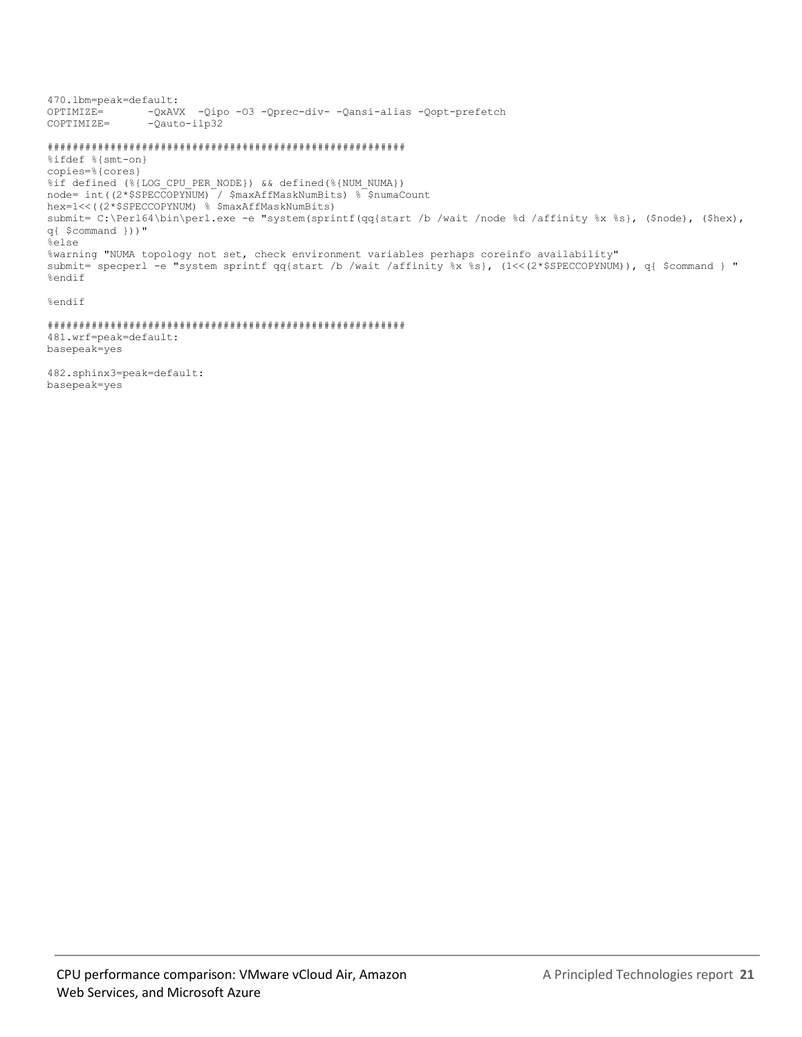470.1bm=peak=default: OPTIMIZE= - QxAVX -Qipo -03 -Qprec-div- -Qansi-alias -Qopt-prefetch -Qauto-ilp32 COPTIMIZE=

#### 

%ifdef %{smt-on} copies=%{cores} %if defined (%{LOG CPU PER NODE}) && defined(%{NUM NUMA}) node= int((2\*\$SPECCOPYNUM) / \$maxAffMaskNumBits) % \$numaCount hex=1<<((2\*\$SPECCOPYNUM) % \$maxAffMaskNumBits) submit= C:\Perl64\bin\perl.exe -e "system(sprintf(qq{start /b /wait /node %d /affinity %x %s}, (\$node), (\$hex), q{ \$command }))" %else %warning "NUMA topology not set, check environment variables perhaps coreinfo availability" submit= specperl -e "system sprintf qq{start /b /wait /affinity %x %s}, (1<<(2\*\$SPECCOPYNUM)), q{ \$command } " %endif

%endif

481.wrf=peak=default: basepeak=yes

482.sphinx3=peak=default: basepeak=yes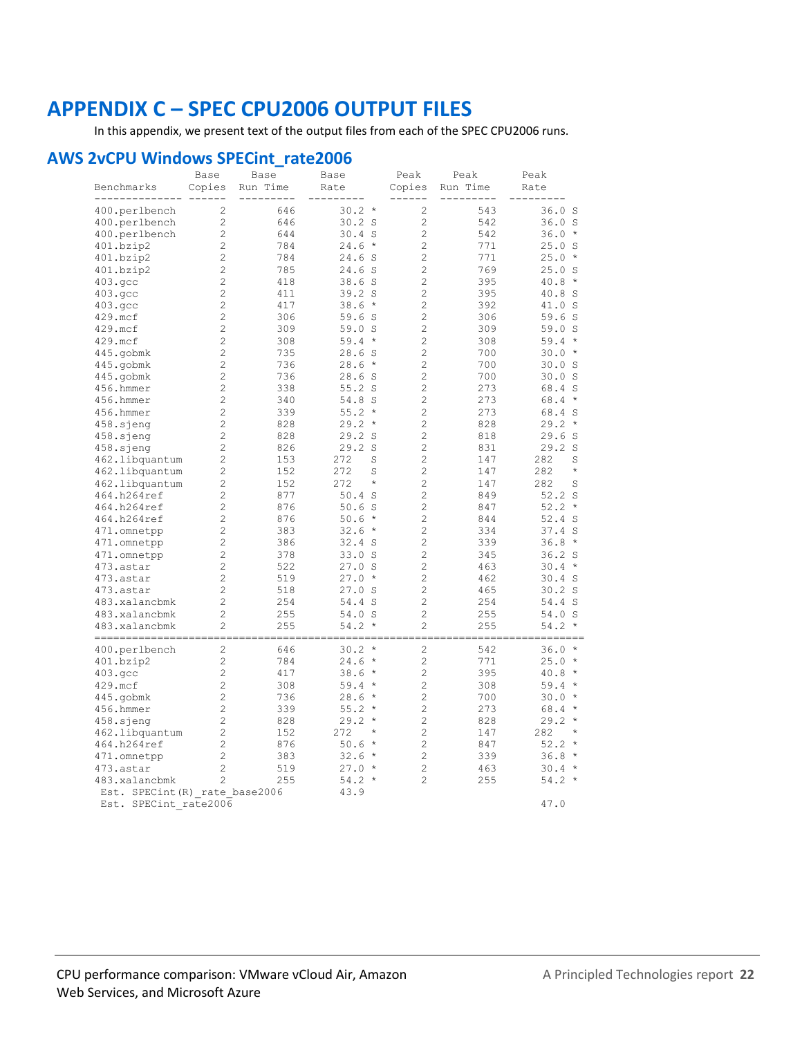# <span id="page-21-0"></span>**APPENDIX C - SPEC CPU2006 OUTPUT FILES**

In this appendix, we present text of the output files from each of the SPEC CPU2006 runs.

#### **AWS 2vCPU Windows SPECint\_rate2006**

| Benchmarks                     | Base<br>Copies | Base<br>Run Time | Base<br>Rate       | Peak<br>Copies | Peak<br>Run Time | Peak<br>Rate        |
|--------------------------------|----------------|------------------|--------------------|----------------|------------------|---------------------|
|                                |                |                  |                    |                |                  |                     |
| 400.perlbench                  | 2              | 646              | $30.2 *$           | $\overline{c}$ | 543              | 36.0S               |
| 400.perlbench                  | $\overline{c}$ | 646              | 30.2 S             | $\overline{c}$ | 542              | 36.0 S              |
| 400.perlbench                  | $\overline{c}$ | 644              | $30.4$ S           | $\mathbf{2}$   | 542              | 36.0<br>$\star$     |
| 401.bzip2                      | $\overline{c}$ | 784              | $24.6 *$           | $\overline{c}$ | 771              | 25.0 S              |
| 401.bzip2                      | $\overline{c}$ | 784              | 24.6 S             | $\overline{c}$ | 771              | $25.0*$             |
| 401.bzip2                      | $\overline{c}$ | 785              | 24.6 S             | $\overline{c}$ | 769              | 25.0 S              |
| 403.qcc                        | $\overline{c}$ | 418              | 38.6S              | $\overline{c}$ | 395              | 40.8<br>$^{\star}$  |
| 403.qcc                        | $\overline{c}$ | 411              | 39.2 S             | $\overline{c}$ | 395              | 40.8 S              |
| 403.qcc                        | $\overline{c}$ | 417              | $38.6*$            | $\overline{c}$ | 392              | 41.0 S              |
| 429.mcf                        | $\overline{c}$ | 306              | 59.6S              | $\overline{c}$ | 306              | 59.6 S              |
| 429.mcf                        | $\overline{c}$ | 309              | 59.0 S             | $\overline{c}$ | 309              | 59.0 S              |
| 429.mcf                        | $\overline{c}$ | 308              | $59.4*$            | $\overline{c}$ | 308              | 59.4<br>$\star$     |
| 445.gobmk                      | $\overline{c}$ | 735              | 28.6 S             | $\overline{c}$ | 700              | $30.0 *$            |
| 445.gobmk                      | $\overline{c}$ | 736              | $28.6*$            | $\overline{c}$ | 700              | 30.0 S              |
| 445.gobmk                      | $\overline{c}$ | 736              | 28.6S              | $\overline{c}$ | 700              | 30.0 S              |
| 456.hmmer                      | $\overline{c}$ | 338              | $55.2$ S           | $\overline{c}$ | 273              | 68.4 S              |
| 456.hmmer                      | $\overline{c}$ | 340              | 54.8 S             | $\overline{c}$ | 273              | $\star$<br>68.4     |
| 456.hmmer                      | $\overline{c}$ | 339              | $55.2*$            | $\overline{c}$ | 273              | 68.4 S              |
| 458.sjeng                      | $\overline{c}$ | 828              | $29.2*$            | $\overline{c}$ | 828              | 29.2<br>$\star$     |
| 458.sjeng                      | $\overline{c}$ | 828              | 29.2S              | $\overline{c}$ | 818              | 29.6S               |
| $458.\skip$ sjeng              | $\overline{c}$ | 826              | 29.2 S             | $\overline{c}$ | 831              | 29.2 S              |
| 462.libquantum                 | $\overline{c}$ | 153              | 272<br>S           | $\overline{c}$ | 147              | 282<br>S            |
| 462.libquantum                 | $\overline{c}$ | 152              | 272<br>S           | $\overline{c}$ | 147              | $\star$<br>282      |
| 462.libquantum                 | $\overline{c}$ | 152              | 272<br>$^{\star}$  | $\overline{c}$ | 147              | 282<br>S            |
| 464.h264ref                    | $\overline{c}$ | 877              | $50.4$ S           | $\overline{c}$ | 849              | $52.2$ S            |
| 464.h264ref                    | $\overline{c}$ | 876              | 50.6S              | $\overline{c}$ | 847              | $52.2*$             |
| 464.h264ref                    | $\overline{c}$ | 876              | $50.6*$            | $\overline{c}$ | 844              | 52.4 S              |
| 471.omnetpp                    | $\overline{c}$ | 383              | $32.6*$            | $\overline{c}$ | 334              | 37.4S               |
| 471.omnetpp                    | $\overline{c}$ | 386              | 32.4 S             | $\overline{c}$ | 339              | 36.8<br>$\star$     |
| 471.omnetpp                    | $\overline{c}$ | 378              | 33.0 S             | $\overline{c}$ | 345              | 36.2 <sub>S</sub>   |
| 473.astar                      | $\overline{c}$ | 522              | 27.0 S             | $\overline{c}$ | 463              | 30.4<br>$\star$     |
| 473.astar                      | $\overline{c}$ | 519              | $27.0 *$           | $\overline{c}$ | 462              | $30.4$ S            |
| 473.astar                      | $\overline{c}$ | 518              | 27.0 S             | $\overline{c}$ | 465              | $30.2$ S            |
| 483.xalancbmk                  | $\overline{c}$ | 254              | 54.4 S             | $\overline{c}$ | 254              | 54.4 S              |
| 483.xalancbmk                  | $\overline{c}$ | 255              | 54.0 S             | $\mathbf{2}$   | 255              | 54.0 S              |
| 483.xalancbmk                  | $\overline{c}$ | 255              | $54.2*$            | $\overline{c}$ | 255              | 54.2<br>$\star$     |
| =============                  |                |                  |                    |                |                  |                     |
| 400.perlbench                  | 2              | 646              | 30.2<br>$\star$    | $\overline{c}$ | 542              | 36.0<br>$\star$     |
| 401.bzip2                      | $\overline{c}$ | 784              | $^{\star}$<br>24.6 | $\overline{c}$ | 771              | $\;\;\star$<br>25.0 |
| 403.qcc                        | $\overline{c}$ | 417              | $38.6*$            | $\overline{c}$ | 395              | 40.8<br>$\star$     |
| 429.mcf                        | $\overline{c}$ | 308              | $59.4*$            | $\overline{c}$ | 308              | 59.4<br>$\star$     |
| 445.gobmk                      | $\overline{c}$ | 736              | 28.6<br>$\star$    | $\overline{c}$ | 700              | 30.0<br>$\star$     |
| 456.hmmer                      | $\overline{c}$ | 339              | $55.2*$            | $\overline{c}$ | 273              | $68.4*$             |
| $458.\skip$ sjeng              | 2              | 828              | 29.2<br>$\star$    | $\overline{c}$ | 828              | 29.2<br>$\star$     |
| 462.libquantum                 | $\overline{c}$ | 152              | 272<br>$^{\star}$  | $\overline{c}$ | 147              | 282<br>$\star$      |
| 464.h264ref                    | 2              | 876              | $50.6*$            | $\overline{c}$ | 847              | 52.2<br>$\star$     |
| 471.omnetpp                    | $\overline{c}$ | 383              | $\star$<br>32.6    | $\overline{c}$ | 339              | 36.8<br>$\star$     |
| 473.astar                      | 2              | 519              | $27.0*$            | $\overline{c}$ | 463              | $30.4 *$            |
| 483.xalancbmk                  | $\overline{c}$ | 255              | $54.2*$            | $\overline{c}$ | 255              | 54.2<br>$\star$     |
| Est. SPECint (R) rate base2006 |                |                  | 43.9               |                |                  | 47.0                |
| Est. SPECint rate2006          |                |                  |                    |                |                  |                     |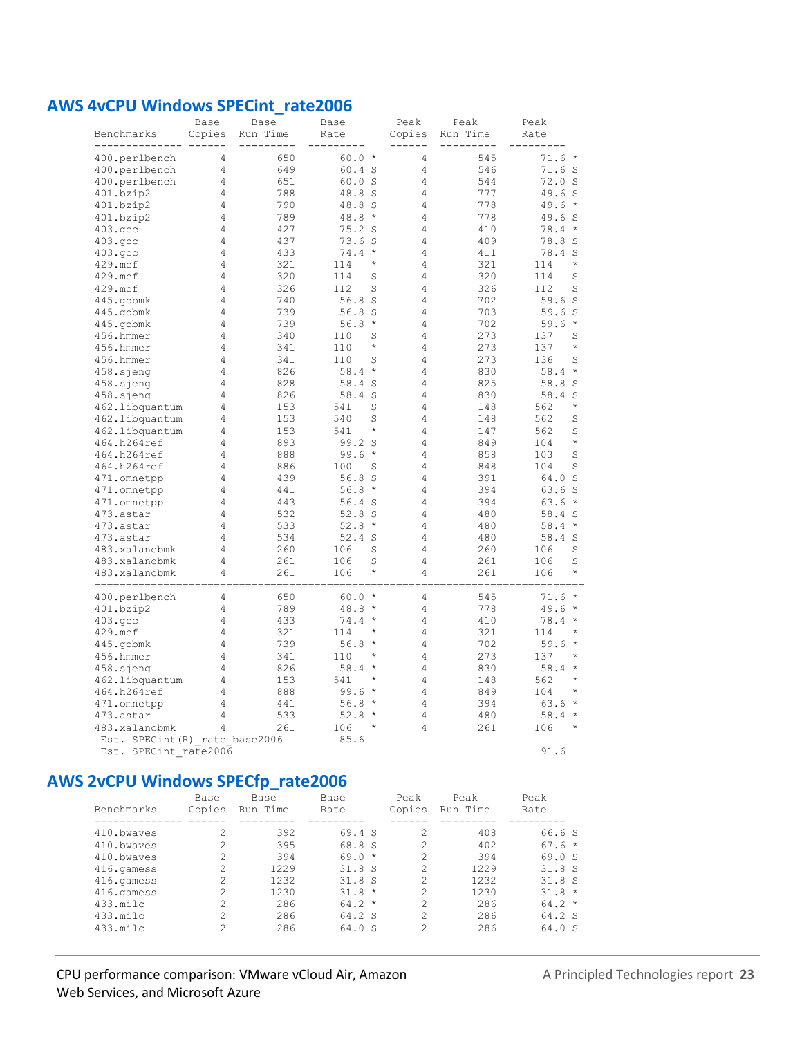#### **AWS 4vCPU Windows SPECint\_rate2006**

| Benchmarks                     | Base<br>Copies | Base<br>Run Time | Base<br>Rate         | Peak<br>Copies | Peak<br>Run Time | Peak<br>Rate           |
|--------------------------------|----------------|------------------|----------------------|----------------|------------------|------------------------|
|                                |                |                  |                      |                |                  |                        |
| 400.perlbench                  | 4              | 650              | $60.0 *$             | 4              | 545              | $71.6 *$               |
| 400.perlbench                  | 4              | 649              | $60.4$ S             | 4              | 546              | 71.6S                  |
| 400.perlbench                  | 4              | 651              | 60.0 S               | 4              | 544              | 72.0 S                 |
| 401.bzip2                      | 4              | 788              | 48.8 S               | 4              | 777              | 49.6 S                 |
| 401.bzip2                      | 4              | 790              | 48.8 S               | 4              | 778              | $\;\;$ $\star$<br>49.6 |
| 401.bzip2                      | 4              | 789              | 48.8<br>$\star$      | 4              | 778              | 49.6 S                 |
| 403.qcc                        | 4              | 427              | 75.2<br><sub>S</sub> | 4              | 410              | 78.4<br>$\star$        |
| 403.qcc                        | 4              | 437              | 73.6S                | 4              | 409              | 78.8 S                 |
| 403.gcc                        | 4              | 433              | 74.4<br>$\star$      | 4              | 411              | 78.4 S                 |
| 429.mcf                        | 4              | 321              | $\star$<br>114       | 4              | 321              | $\star$<br>114         |
| 429.mcf                        | 4              | 320              | 114<br>S             | 4              | 320              | 114<br>S               |
| 429.mcf                        | 4              | 326              | 112<br>S             | 4              | 326              | S<br>112               |
| 445.gobmk                      | 4              | 740              | 56.8S                | 4              | 702              | 59.6S                  |
| 445.gobmk                      | 4              | 739              | 56.8<br><sub>S</sub> | 4              | 703              | 59.6S                  |
| 445.gobmk                      | 4              | 739              | 56.8<br>$\star$      | 4              | 702              | 59.6<br>$\star$        |
| 456.hmmer                      | 4              | 340              | S<br>110             | 4              | 273              | 137<br>S               |
| 456.hmmer                      | 4              | 341              | $\star$<br>110       | 4              | 273              | $\star$<br>137         |
| 456.hmmer                      | 4              | 341              | 110<br>S             | 4              | 273              | S<br>136               |
| 458.sjeng                      | 4              | 826              | 58.4<br>$\star$      | 4              | 830              | $58.4*$                |
| 458.sjeng                      | 4              | 828              | 58.4<br>S            | 4              | 825              | 58.8 S                 |
| 458.sjeng                      | 4              | 826              | 58.4 S               | 4              | 830              | 58.4 S                 |
| 462.libquantum                 | 4              | 153              | 541<br>S             | 4              | 148              | $\star$<br>562         |
| 462.libquantum                 | 4              | 153              | 540<br>S             | 4              | 148              | S<br>562               |
| 462.libquantum                 | 4              | 153              | 541<br>$\star$       | 4              | 147              | 562<br>S               |
| 464.h264ref                    | 4              | 893              | 99.2 S               | 4              | 849              | $\star$<br>104         |
| 464.h264ref                    | 4              | 888              | 99.6<br>$\star$      | 4              | 858              | 103<br>S               |
| 464.h264ref                    | 4              | 886              | 100<br>S             | 4              | 848              | S<br>104               |
| 471.omnetpp                    | 4              | 439              | 56.8<br>S            | 4              | 391              | 64.0 S                 |
| 471.omnetpp                    | 4              | 441              | 56.8<br>$\star$      | 4              | 394              | 63.6S                  |
| 471.omnetpp                    | 4              | 443              | $56.4$ S             | 4              | 394              | $63.6*$                |
| 473.astar                      | 4              | 532              | 52.8S                | 4              | 480              | 58.4 S                 |
| 473.astar                      | 4              | 533              | 52.8<br>$\star$      | 4              | 480              | $\star$<br>58.4        |
| 473.astar                      | 4              | 534              | $52.4$ S             | 4              | 480              | 58.4 S                 |
| 483.xalancbmk                  | 4              | 260              | 106<br>S             | 4              | 260              | S<br>106               |
| 483.xalancbmk                  | 4              | 261              | 106<br>S             | 4              | 261              | S<br>106               |
| 483.xalancbmk                  | 4              | 261              | $\star$<br>106       | 4              | 261              | $\star$<br>106         |
| -------------                  |                | 650              | 60.0<br>$\star$      | 4              | 545              | $71.6*$                |
| 400.perlbench<br>401.bzip2     | 4<br>4         | 789              | 48.8<br>$\star$      | 4              | 778              | 49.6 *                 |
| 403.qcc                        | 4              | 433              | 74.4<br>$\star$      | 4              | 410              | $78.4*$                |
| 429.mcf                        | 4              | 321              | 114<br>$\star$       | 4              | 321              | 114<br>$\star$         |
| 445.gobmk                      | 4              | 739              | 56.8<br>$\star$      | 4              | 702              | 59.6<br>$\star$        |
| 456.hmmer                      | 4              | 341              | 110<br>$^{\star}$    | 4              | 273              | $\star$<br>137         |
| 458.sjeng                      | 4              | 826              | 58.4<br>$\star$      | 4              | 830              | $\star$<br>58.4        |
| 462.libquantum                 | 4              | 153              | 541<br>$\star$       | 4              | 148              | $\star$<br>562         |
| 464.h264ref                    | 4              | 888              | 99.6<br>$\star$      | 4              | 849              | 104<br>$\star$         |
| 471.omnetpp                    | 4              | 441              | $\star$<br>56.8      | 4              | 394              | $\star$<br>63.6        |
| 473.astar                      | 4              | 533              | $\star$<br>52.8      | 4              | 480              | $58.4*$                |
| 483.xalancbmk                  | 4              | 261              | 106<br>$\star$       | 4              | 261              | $\star$<br>106         |
| Est. SPECint (R) rate base2006 |                |                  | 85.6                 |                |                  |                        |
| Est. SPECint rate2006          |                |                  |                      |                |                  | 91.6                   |

## **AWS 2vCPU Windows SPECfp\_rate2006**

| Benchmarks | Base<br>Copies | Base<br>Run Time | Base<br>Rate | Peak<br>Copies | Peak<br>Run Time | Peak<br>Rate |
|------------|----------------|------------------|--------------|----------------|------------------|--------------|
| 410.bwayes | 2              | 392              | 69.4 S       | $\mathcal{P}$  | 408              | 66.6S        |
| 410.bwayes | 2              | 395              | 68.8 S       | $\mathcal{L}$  | 402              | $67.6*$      |
| 410.bwayes | 2              | 394              | $69.0*$      | 2              | 394              | 69.0 S       |
| 416.qamess | 2              | 1229             | 31.8S        | 2              | 1229             | 31.8S        |
| 416.qamess | 2              | 1232             | 31.8S        | 2              | 1232             | 31.8S        |
| 416.qamess | $\mathfrak{D}$ | 1230             | $31.8 *$     | 2              | 1230             | $31.8 *$     |
| 433.milc   | 2              | 286              | $64.2*$      | 2              | 286              | $64.2*$      |
| 433.milc   | $\mathfrak{D}$ | 286              | 64.2 S       | $\mathcal{P}$  | 286              | 64.2 S       |
| 433.milc   | 2              | 286              | 64.0 S       | 2              | 286              | 64.0 S       |
|            |                |                  |              |                |                  |              |

#### CPU performance comparison: VMware vCloud Air, Amazon Web Services, and Microsoft Azure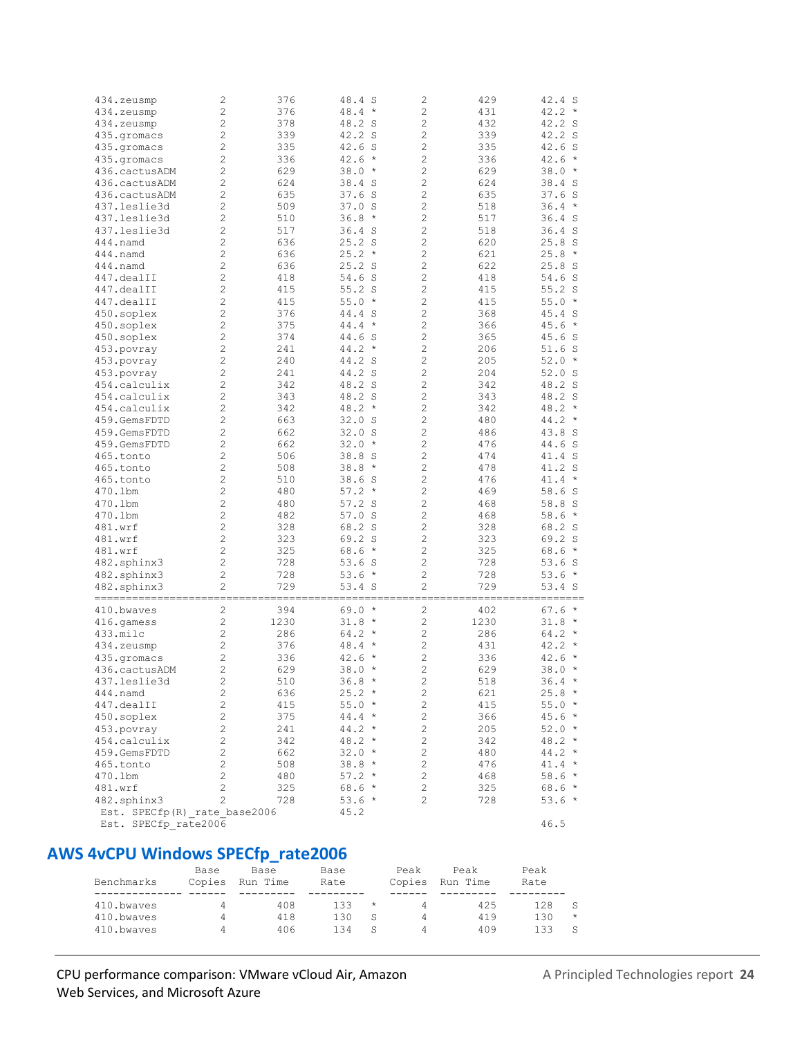| 434.zeusmp                   | 2                       | 376  | 48.4 S          | $\overline{c}$ | 429  | 42.4 S               |
|------------------------------|-------------------------|------|-----------------|----------------|------|----------------------|
|                              |                         |      |                 |                |      |                      |
| 434.zeusmp                   | $\overline{c}$          | 376  | $48.4*$         | $\overline{c}$ | 431  | 42.2<br>$\star$      |
| 434.zeusmp                   | $\overline{c}$          | 378  | 48.2 S          | $\overline{c}$ | 432  | 42.2 S               |
| 435.gromacs                  | $\overline{c}$          | 339  | 42.2 S          | $\overline{c}$ | 339  | 42.2 S               |
| 435.gromacs                  | $\overline{c}$          | 335  | 42.6 S          | $\overline{c}$ | 335  | 42.6<br><sub>S</sub> |
| 435.gromacs                  | $\overline{c}$          | 336  | $42.6*$         | $\overline{c}$ | 336  | 42.6<br>$\star$      |
| 436.cactusADM                | $\overline{c}$          | 629  | $38.0*$         | $\overline{c}$ | 629  | 38.0<br>$^{\star}$   |
| 436.cactusADM                | $\overline{c}$          | 624  | 38.4 S          | $\overline{c}$ | 624  | 38.4<br>S            |
|                              | $\overline{c}$          | 635  |                 | $\overline{c}$ | 635  |                      |
| 436.cactusADM                |                         |      | $37.6$ S        |                |      | 37.6S                |
| 437.leslie3d                 | $\overline{c}$          | 509  | 37.0 S          | $\overline{c}$ | 518  | 36.4<br>$\star$      |
| 437.leslie3d                 | $\overline{c}$          | 510  | $36.8*$         | $\overline{c}$ | 517  | 36.4S                |
| 437.leslie3d                 | $\overline{c}$          | 517  | 36.4S           | $\overline{c}$ | 518  | 36.4S                |
| 444.namd                     | $\overline{c}$          | 636  | $25.2$ S        | $\overline{c}$ | 620  | 25.8 S               |
| 444.namd                     | $\overline{c}$          | 636  | $25.2*$         | $\overline{c}$ | 621  | 25.8<br>$^{\star}$   |
| 444.namd                     | $\overline{c}$          | 636  | 25.2 S          | $\overline{c}$ | 622  | 25.8 S               |
| 447.dealII                   | $\overline{c}$          | 418  | 54.6 S          | $\overline{c}$ | 418  | 54.6 S               |
|                              |                         |      |                 |                |      |                      |
| 447.dealII                   | $\overline{c}$          | 415  | $55.2$ S        | $\overline{c}$ | 415  | $55.2$ S             |
| 447.dealII                   | $\overline{c}$          | 415  | 55.0<br>$\star$ | $\overline{c}$ | 415  | 55.0<br>$\star$      |
| 450.soplex                   | $\overline{c}$          | 376  | 44.4 S          | $\overline{c}$ | 368  | 45.4 S               |
| 450.soplex                   | $\overline{c}$          | 375  | 44.4<br>$\star$ | $\overline{c}$ | 366  | 45.6<br>$^\star$     |
| 450.soplex                   | $\overline{c}$          | 374  | 44.6 S          | $\overline{c}$ | 365  | 45.6 S               |
| 453.povray                   | $\overline{c}$          | 241  | 44.2<br>$\star$ | $\overline{c}$ | 206  | 51.6<br>S.           |
| 453.povray                   | $\overline{c}$          | 240  | 44.2 S          | $\overline{c}$ | 205  | 52.0<br>$^{\star}$   |
|                              | $\overline{c}$          |      |                 |                |      |                      |
| 453.povray                   |                         | 241  | 44.2 S          | 2              | 204  | 52.0<br>- S          |
| 454.calculix                 | $\overline{c}$          | 342  | 48.2 S          | $\overline{c}$ | 342  | 48.2 S               |
| 454.calculix                 | $\overline{c}$          | 343  | 48.2 S          | $\overline{c}$ | 343  | 48.2 S               |
| 454.calculix                 | $\overline{c}$          | 342  | $48.2*$         | $\overline{c}$ | 342  | 48.2<br>$\star$      |
| 459.GemsFDTD                 | $\overline{c}$          | 663  | 32.0 S          | $\overline{c}$ | 480  | 44.2<br>$^{\star}$   |
| 459.GemsFDTD                 | $\overline{c}$          | 662  | 32.0 S          | $\overline{c}$ | 486  | 43.8 S               |
| 459.GemsFDTD                 | $\overline{c}$          | 662  | $32.0*$         | $\overline{c}$ | 476  | 44.6<br>S.           |
| 465.tonto                    | $\overline{c}$          | 506  | 38.8 S          | $\overline{c}$ | 474  | 41.4 S               |
|                              |                         |      |                 |                |      |                      |
| 465.tonto                    | $\overline{c}$          | 508  | 38.8<br>$\star$ | $\overline{c}$ | 478  | 41.2 S               |
| 465.tonto                    | $\overline{c}$          | 510  | 38.6S           | $\overline{c}$ | 476  | 41.4<br>$\star$      |
| 470.1bm                      | $\overline{c}$          | 480  | $57.2*$         | $\overline{c}$ | 469  | 58.6<br>S            |
| 470.1bm                      | $\overline{c}$          | 480  | $57.2$ S        | $\overline{c}$ | 468  | 58.8 S               |
| 470.1bm                      | $\overline{c}$          | 482  | $57.0$ S        | $\overline{c}$ | 468  | 58.6<br>$\star$      |
| 481.wrf                      | $\overline{c}$          | 328  | 68.2 S          | $\overline{c}$ | 328  | 68.2 S               |
| 481.wrf                      | $\overline{c}$          | 323  | 69.2 S          | $\overline{c}$ | 323  | 69.2 S               |
| 481.wrf                      | $\overline{c}$          | 325  | $68.6*$         | $\overline{c}$ | 325  | 68.6<br>$\star$      |
|                              |                         |      |                 |                |      |                      |
| 482.sphinx3                  | $\overline{c}$          | 728  | 53.6 S          | $\overline{c}$ | 728  | 53.6<br>S            |
| 482.sphinx3                  | $\overline{c}$          | 728  | $53.6*$         | $\overline{c}$ | 728  | 53.6<br>$\star$      |
| 482.sphinx3                  | $\overline{c}$          | 729  | 53.4 S          | $\overline{c}$ | 729  | 53.4 S               |
|                              |                         |      |                 |                |      |                      |
| 410.bwaves                   | $\overline{c}$          | 394  | $69.0*$         | $\overline{c}$ | 402  | 67.6<br>$\star$      |
| 416.gamess                   | $\overline{c}$          | 1230 | $31.8*$         | $\overline{c}$ | 1230 | 31.8<br>$\star$      |
| 433.milc                     | $\overline{c}$          | 286  | $64.2*$         | 2              | 286  | 64.2<br>$\star$      |
| 434.zeusmp                   | 2                       | 376  | 48.4<br>$\star$ | 2              | 431  | 42.2<br>$\star$      |
|                              | 2                       | 336  | 42.6<br>$\star$ | 2              | 336  | 42.6<br>$\star$      |
| 435.gromacs                  |                         |      |                 |                |      |                      |
| 436.cactusADM                | $\overline{c}$          | 629  | $38.0*$         | $\overline{c}$ | 629  | 38.0<br>$\star$      |
| 437.leslie3d                 | 2                       | 510  | 36.8 *          | 2              | 518  | $36.4 *$             |
| $444$ .namd                  | $\overline{\mathbf{c}}$ | 636  | $25.2*$         | $\sqrt{2}$     | 621  | $25.8*$              |
| 447.dealII                   | $\sqrt{2}$              | 415  | $55.0*$         | $\overline{c}$ | 415  | $55.0*$              |
| 450.soplex                   | $\sqrt{2}$              | 375  | $44.4 *$        | $\overline{c}$ | 366  | $45.6*$              |
| 453.povray                   | $\sqrt{2}$              | 241  | $44.2 *$        | $\overline{c}$ | 205  | $52.0*$              |
| 454.calculix                 | $\sqrt{2}$              | 342  | $48.2*$         | $\sqrt{2}$     | 342  | $48.2*$              |
|                              |                         |      |                 |                |      |                      |
| 459.GemsFDTD                 | $\overline{c}$          | 662  | $32.0*$         | $\overline{c}$ | 480  | $44.2*$              |
| 465.tonto                    | $\overline{c}$          | 508  | $38.8*$         | $\overline{c}$ | 476  | $41.4 *$             |
| 470.1bm                      | $\overline{c}$          | 480  | $57.2*$         | $\overline{c}$ | 468  | $58.6*$              |
| 481.wrf                      | $\overline{c}$          | 325  | $68.6*$         | $\overline{c}$ | 325  | $68.6*$              |
| 482.sphinx3                  | $\overline{c}$          | 728  | 53.6 *          | 2              | 728  | $53.6*$              |
| Est. SPECfp(R) rate base2006 |                         |      | 45.2            |                |      |                      |
| Est. SPECfp rate2006         |                         |      |                 |                |      | 46.5                 |
|                              |                         |      |                 |                |      |                      |

## **AWS 4vCPU Windows SPECfp\_rate2006**

| Benchmarks | Base<br>Copies | Base<br>Run Time | Base<br>Rate |            | Peak<br>Copies | Peak<br>Run Time | Peak<br>Rate |         |
|------------|----------------|------------------|--------------|------------|----------------|------------------|--------------|---------|
|            |                |                  |              |            |                |                  |              |         |
| 410.bwayes | 4              | 408              | 133          | $^{\star}$ | 4              | 425              | 128          |         |
| 410.bwayes | 4              | 418              | 130          | S          | 4              | 419              | 130          | $\star$ |
| 410.bwayes | 4              | 406              | 134          | S          | 4              | 409              | 133          |         |

#### CPU performance comparison: VMware vCloud Air, Amazon A Principled Technologies report 24 Web Services, and Microsoft Azure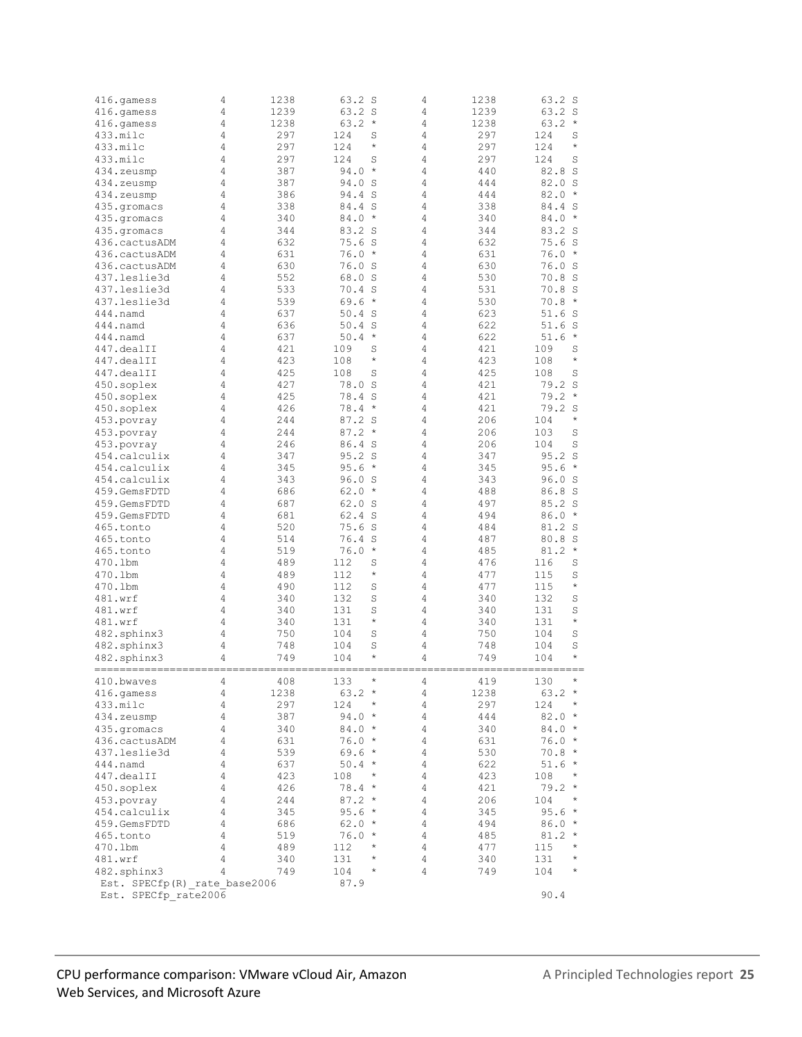| 416.gamess                   | 4 | 1238 | 63.2 S            | 4              | 1238 | 63.2 S               |
|------------------------------|---|------|-------------------|----------------|------|----------------------|
| 416.qamess                   | 4 | 1239 | 63.2 S            | 4              | 1239 | 63.2 S               |
| 416.qamess                   | 4 | 1238 | $\star$<br>63.2   | 4              | 1238 | 63.2<br>$\star$      |
| 433.milc                     | 4 | 297  | 124<br>S          | 4              | 297  | 124<br>S             |
| 433.milc                     | 4 | 297  | $\star$<br>124    | 4              | 297  | $\star$<br>124       |
| 433.milc                     | 4 | 297  | 124<br>S          | 4              | 297  | 124<br>S             |
|                              |   |      |                   |                |      |                      |
| 434.zeusmp                   | 4 | 387  | 94.0<br>$\star$   | 4              | 440  | 82.8<br>S            |
| 434.zeusmp                   | 4 | 387  | 94.0 S            | 4              | 444  | 82.0<br>S            |
| 434.zeusmp                   | 4 | 386  | 94.4 S            | 4              | 444  | 82.0<br>$\star$      |
| 435.qromacs                  | 4 | 338  | 84.4 S            | 4              | 338  | 84.4<br>S            |
| 435.qromacs                  | 4 | 340  | 84.0<br>$\star$   | 4              | 340  | 84.0<br>$\star$      |
| 435.gromacs                  | 4 | 344  | 83.2 S            | 4              | 344  | 83.2<br><sub>S</sub> |
|                              | 4 | 632  | 75.6S             | 4              | 632  | 75.6<br>S            |
| 436.cactusADM                |   |      |                   |                |      |                      |
| 436.cactusADM                | 4 | 631  | $76.0*$           | 4              | 631  | 76.0<br>$\star$      |
| 436.cactusADM                | 4 | 630  | 76.0 S            | 4              | 630  | 76.0<br>S            |
| 437.leslie3d                 | 4 | 552  | 68.0 S            | 4              | 530  | 70.8<br>S            |
| 437.leslie3d                 | 4 | 533  | $70.4$ S          | 4              | 531  | 70.8<br>S            |
| 437.leslie3d                 | 4 | 539  | 69.6<br>$\star$   | 4              | 530  | 70.8<br>$\star$      |
| 444.namd                     | 4 | 637  | 50.4 S            | 4              | 623  | 51.6<br>S            |
|                              | 4 | 636  | 50.4              | 4              | 622  |                      |
| 444.namd                     |   |      | S                 |                |      | 51.6<br>S            |
| 444.namd                     | 4 | 637  | 50.4<br>$\star$   | 4              | 622  | 51.6<br>$\star$      |
| 447.dealII                   | 4 | 421  | 109<br>S          | 4              | 421  | 109<br>S             |
| 447.dealII                   | 4 | 423  | $\star$<br>108    | 4              | 423  | $\star$<br>108       |
| 447.dealII                   | 4 | 425  | 108<br>S          | 4              | 425  | 108<br>S             |
| 450.soplex                   | 4 | 427  | 78.0<br>S         | 4              | 421  | 79.2<br>S            |
| 450.soplex                   | 4 | 425  | 78.4 S            | 4              | 421  | 79.2<br>$\star$      |
|                              |   |      | 78.4<br>$\star$   | $\overline{4}$ |      |                      |
| 450.soplex                   | 4 | 426  |                   |                | 421  | 79.2 S               |
| 453.povray                   | 4 | 244  | 87.2 S            | 4              | 206  | $\star$<br>104       |
| 453.povray                   | 4 | 244  | 87.2<br>$\star$   | 4              | 206  | 103<br>S             |
| 453.povray                   | 4 | 246  | 86.4 S            | 4              | 206  | 104<br>S             |
| 454.calculix                 | 4 | 347  | 95.2 S            | 4              | 347  | 95.2<br>S            |
| 454.calculix                 | 4 | 345  | 95.6<br>$\star$   | 4              | 345  | 95.6<br>$\star$      |
| 454.calculix                 | 4 | 343  | 96.0 S            | 4              | 343  | 96.0<br>S            |
| 459.GemsFDTD                 | 4 | 686  | 62.0<br>$\star$   | 4              | 488  | 86.8<br>S            |
| 459.GemsFDTD                 | 4 | 687  | 62.0 S            | 4              | 497  | 85.2<br>S            |
|                              |   |      |                   |                |      |                      |
| 459.GemsFDTD                 | 4 | 681  | 62.4 S            | 4              | 494  | 86.0<br>$\star$      |
| 465.tonto                    | 4 | 520  | $75.6$ S          | 4              | 484  | 81.2 S               |
| 465.tonto                    | 4 | 514  | 76.4S             | 4              | 487  | 80.8<br>S            |
| 465.tonto                    | 4 | 519  | 76.0<br>$\star$   | 4              | 485  | 81.2<br>$\star$      |
| 470.1bm                      | 4 | 489  | 112<br>S          | 4              | 476  | 116<br>S             |
| 470.1bm                      | 4 | 489  | 112<br>$^{\star}$ | 4              | 477  | S<br>115             |
| 470.1bm                      | 4 | 490  | 112<br>S          | 4              | 477  | $\star$<br>115       |
|                              | 4 | 340  | 132<br>S          | 4              | 340  | 132<br>S             |
| 481.wrf                      |   |      |                   |                |      |                      |
| 481.wrf                      | 4 | 340  | 131<br>S          | 4              | 340  | 131<br>S             |
| 481.wrf                      | 4 | 340  | $\star$<br>131    | 4              | 340  | $\star$<br>131       |
| 482.sphinx3                  | 4 | 750  | 104<br>S          | 4              | 750  | 104<br>S             |
| 482.sphinx3                  | 4 | 748  | S<br>104          | $\overline{4}$ | 748  | S<br>104             |
| 482.sphinx3                  | 4 | 749  | $\star$<br>104    | 4              | 749  | $\star$<br>104       |
|                              |   |      |                   |                |      |                      |
| 410.bwaves                   | 4 | 408  | $\star$<br>133    | 4              | 419  | $^{\star}$<br>130    |
| 416.gamess                   | 4 | 1238 | $63.2*$           | 4              | 1238 | $63.2 *$             |
|                              |   |      | $\star$           |                |      | $^{\star}$           |
| 433.milc                     | 4 | 297  | 124               | 4              | 297  | 124                  |
| 434.zeusmp                   | 4 | 387  | $94.0*$           | 4              | 444  | $82.0*$              |
| 435.gromacs                  | 4 | 340  | $84.0*$           | 4              | 340  | $84.0*$              |
| 436.cactusADM                | 4 | 631  | $76.0*$           | 4              | 631  | $76.0*$              |
| 437.leslie3d                 | 4 | 539  | $69.6*$           | 4              | 530  | $70.8 *$             |
| 444.namd                     | 4 | 637  | $50.4 *$          | 4              | 622  | $51.6*$              |
| 447.dealII                   | 4 | 423  | 108<br>$^{\star}$ | 4              | 423  | 108<br>$^{\star}$    |
| 450.soplex                   | 4 | 426  | $78.4 *$          | 4              | 421  | 79.2<br>$\star$      |
| 453.povray                   | 4 | 244  | $87.2*$           | 4              | 206  | 104<br>$\star$       |
|                              | 4 |      |                   |                |      | $\star$              |
| 454.calculix                 |   | 345  | 95.6 $*$          | 4              | 345  | 95.6                 |
| 459.GemsFDTD                 | 4 | 686  | $62.0*$           | 4              | 494  | $86.0*$              |
| 465.tonto                    | 4 | 519  | $76.0*$           | $\overline{4}$ | 485  | $81.2 *$             |
| 470.1bm                      | 4 | 489  | 112<br>$^\star$   | 4              | 477  | 115<br>$^{\star}$    |
| 481.wrf                      | 4 | 340  | $^{\star}$<br>131 | 4              | 340  | $\star$<br>131       |
| 482.sphinx3                  | 4 | 749  | 104<br>$\star$    | 4              | 749  | $\star$<br>104       |
| Est. SPECfp(R) rate base2006 |   |      | 87.9              |                |      |                      |
| Est. SPECfp rate2006         |   |      |                   |                |      | 90.4                 |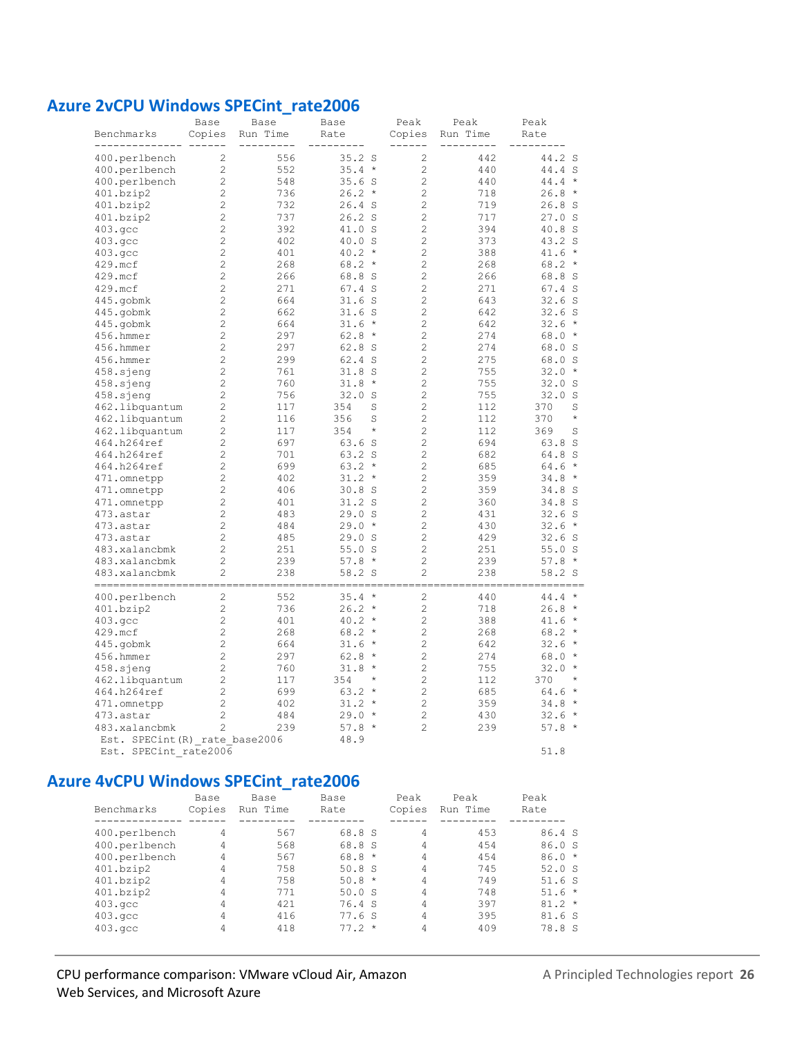#### **Azure 2vCPU Windows SPECint\_rate2006**

| Benchmarks                     | Base<br>Copies                   | Base<br>Run Time | Base<br>Rate                | Peak<br>Copies | Peak<br>Run Time | Peak<br>Rate    |
|--------------------------------|----------------------------------|------------------|-----------------------------|----------------|------------------|-----------------|
|                                |                                  | 556              |                             |                | 442              | 44.2 S          |
| 400.perlbench                  | $\overline{c}$<br>$\overline{c}$ | 552              | $35.2$ S<br>35.4<br>$\star$ | 2<br>2         | 440              | 44.4 S          |
| 400.perlbench                  | $\mathbf{2}$                     |                  |                             | $\overline{c}$ | 440              | $44.4 *$        |
| 400.perlbench<br>401.bzip2     | $\overline{c}$                   | 548<br>736       | 35.6S<br>26.2<br>$\star$    | $\overline{c}$ | 718              | $26.8*$         |
| 401.bzip2                      | $\overline{c}$                   | 732              | $26.4$ S                    | $\overline{c}$ | 719              | 26.8S           |
| 401.bzip2                      | $\overline{c}$                   | 737              | 26.2 S                      | 2              | 717              | 27.0 S          |
|                                | $\mathbf{2}$                     | 392              | 41.0 S                      | $\overline{c}$ | 394              | 40.8 S          |
| 403.gcc                        | $\overline{c}$                   | 402              | 40.0 S                      | $\overline{c}$ | 373              | 43.2 S          |
| 403.qcc<br>403.qcc             | $\overline{c}$                   | 401              | 40.2<br>$\star$             | 2              | 388              | $41.6 *$        |
| 429.mcf                        | $\overline{c}$                   | 268              | 68.2<br>$\star$             | 2              | 268              | $68.2*$         |
| 429.mcf                        | $\overline{c}$                   | 266              | 68.8 S                      | 2              | 266              | 68.8 S          |
| 429.mcf                        | $\overline{c}$                   | 271              | 67.4 S                      | $\overline{c}$ | 271              | $67.4$ S        |
|                                | $\overline{c}$                   | 664              | 31.6S                       | 2              | 643              | 32.6S           |
| 445.gobmk                      |                                  |                  |                             | $\overline{c}$ |                  |                 |
| 445.gobmk                      | $\overline{c}$                   | 662              | 31.6S<br>$\star$            |                | 642              | 32.6S           |
| 445.gobmk                      | $\overline{c}$                   | 664              | 31.6                        | $\overline{c}$ | 642              | $32.6*$         |
| 456.hmmer                      | $\overline{c}$                   | 297              | 62.8<br>$\star$             | $\overline{c}$ | 274              | $68.0*$         |
| 456.hmmer                      | $\overline{c}$                   | 297              | 62.8 S                      | 2              | 274              | 68.0 S          |
| 456.hmmer                      | $\overline{c}$                   | 299              | 62.4 S                      | $\overline{c}$ | 275              | 68.0 S          |
| 458.sjeng                      | $\overline{c}$                   | 761              | 31.8S                       | 2              | 755              | 32.0<br>$\star$ |
| 458.sjeng                      | $\overline{c}$                   | 760              | 31.8<br>$\star$             | $\overline{c}$ | 755              | 32.0 S          |
| 458.sjeng                      | $\overline{c}$                   | 756              | 32.0<br>S                   | 2              | 755              | 32.0 S          |
| 462.libquantum                 | $\overline{c}$                   | 117              | 354<br>S                    | $\overline{c}$ | 112              | S<br>370        |
| 462.libquantum                 | $\overline{c}$                   | 116              | 356<br>S                    | 2              | 112              | $\star$<br>370  |
| 462.libquantum                 | $\mathbf{2}$                     | 117              | 354<br>$\star$              | $\overline{c}$ | 112              | 369<br>S        |
| 464.h264ref                    | $\overline{c}$                   | 697              | 63.6 S                      | $\overline{c}$ | 694              | 63.8 S          |
| 464.h264ref                    | $\overline{c}$                   | 701              | 63.2 S                      | 2              | 682              | 64.8 S          |
| 464.h264ref                    | $\overline{c}$                   | 699              | 63.2<br>$\star$             | $\overline{c}$ | 685              | $64.6*$         |
| 471.omnetpp                    | $\overline{c}$                   | 402              | 31.2<br>$\star$             | 2              | 359              | $34.8*$         |
| 471.omnetpp                    | 2                                | 406              | $30.8$ S                    | $\overline{c}$ | 359              | 34.8 S          |
| 471.omnetpp                    | 2                                | 401              | 31.2 S                      | $\overline{c}$ | 360              | 34.8 S          |
| 473.astar                      | $\overline{c}$                   | 483              | 29.0 S                      | $\overline{c}$ | 431              | 32.6S           |
| 473.astar                      | 2                                | 484              | 29.0<br>$\star$             | 2              | 430              | $32.6*$         |
| 473.astar                      | $\overline{c}$                   | 485              | 29.0<br><sub>S</sub>        | $\overline{2}$ | 429              | 32.6S           |
| 483.xalancbmk                  | $\overline{c}$                   | 251              | 55.0S                       | 2              | 251              | 55.0S           |
| 483.xalancbmk                  | $\overline{c}$                   | 239              | $57.8*$                     | 2              | 239              | $57.8*$         |
| 483.xalancbmk                  | 2                                | 238              | 58.2 S                      | 2              | 238              | 58.2 S          |
| ------------                   |                                  |                  |                             |                |                  |                 |
| 400.perlbench                  | $\overline{c}$                   | 552              | 35.4<br>$\star$             | $\overline{2}$ | 440              | $44.4 *$        |
| 401.bzip2                      | $\overline{c}$                   | 736              | 26.2<br>$\star$             | $\overline{c}$ | 718              | $26.8 *$        |
| $403.\n$ gcc                   | $\overline{c}$                   | 401              | 40.2<br>$\star$             | $\overline{c}$ | 388              | $41.6 *$        |
| 429.mcf                        | $\overline{c}$                   | 268              | 68.2<br>$\star$             | 2              | 268              | $68.2*$         |
| 445.gobmk                      | $\overline{c}$                   | 664              | 31.6<br>$\star$             | $\overline{2}$ | 642              | $32.6*$         |
| 456.hmmer                      | $\overline{c}$                   | 297              | 62.8<br>$\star$             | $\overline{c}$ | 274              | $68.0*$         |
| 458.sjeng                      | $\overline{c}$                   | 760              | 31.8<br>$\star$             | $\overline{c}$ | 755              | $32.0*$         |
| 462.libquantum                 | $\overline{c}$                   | 117              | 354<br>$\star$              | $\overline{c}$ | 112              | 370<br>$\star$  |
| 464.h264ref                    | $\overline{c}$                   | 699              | 63.2<br>$\star$             | $\overline{c}$ | 685              | $64.6*$         |
| 471.omnetpp                    | $\overline{c}$                   | 402              | 31.2<br>$\star$             | 2              | 359              | $34.8*$         |
| 473.astar                      | $\overline{c}$                   | 484              | 29.0<br>$\star$             | $\overline{c}$ | 430              | $32.6*$         |
| 483.xalancbmk                  | $\overline{c}$                   | 239              | $57.8*$                     | 2              | 239              | $57.8*$         |
| Est. SPECint (R) rate base2006 |                                  |                  | 48.9                        |                |                  |                 |
| Est. SPECint rate2006          |                                  |                  |                             |                |                  | 51.8            |

### **Azure 4vCPU Windows SPECint\_rate2006**

| Benchmarks         | Base<br>Copies | Base<br>Run Time | Base<br>Rate | Peak<br>Copies | Peak<br>Run Time | Peak<br>Rate |
|--------------------|----------------|------------------|--------------|----------------|------------------|--------------|
| 400.perlbench      | 4              | 567              | 68.8 S       | 4              | 453              | 86.4 S       |
| 400.perlbench      | 4              | 568              | 68.8 S       | 4              | 454              | 86.0 S       |
| 400.perlbench      | 4              | 567              | $68.8*$      | 4              | 454              | $86.0*$      |
| 401.bzip2          | 4              | 758              | 50.8 S       | 4              | 745              | 52.0 S       |
| 401.bzip2          | 4              | 758              | $50.8 *$     | 4              | 749              | 51.6S        |
| 401.bzip2          | 4              | 771              | 50.0 S       | 4              | 748              | $51.6*$      |
| 403.qcc            | 4              | 421              | 76.4 S       | 4              | 397              | $81.2*$      |
| $403.\mathrm{qcc}$ | 4              | 416              | 77.6S        | 4              | 395              | 81.6S        |
| $403.\text{qcc}$   | 4              | 418              | $77.2 *$     | 4              | 409              | 78.8 S       |

#### CPU performance comparison: VMware vCloud Air, Amazon Web Services, and Microsoft Azure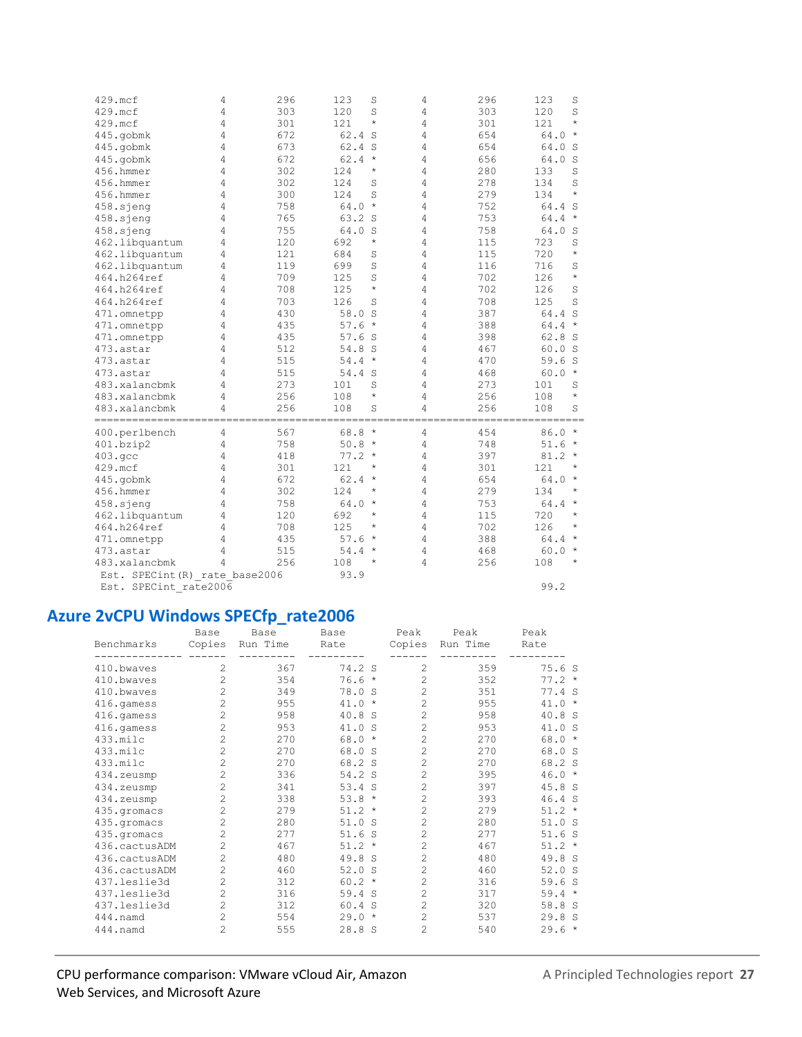|                                |   | 296 |                     |                | 296 | 123                  |
|--------------------------------|---|-----|---------------------|----------------|-----|----------------------|
| 429.mcf                        | 4 |     | 123<br>S            | 4              |     | S                    |
| 429.mcf                        | 4 | 303 | 120<br>S<br>$\star$ | $\overline{4}$ | 303 | 120<br>S<br>$\star$  |
| 429.mcf                        | 4 | 301 | 121                 | 4              | 301 | 121                  |
| 445.gobmk                      | 4 | 672 | 62.4 S              | 4              | 654 | $\star$<br>64.0      |
| 445.gobmk                      | 4 | 673 | 62.4 S              | 4              | 654 | 64.0<br>S            |
| 445.gobmk                      | 4 | 672 | 62.4<br>$\star$     | 4              | 656 | 64.0<br>S            |
| 456.hmmer                      | 4 | 302 | $\star$<br>124      | 4              | 280 | 133<br>S             |
| 456.hmmer                      | 4 | 302 | 124<br>S            | 4              | 278 | 134<br>S             |
| 456.hmmer                      | 4 | 300 | 124<br>S            | 4              | 279 | $\star$<br>134       |
| 458.sjeng                      | 4 | 758 | 64.0<br>$\star$     | 4              | 752 | 64.4<br>S            |
| 458.sjeng                      | 4 | 765 | 63.2 S              | 4              | 753 | $\star$<br>64.4      |
| 458.sjeng                      | 4 | 755 | 64.0<br>S           | 4              | 758 | 64.0<br>S            |
| 462.libquantum                 | 4 | 120 | $\star$<br>692      | $\overline{4}$ | 115 | 723<br>S             |
| 462.libquantum                 | 4 | 121 | 684<br>S            | 4              | 115 | 720<br>$\star$       |
| 462.libquantum                 | 4 | 119 | 699<br>S            | 4              | 116 | 716<br>S             |
| 464.h264ref                    | 4 | 709 | 125<br>S            | 4              | 702 | $\star$<br>126       |
| 464.h264ref                    | 4 | 708 | $\star$<br>125      | 4              | 702 | 126<br>S             |
| 464.h264ref                    | 4 | 703 | 126<br>S            | 4              | 708 | 125<br>S             |
| 471.omnetpp                    | 4 | 430 | 58.0<br>S           | 4              | 387 | 64.4<br>S            |
| 471.omnetpp                    | 4 | 435 | $\star$<br>57.6     | 4              | 388 | 64.4<br>$\star$      |
| 471.omnetpp                    | 4 | 435 | 57.6S               | 4              | 398 | 62.8<br>- S          |
| 473.astar                      | 4 | 512 | 54.8 S              | 4              | 467 | 60.0 S               |
| 473.astar                      | 4 | 515 | 54.4<br>$\star$     | 4              | 470 | 59.6<br><sub>S</sub> |
| 473.astar                      | 4 | 515 | 54.4 S              | 4              | 468 | 60.0<br>$\star$      |
| 483.xalancbmk                  | 4 | 273 | S<br>101            | 4              | 273 | 101<br>S             |
| 483.xalancbmk                  | 4 | 256 | $\star$<br>108      | 4              | 256 | $\star$<br>108       |
| 483.xalancbmk                  | 4 | 256 | 108<br>S            | 4              | 256 | 108<br>S             |
| -----------------------        |   |     |                     |                |     | =======              |
| 400.perlbench                  | 4 | 567 | 68.8<br>$\star$     | 4              | 454 | 86.0<br>$\star$      |
| 401.bzip2                      | 4 | 758 | 50.8<br>$\star$     | 4              | 748 | 51.6<br>$\star$      |
| 403.qcc                        | 4 | 418 | 77.2<br>$\star$     | 4              | 397 | 81.2<br>$\star$      |
| 429.mcf                        | 4 | 301 | 121<br>$^\star$     | 4              | 301 | 121<br>$^{\star}$    |
| 445.gobmk                      | 4 | 672 | 62.4<br>$\star$     | 4              | 654 | 64.0<br>$\star$      |
| 456.hmmer                      | 4 | 302 | 124<br>$^\star$     | 4              | 279 | 134<br>$\star$       |
| 458.sjeng                      | 4 | 758 | 64.0<br>$\star$     | 4              | 753 | 64.4<br>$\star$      |
| 462.libquantum                 | 4 | 120 | 692<br>$^{\star}$   | 4              | 115 | 720<br>$\star$       |
| 464.h264ref                    | 4 | 708 | 125<br>$\star$      | 4              | 702 | 126<br>$\star$       |
| 471.omnetpp                    | 4 | 435 | 57.6<br>$\star$     | 4              | 388 | $\star$<br>64.4      |
| 473.astar                      | 4 | 515 | 54.4<br>$\star$     | 4              | 468 | $\star$<br>60.0      |
| 483.xalancbmk                  | 4 | 256 | 108<br>$^\star$     | 4              | 256 | $\star$              |
|                                |   |     | 93.9                |                |     | 108                  |
| Est. SPECint (R) rate base2006 |   |     |                     |                |     |                      |
| Est. SPECint rate2006          |   |     |                     |                |     | 99.2                 |

## **Azure 2vCPU Windows SPECfp\_rate2006**

|               | Base           | Base     | Base                 | Peak           | Peak     | Peak     |
|---------------|----------------|----------|----------------------|----------------|----------|----------|
| Benchmarks    | Copies         | Run Time | Rate                 | Copies         | Run Time | Rate     |
|               |                |          |                      |                |          |          |
| 410.bwayes    | 2              | 367      | 74.2 S               | $\overline{c}$ | 359      | 75.6S    |
| 410.bwayes    | $\overline{c}$ | 354      | 76.6<br>$\star$      | $\overline{c}$ | 352      | $77.2 *$ |
| 410.bwayes    | $\overline{c}$ | 349      | 78.0 S               | $\overline{a}$ | 351      | 77.4 S   |
| 416.gamess    | $\overline{c}$ | 955      | 41.0<br>$\star$      | $\overline{c}$ | 955      | $41.0 *$ |
| 416.gamess    | $\overline{c}$ | 958      | 40.8<br><sub>S</sub> | $\overline{a}$ | 958      | 40.8 S   |
| 416.gamess    | $\overline{c}$ | 953      | 41.0<br>-S           | $\overline{c}$ | 953      | 41.0 S   |
| 433.milc      | $\overline{c}$ | 270      | 68.0<br>$\star$      | $\overline{c}$ | 270      | $68.0*$  |
| 433.milc      | $\overline{c}$ | 270      | 68.0 S               | $\overline{c}$ | 270      | 68.0 S   |
| 433.milc      | $\overline{c}$ | 270      | 68.2 S               | $\overline{c}$ | 270      | 68.2 S   |
| 434.zeusmp    | $\overline{c}$ | 336      | 54.2 S               | $\overline{c}$ | 395      | $46.0*$  |
| 434.zeusmp    | $\overline{c}$ | 341      | $53.4$ S             | $\overline{c}$ | 397      | 45.8 S   |
| 434.zeusmp    | $\overline{c}$ | 338      | 53.8<br>$\star$      | $\overline{c}$ | 393      | 46.4 S   |
| 435.qromacs   | $\overline{c}$ | 279      | $51.2 *$             | $\overline{c}$ | 279      | $51.2 *$ |
| 435.qromacs   | $\overline{2}$ | 280      | 51.0 S               | $\overline{c}$ | 280      | 51.0 S   |
| 435.qromacs   | $\overline{c}$ | 277      | 51.6 S               | $\overline{c}$ | 277      | 51.6S    |
| 436.cactusADM | $\overline{c}$ | 467      | $51.2 *$             | $\overline{c}$ | 467      | $51.2 *$ |
| 436.cactusADM | $\overline{c}$ | 480      | 49.8 S               | $\overline{c}$ | 480      | 49.8 S   |
| 436.cactusADM | 2              | 460      | 52.0<br>S            | $\overline{c}$ | 460      | 52.0 S   |
| 437.leslie3d  | $\overline{c}$ | 312      | $60.2 *$             | $\overline{c}$ | 316      | 59.6S    |
| 437.leslie3d  | $\overline{2}$ | 316      | 59.4 S               | $\overline{c}$ | 317      | $59.4 *$ |
| 437.leslie3d  | $\overline{c}$ | 312      | 60.4 S               | $\overline{c}$ | 320      | 58.8 S   |
| 444.namd      | $\overline{c}$ | 554      | 29.0<br>$\star$      | $\overline{c}$ | 537      | 29.8 S   |
| 444.namd      | $\overline{c}$ | 555      | 28.8S                | $\overline{c}$ | 540      | $29.6*$  |
|               |                |          |                      |                |          |          |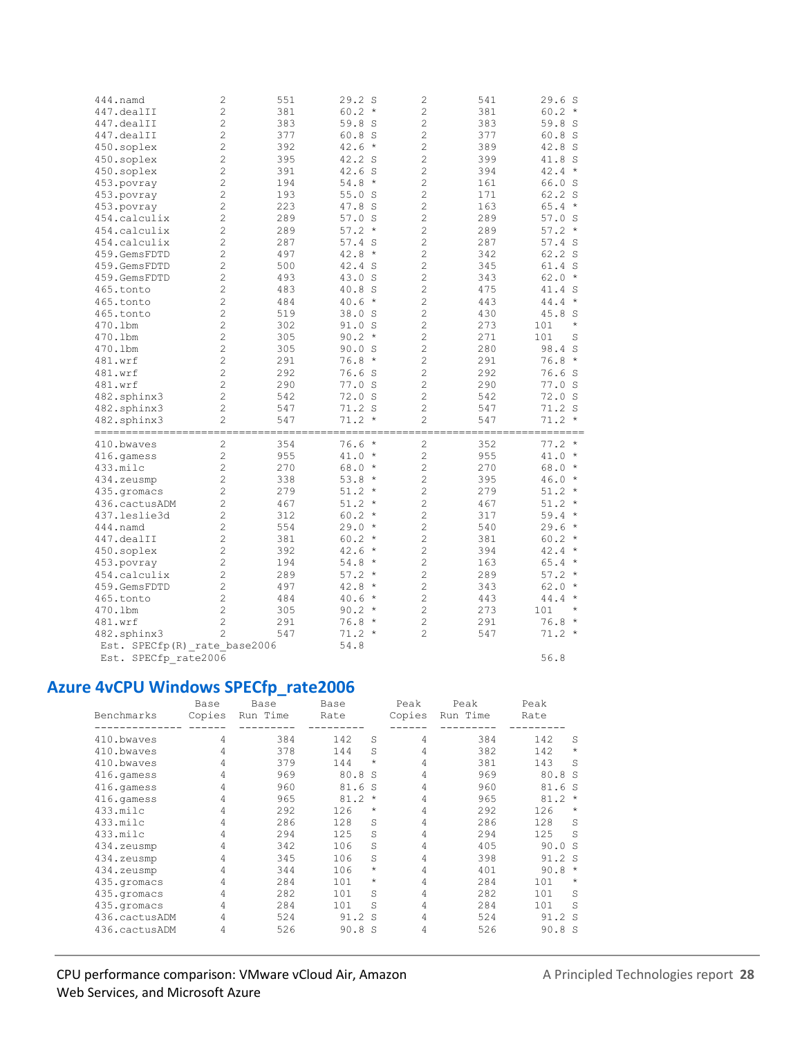| 444.namd                                            | 2              | 551 | 29.2 S          | $\overline{c}$             | 541 | 29.6S                          |
|-----------------------------------------------------|----------------|-----|-----------------|----------------------------|-----|--------------------------------|
| 447.dealII                                          | $\overline{c}$ | 381 | $60.2 *$        | $\overline{c}$             | 381 | $60.2 *$                       |
| 447.dealII                                          | 2              | 383 | 59.8 S          | $\overline{c}$             | 383 | 59.8 S                         |
| 447.dealII                                          | $\overline{c}$ | 377 | 60.8 S          | $\overline{c}$             | 377 | 60.8 S                         |
| 450.soplex                                          | $\overline{c}$ | 392 | $42.6*$         | $\overline{c}$             | 389 | 42.8 S                         |
| 450.soplex                                          | $\overline{c}$ | 395 | 42.2 S          | $\overline{c}$             | 399 | 41.8 S                         |
| 450.soplex                                          | $\overline{2}$ | 391 | 42.6 S          | $\overline{c}$             | 394 | 42.4<br>$\star$                |
| 453.povray                                          | $\overline{c}$ | 194 | $54.8*$         | $\overline{c}$             | 161 | 66.0 S                         |
| 453.povray                                          | $\overline{c}$ | 193 | 55.0S           | $\overline{c}$             | 171 | 62.2 S                         |
| 453.povray                                          | $\overline{c}$ | 223 | 47.8 S          | $\overline{c}$             | 163 | $65.4 *$                       |
| 454.calculix                                        | $\overline{c}$ | 289 | $57.0$ S        | $\overline{c}$             | 289 | $57.0$ S                       |
| 454.calculix                                        | $\overline{c}$ | 289 | $57.2*$         | $\overline{c}$             | 289 | 57.2<br>$\star$                |
| 454.calculix                                        | $\overline{c}$ | 287 | 57.4 S          | $\overline{c}$             | 287 | $57.4$ S                       |
| 459.GemsFDTD                                        | $\overline{c}$ | 497 | $42.8 *$        | $\overline{c}$             | 342 | 62.2 S                         |
|                                                     | $\overline{c}$ |     |                 | $\overline{c}$             |     |                                |
| 459.GemsFDTD                                        |                | 500 | 42.4 S          |                            | 345 | 61.4 S<br>$\star$              |
| 459.GemsFDTD                                        | $\overline{c}$ | 493 | 43.0 S          | $\overline{c}$             | 343 | 62.0                           |
| 465.tonto                                           | $\overline{c}$ | 483 | 40.8 S          | $\overline{c}$             | 475 | 41.4 S                         |
| 465.tonto                                           | $\overline{c}$ | 484 | $40.6 *$        | $\overline{c}$             | 443 | 44.4<br>$\star$                |
| 465.tonto                                           | $\overline{c}$ | 519 | 38.0 S          | $\overline{c}$             | 430 | 45.8<br>S                      |
| 470.1bm                                             | $\overline{c}$ | 302 | 91.0 S          | $\overline{c}$             | 273 | 101<br>$\star$                 |
| 470.1bm                                             | $\overline{c}$ | 305 | $90.2 *$        | $\overline{c}$             | 271 | 101<br>S                       |
| 470.1bm                                             | $\overline{c}$ | 305 | 90.0 S          | $\overline{c}$             | 280 | 98.4<br>S                      |
| 481.wrf                                             | $\overline{c}$ | 291 | $76.8*$         | $\overline{c}$             | 291 | 76.8<br>$\star$                |
| 481.wrf                                             | $\overline{c}$ | 292 | 76.6S           | $\overline{c}$             | 292 | 76.6S                          |
| 481.wrf                                             | $\overline{c}$ | 290 | 77.0 S          | $\overline{c}$             | 290 | 77.0 S                         |
| 482.sphinx3                                         | $\overline{c}$ | 542 | 72.0 S          | $\overline{c}$             | 542 | 72.0 S                         |
| 482.sphinx3                                         | $\overline{c}$ | 547 | 71.2 S          | $\overline{2}$             | 547 | 71.2 S                         |
| 482.sphinx3                                         | $\overline{2}$ | 547 | $71.2 *$        | $\overline{c}$             | 547 | $71.2 *$                       |
| =====================================<br>410.bwaves | 2              | 354 | 76.6<br>$\star$ | ---------------------<br>2 | 352 | ===========<br>77.2<br>$\star$ |
| 416.qamess                                          | $\overline{c}$ | 955 | $41.0 *$        | $\overline{c}$             | 955 | 41.0<br>$\star$                |
| 433.milc                                            | $\overline{c}$ | 270 | $68.0*$         | $\overline{c}$             | 270 | 68.0<br>$\star$                |
| 434.zeusmp                                          | $\overline{c}$ | 338 | $53.8*$         | $\overline{c}$             | 395 | 46.0<br>$\star$                |
| 435.qromacs                                         | $\overline{2}$ | 279 | $51.2 *$        | $\overline{c}$             | 279 | $51.2 *$                       |
| 436.cactusADM                                       | $\overline{c}$ | 467 | $51.2 *$        | $\overline{c}$             | 467 | $51.2 *$                       |
| 437.leslie3d                                        | $\overline{c}$ | 312 | $60.2 *$        | $\overline{c}$             | 317 | 59.4<br>$\star$                |
| 444.namd                                            | $\overline{2}$ | 554 | $29.0*$         | $\overline{c}$             | 540 | 29.6<br>$\star$                |
| 447.dealII                                          | $\overline{c}$ | 381 | $60.2 *$        | $\overline{c}$             | 381 | 60.2<br>$\star$                |
|                                                     | $\overline{c}$ | 392 | 42.6<br>$\star$ | $\overline{c}$             | 394 | 42.4<br>$\star$                |
| 450.soplex                                          | $\overline{c}$ |     |                 | $\overline{c}$             |     | $\star$                        |
| 453.povray                                          | $\overline{c}$ | 194 | $54.8*$         | $\overline{c}$             | 163 | 65.4<br>$\star$                |
| 454.calculix                                        | $\overline{c}$ | 289 | $57.2*$         | $\overline{c}$             | 289 | 57.2<br>$\star$                |
| 459.GemsFDTD                                        |                | 497 | $42.8 *$        |                            | 343 | 62.0<br>$\star$                |
| 465.tonto                                           | $\overline{c}$ | 484 | $40.6 *$        | $\overline{c}$             | 443 | 44.4                           |
| 470.1bm                                             | $\overline{c}$ | 305 | $90.2 *$        | $\overline{c}$             | 273 | 101<br>$\star$                 |
| 481.wrf                                             | $\overline{c}$ | 291 | 76.8<br>$\star$ | $\overline{c}$             | 291 | 76.8<br>$\star$                |
| 482.sphinx3                                         | $\overline{c}$ | 547 | $71.2 *$        | $\overline{c}$             | 547 | $71.2 *$                       |
| Est. SPECfp(R) rate base2006                        |                |     | 54.8            |                            |     |                                |
| Est. SPECfp rate2006                                |                |     |                 |                            |     | 56.8                           |

Est. SPECfp\_rate2006

# **Azure 4vCPU Windows SPECfp\_rate2006**

| Benchmarks    | Base<br>Copies | Base<br>Run Time | Base<br>Rate |              | Peak<br>Copies | Peak<br>Run Time | Peak<br>Rate |          |
|---------------|----------------|------------------|--------------|--------------|----------------|------------------|--------------|----------|
| 410.bwayes    | 4              | 384              | 142          | S            | 4              | 384              | 142          | S        |
| 410.bwaves    | 4              | 378              | 144          | S            | 4              | 382              | 142          | $\star$  |
| 410.bwayes    | 4              | 379              | 144          | $\star$      | 4              | 381              | 143          | S        |
| 416.qamess    | 4              | 969              | 80.8         | -S           | 4              | 969              | 80.8 S       |          |
| 416.qamess    | 4              | 960              | 81.6         | S            | 4              | 960              | 81.          | 6 S      |
| 416.qamess    | 4              | 965              | 81.2         | $\star$      | 4              | 965              | 81.2         | $\star$  |
| 433.milc      | 4              | 292              | 126          | $\star$      | 4              | 292              | 126          | $\star$  |
| 433.milc      | 4              | 286              | 128          | S            | 4              | 286              | 128          | S        |
| 433.milc      | 4              | 294              | 125          | S            | 4              | 294              | 125          | S        |
| 434.zeusmp    | 4              | 342              | 106          | S            | 4              | 405              | 90.0         | - S      |
| 434.zeusmp    | 4              | 345              | 106          | S            | 4              | 398              | 91.2 S       |          |
| 434.zeusmp    | 4              | 344              | 106          | $\star$      | 4              | 401              | 90.8         | $^\star$ |
| 435.qromacs   | 4              | 284              | 101          | $\star$      | 4              | 284              | 101          | $\star$  |
| 435.qromacs   | 4              | 282              | 101          | S            | 4              | 282              | 101          | S        |
| 435.gromacs   | 4              | 284              | 101          | S            | 4              | 284              | 101          | S        |
| 436.cactusADM | 4              | 524              | 91.2         | S            | 4              | 524              | 91.2 S       |          |
| 436.cactusADM | 4              | 526              | 90.8         | <sub>S</sub> | 4              | 526              | 90.8 S       |          |
|               |                |                  |              |              |                |                  |              |          |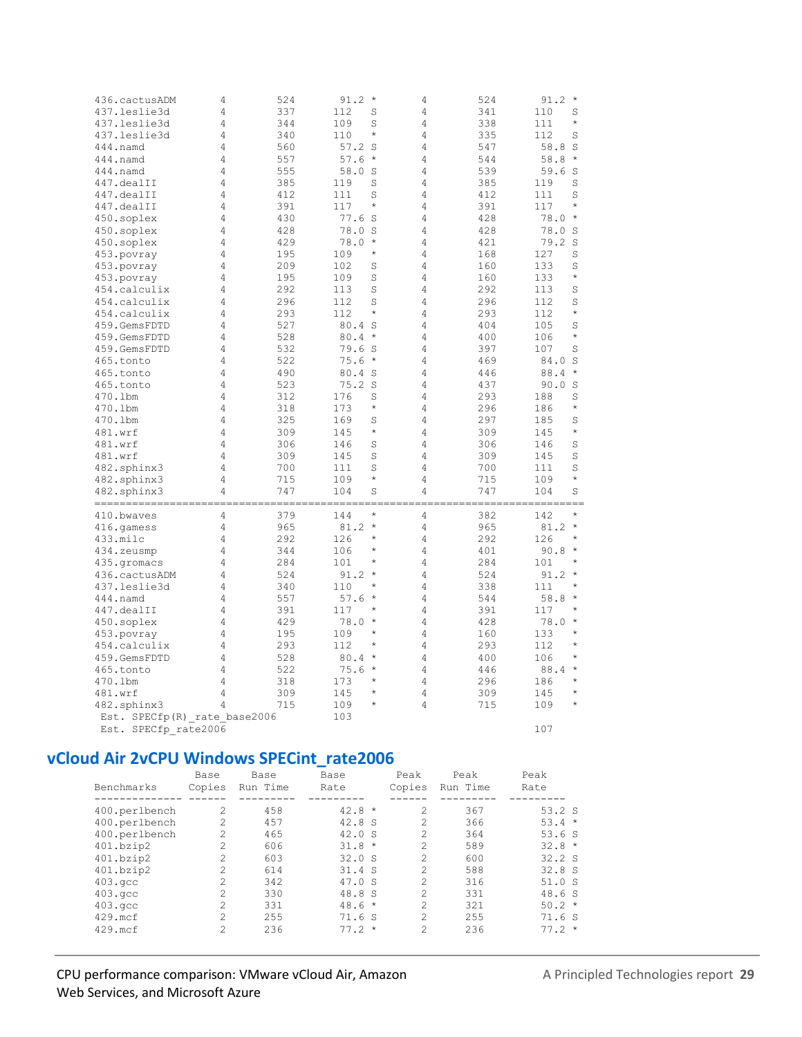| 436.cactusADM                 | 4              | 524        | $91.2 *$                | 4              | 524        | $91.2 *$               |
|-------------------------------|----------------|------------|-------------------------|----------------|------------|------------------------|
| 437.leslie3d                  | $\overline{4}$ | 337        | 112<br>S                | 4              | 341        | 110<br>S               |
| 437.leslie3d                  | 4              | 344        | 109<br>S                | 4              | 338        | 111<br>$\star$         |
| 437.leslie3d                  | 4              | 340        | $\star$<br>110          | 4              | 335        | 112<br>S               |
|                               | 4              | 560        | $57.2$ S                | 4              | 547        | 58.8<br>S              |
| 444.namd                      | 4              |            | 57.6<br>$\star$         | $\overline{4}$ |            | 58.8<br>$\star$        |
| 444.namd                      |                | 557        |                         |                | 544        |                        |
| 444.namd                      | 4              | 555        | 58.0 S                  | 4              | 539        | 59.6<br>S              |
| 447.dealII                    | 4              | 385        | S<br>119                | $\overline{4}$ | 385        | 119<br>S               |
| 447.dealII                    | 4              | 412        | 111<br>S                | 4              | 412        | 111<br>S               |
| 447.dealII                    | 4              | 391        | 117<br>$\star$          | 4              | 391        | $\star$<br>117         |
| 450.soplex                    | 4              | 430        | 77.6S                   | 4              | 428        | $\star$<br>78.0        |
| 450.soplex                    | 4              | 428        | 78.0 S                  | 4              | 428        | 78.0<br>S              |
| 450.soplex                    | 4              | 429        | $\star$<br>78.0         | 4              | 421        | 79.2<br>S              |
| 453.povray                    | 4              | 195        | $\star$<br>109          | $\overline{4}$ | 168        | 127<br>S               |
| 453.povray                    | 4              | 209        | 102<br>S                | 4              | 160        | S<br>133               |
| 453.povray                    | 4              | 195        | S<br>109                | $\overline{4}$ | 160        | $\star$<br>133         |
| 454.calculix                  | 4              | 292        | 113<br>S                | 4              | 292        | S<br>113               |
| 454.calculix                  | 4              | 296        | S<br>112                | 4              | 296        | 112<br>S               |
| 454.calculix                  | 4              | 293        | $\star$<br>112          | 4              | 293        | $\star$<br>112         |
| 459.GemsFDTD                  | 4              | 527        | 80.4 S                  | 4              | 404        | 105<br>S               |
| 459.GemsFDTD                  | 4              | 528        | 80.4<br>$\star$         | 4              | 400        | $\star$<br>106         |
| 459.GemsFDTD                  | 4              | 532        | 79.6 S                  | $\overline{4}$ | 397        | 107<br>S               |
| 465.tonto                     | 4              | 522        | 75.6<br>$\star$         | 4              | 469        | 84.0<br>S              |
| 465.tonto                     | 4              | 490        | 80.4 S                  | 4              | 446        | 88.4<br>$\star$        |
| 465.tonto                     | 4              | 523        | $75.2$ S                | 4              | 437        | 90.0<br>S              |
| 470.1bm                       | 4              | 312        | 176<br>S                | $\overline{4}$ | 293        | S<br>188               |
| 470.1bm                       | 4              | 318        | $^{\star}$<br>173       | 4              | 296        | $\star$<br>186         |
| 470.1bm                       | 4              | 325        | 169<br>S                | 4              | 297        | S<br>185               |
| 481.wrf                       | 4              | 309        | $\star$<br>145          | $\overline{4}$ | 309        | $\star$<br>145         |
| 481.wrf                       | 4              | 306        | S<br>146                | 4              | 306        | 146<br>S               |
| 481.wrf                       | 4              | 309        | S<br>145                | 4              | 309        | S<br>145               |
| 482.sphinx3                   | 4              | 700        | S<br>111                | 4              | 700        | 111<br>S               |
| 482.sphinx3                   | 4              | 715        | $\star$<br>109          | 4              | 715        | $\star$<br>109         |
| 482.sphinx3                   | 4              | 747        | 104<br>S                | $\overline{4}$ | 747        | S<br>104               |
|                               |                |            | $\star$                 |                |            | $\star$                |
| 410.bwaves                    | 4<br>4         | 379<br>965 | 144<br>81.2<br>$\star$  | 4<br>4         | 382<br>965 | 142<br>$\star$         |
| 416.gamess                    | 4              |            | $\star$                 | 4              | 292        | 81.2<br>$\star$        |
| 433.milc                      | 4              | 292        | 126<br>$^\star$         |                |            | 126<br>$\star$         |
| 434.zeusmp                    | 4              | 344<br>284 | 106<br>$\star$          | 4<br>4         | 401<br>284 | 90.8<br>101<br>$\star$ |
| 435.qromacs                   | 4              | 524        | 101<br>91.2<br>$^\star$ | 4              | 524        | 91.2<br>$\star$        |
| 436.cactusADM<br>437.leslie3d | 4              | 340        | 110<br>$\star$          | 4              | 338        | $\star$<br>111         |
| 444.namd                      | 4              | 557        | $\star$<br>57.6         | 4              | 544        | 58.8<br>$\star$        |
| 447.dealII                    | 4              | 391        | 117<br>$^\star$         | 4              | 391        | $\star$<br>117         |
| 450.soplex                    | 4              | 429        | 78.0<br>$\star$         | $\overline{4}$ | 428        | $\star$<br>78.0        |
| 453.povray                    | 4              | 195        | 109<br>$\star$          | 4              | 160        | 133<br>$\star$         |
| 454.calculix                  | 4              | 293        | $^\star$<br>112         | 4              | 293        | $^\star$<br>112        |
| 459.GemsFDTD                  | 4              | 528        | 80.4<br>$\star$         | 4              | 400        | $\star$<br>106         |
| 465.tonto                     | 4              | 522        | 75.6<br>$\star$         | 4              | 446        | $\star$<br>88.4        |
| 470.1bm                       | 4              | 318        | $\star$<br>173          | 4              | 296        | $\star$<br>186         |
| 481.wrf                       | 4              | 309        | $^{\star}$<br>145       | 4              | 309        | $\star$<br>145         |
| 482.sphinx3                   | 4              | 715        | $^\star$<br>109         | 4              | 715        | $\star$<br>109         |
| Est. SPECfp(R) rate base2006  |                |            | 103                     |                |            |                        |
| Est. SPECfp rate2006          |                |            |                         |                |            | 107                    |
|                               |                |            |                         |                |            |                        |

## vCloud Air 2vCPU Windows SPECint\_rate2006

| Benchmarks       | Base<br>Copies | Base<br>Run Time | Base<br>Rate | Peak<br>Copies | Peak<br>Run Time | Peak<br>Rate |
|------------------|----------------|------------------|--------------|----------------|------------------|--------------|
|                  |                |                  |              |                |                  |              |
| 400.perlbench    | $\mathfrak{D}$ | 458              | $42.8*$      | 2              | 367              | 53.2S        |
| 400.perlbench    | $\overline{c}$ | 457              | 42.8 S       | 2              | 366              | $53.4 *$     |
| 400.perlbench    | $\mathfrak{D}$ | 465              | 42.0 S       | 2              | 364              | 53.6S        |
| 401.bzip2        | $\mathfrak{D}$ | 606              | $31.8 *$     | $\mathcal{L}$  | 589              | $32.8*$      |
| 401.bzip2        | $\overline{c}$ | 603              | 32.0 S       | 2              | 600              | 32.2 S       |
| 401.bzip2        | $\overline{c}$ | 614              | 31.4 S       | $\mathcal{L}$  | 588              | 32.8 S       |
| $403.\text{qcc}$ | $\mathfrak{D}$ | 342              | 47.0 S       | 2              | 316              | 51.0 S       |
| $403.\text{qcc}$ | $\mathfrak{D}$ | 330              | 48.8 S       | $\mathcal{D}$  | 331              | 48.6S        |
| $403.\text{qcc}$ | $\mathfrak{D}$ | 331              | $48.6*$      | 2              | 321              | $50.2 *$     |
| $429$ . mcf      | $\overline{c}$ | 255              | 71.6 S       | 2              | 255              | 71.6S        |
| 429.mcf          | $\mathfrak{D}$ | 236              | $77.2*$      | $\mathfrak{D}$ | 236              | $77.2*$      |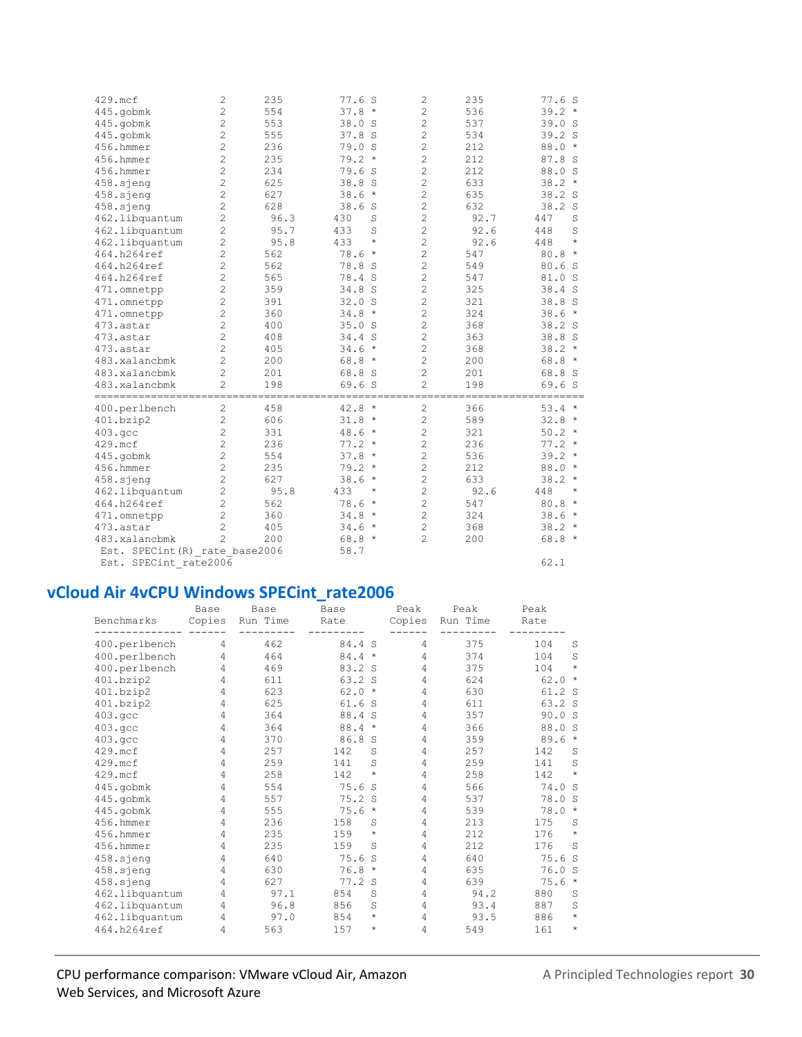| 429.mcf                        | $\overline{c}$ | 235  | 77.6S           | $\overline{c}$ | 235  | 77.6S                |
|--------------------------------|----------------|------|-----------------|----------------|------|----------------------|
| 445.gobmk                      | $\overline{c}$ | 554  | $37.8*$         | $\overline{c}$ | 536  | $39.2*$              |
| 445.gobmk                      | $\overline{c}$ | 553  | 38.0<br>- S     | $\overline{c}$ | 537  | 39.0 S               |
| 445.gobmk                      | $\overline{c}$ | 555  | 37.8 S          | $\overline{c}$ | 534  | 39.2 S               |
| 456.hmmer                      | $\overline{c}$ | 236  | 79.0 S          | $\overline{c}$ | 212  | 88.0<br>$\star$      |
| 456.hmmer                      | $\overline{c}$ | 235  | $79.2*$         | $\overline{c}$ | 212  | 87.8 S               |
| 456.hmmer                      | $\overline{c}$ | 234  | 79.6 S          | $\overline{c}$ | 212  | 88.0 S               |
| 458.sjeng                      | $\overline{c}$ | 625  | 38.8 S          | $\overline{c}$ | 633  | $38.2*$              |
| 458.sjeng                      | $\overline{c}$ | 627  | 38.6<br>$\star$ | $\overline{c}$ | 635  | 38.2 S               |
| 458.sjeng                      | $\overline{c}$ | 628  | 38.6<br>S       | $\overline{c}$ | 632  | 38.2<br>S            |
| 462.libquantum                 | $\overline{c}$ | 96.3 | 430<br>S        | $\overline{2}$ | 92.7 | 447<br>S             |
| 462.libquantum                 | $\overline{c}$ | 95.7 | 433<br>S        | $\overline{c}$ | 92.6 | 448<br>S             |
| 462.libquantum                 | $\overline{c}$ | 95.8 | $\star$<br>433  | $\overline{c}$ | 92.6 | $\star$<br>448       |
| 464.h264ref                    | $\overline{c}$ | 562  | 78.6<br>$\star$ | $\overline{c}$ | 547  | $\star$<br>80.8      |
| 464.h264ref                    | $\overline{c}$ | 562  | 78.8 S          | $\overline{c}$ | 549  | 80.6S                |
| 464.h264ref                    | $\overline{c}$ | 565  | 78.4 S          | $\overline{c}$ | 547  | 81.0 S               |
| 471.omnetpp                    | $\overline{c}$ | 359  | 34.8 S          | $\overline{c}$ | 325  | 38.4 S               |
| 471.omnetpp                    | $\overline{c}$ | 391  | 32.0 S          | $\overline{c}$ | 321  | 38.8<br><sub>S</sub> |
| 471.omnetpp                    | $\overline{c}$ | 360  | $34.8*$         | $\overline{c}$ | 324  | $38.6*$              |
| 473.astar                      | $\overline{c}$ | 400  | 35.0<br>- S     | $\overline{c}$ | 368  | 38.2 S               |
| 473.astar                      | $\overline{c}$ | 408  | 34.4 S          | $\overline{c}$ | 363  | 38.8 S               |
| 473.astar                      | $\overline{c}$ | 405  | 34.6<br>$\star$ | $\overline{c}$ | 368  | $38.2*$              |
| 483.xalancbmk                  | $\overline{c}$ | 200  | $68.8*$         | $\overline{c}$ | 200  | $68.8*$              |
| 483.xalancbmk                  | $\overline{c}$ | 201  | 68.8 S          | $\overline{c}$ | 201  | 68.8 S               |
| 483.xalancbmk                  | $\overline{a}$ | 198  | 69.6 S          | $\overline{c}$ | 198  | 69.6S                |
|                                |                |      |                 |                |      |                      |
| 400.perlbench                  | $\overline{c}$ | 458  | $42.8*$         | $\overline{c}$ | 366  | 53.4<br>$\star$      |
| 401.bzip2                      | $\overline{c}$ | 606  | $31.8 *$        | $\overline{c}$ | 589  | 32.8<br>$\star$      |
| 403.9cc                        | $\overline{c}$ | 331  | $48.6*$         | $\overline{c}$ | 321  | $50.2 *$             |
| 429.mcf                        | $\overline{c}$ | 236  | $77.2 *$        | $\overline{c}$ | 236  | $77.2 *$             |
| 445.gobmk                      | $\overline{c}$ | 554  | $37.8*$         | $\overline{c}$ | 536  | $39.2*$              |
| 456.hmmer                      | $\overline{c}$ | 235  | $79.2*$         | $\overline{c}$ | 212  | $88.0*$              |
| 458.sjeng                      | $\overline{c}$ | 627  | 38.6<br>$\star$ | $\overline{c}$ | 633  | 38.2<br>$^{\star}$   |
| 462.libquantum                 | $\overline{c}$ | 95.8 | 433<br>$^\star$ | $\overline{c}$ | 92.6 | 448<br>*             |
| 464.h264ref                    | $\overline{2}$ | 562  | 78.6<br>$\star$ | $\overline{c}$ | 547  | 80.8<br>$\star$      |
| 471.omnetpp                    | $\overline{c}$ | 360  | 34.8<br>$\star$ | $\overline{c}$ | 324  | 38.6<br>$\star$      |
| 473.astar                      | $\overline{c}$ | 405  | 34.6<br>$\star$ | $\overline{c}$ | 368  | $38.2*$              |
| 483.xalancbmk                  | $\mathfrak{D}$ | 200  | $68.8*$         | $\overline{c}$ | 200  | $68.8*$              |
| Est. SPECint (R) rate base2006 |                |      | 58.7            |                |      |                      |
| Est. SPECint rate2006          |                |      |                 |                |      | 62.1                 |

#### vCloud Air 4vCPU Windows SPECint rate2006

| Benchmarks     | Base<br>Copies | Base<br>Run Time | Base<br>Rate         | Peak<br>Copies            | Peak<br>Run Time | Peak<br>Rate         |
|----------------|----------------|------------------|----------------------|---------------------------|------------------|----------------------|
| 400.perlbench  | 4              | 462              | 84.4 S               | 4                         | 375              | 104<br>$\mathbf S$   |
| 400.perlbench  | 4              | 464              | 84.4                 | $\star$<br>4              | 374              | 104<br>S             |
| 400.perlbench  | 4              | 469              | 83.2<br>S            | 4                         | 375              | $\star$<br>104       |
| 401.bzip2      | 4              | 611              | 63.2 S               | $\overline{4}$            | 624              | 62.0<br>$\star$      |
| 401.bzip2      | 4              | 623              | 62.0                 | $\star$<br>4              | 630              | 61.2 S               |
| 401.bzip2      | 4              | 625              | 61.6<br>S            | 4                         | 611              | 63.2 S               |
| 403.qcc        | 4              | 364              | 88.4<br><sub>S</sub> | 4                         | 357              | 90.0 S               |
| 403.qcc        | 4              | 364              | 88.4<br>$\star$      | $\overline{4}$            | 366              | 88.0<br>- S          |
| 403.qcc        | 4              | 370              | 86.8<br>S            | 4                         | 359              | 89.6<br>$\star$      |
| 429.mcf        | 4              | 257              | 142                  | 4<br>S                    | 257              | 142<br>S             |
| 429.mcf        | 4              | 259              | 141                  | S<br>4                    | 259              | S<br>141             |
| 429.mcf        | 4              | 258              | 142                  | $^\star$<br>4             | 258              | $\star$<br>142       |
| 445.gobmk      | 4              | 554              | 75.6                 | 4<br>S                    | 566              | 74.0<br><sub>S</sub> |
| 445.gobmk      | 4              | 557              | 75.2<br>S            | 4                         | 537              | 78.0<br>S            |
| 445.gobmk      | 4              | 555              | 75.6                 | $^\star$<br>4             | 539              | 78.0<br>$\star$      |
| 456.hmmer      | 4              | 236              | 158                  | $\overline{4}$<br>S       | 213              | 175<br>S             |
| 456.hmmer      | 4              | 235              | 159                  | $\star$<br>4              | 212              | $\star$<br>176       |
| 456.hmmer      | 4              | 235              | 159                  | S<br>4                    | 212              | 176<br>S             |
| 458.sjeng      | 4              | 640              | 75.6                 | S<br>4                    | 640              | 75.6<br>S            |
| 458.sjeng      | 4              | 630              | 76.8                 | $\overline{4}$<br>$\star$ | 635              | 76.0<br>S.           |
| 458.sjeng      | 4              | 627              | 77.2<br>S            | $\overline{4}$            | 639              | 75.6<br>$\star$      |
| 462.libquantum | 4              | 97.1             | 854                  | S<br>4                    | 94.2             | 880<br>S             |
| 462.libquantum | 4              | 96.8             | 856                  | S<br>4                    | 93.4             | S<br>887             |
| 462.libquantum | 4              | 97.0             | 854                  | $\star$<br>$\overline{4}$ | 93.5             | $\star$<br>886       |
| 464.h264ref    | 4              | 563              | 157                  | *<br>4                    | 549              | $\star$<br>161       |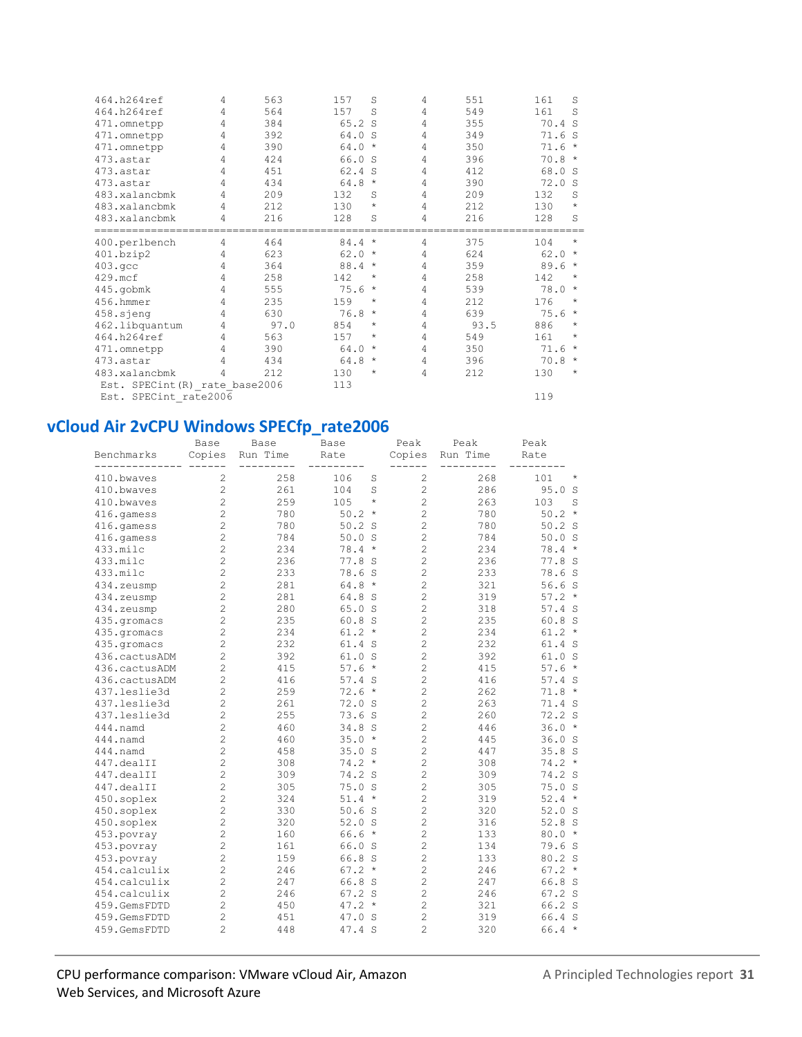| 464.h264ref                    | 4 | 563  | 157    | S        | 4              | 551  | 161  | S            |
|--------------------------------|---|------|--------|----------|----------------|------|------|--------------|
| 464.h264ref                    | 4 | 564  | 157    | S        | 4              | 549  | 161  | <sub>S</sub> |
| 471.omnetpp                    | 4 | 384  | 65.2 S |          | 4              | 355  | 70.4 | <sub>S</sub> |
| 471.omnetpp                    | 4 | 392  | 64.0   | - S      | 4              | 349  | 71.6 | - S          |
| 471.omnetpp                    | 4 | 390  | 64.0   | $\star$  | 4              | 350  | 71.6 | $\star$      |
| 473.astar                      | 4 | 424  | 66.0   | S        | $\overline{4}$ | 396  | 70.8 | $^{\star}$   |
| 473.astar                      | 4 | 451  | 62.4   | S        | 4              | 412  | 68.0 | -S           |
| 473.astar                      | 4 | 434  | 64.8   | $\star$  | 4              | 390  | 72.0 | <sub>S</sub> |
| 483.xalancbmk                  | 4 | 209  | 132    | S        | 4              | 209  | 132  | S            |
| 483.xalancbmk                  | 4 | 212  | 130    | $\star$  | 4              | 212  | 130  | $\star$      |
| 483.xalancbmk                  | 4 | 216  | 128    | S        | 4              | 216  | 128  | S            |
| 400.perlbench                  | 4 | 464  | 84.4   | $\star$  | 4              | 375  | 104  | *            |
| 401.bzip2                      | 4 | 623  | 62.0   | $\star$  | 4              | 624  | 62.0 | $^\star$     |
| 403.qcc                        | 4 | 364  | 88.4   | $\star$  | 4              | 359  | 89.6 | $\star$      |
| 429.mcf                        | 4 | 258  | 142    | $^\star$ | $\overline{4}$ | 258  | 142  | $^{\star}$   |
| 445.gobmk                      | 4 | 555  | 75.6   | $\star$  | $\overline{4}$ | 539  | 78.0 | $^\star$     |
| 456.hmmer                      | 4 | 235  | 159    | $^\star$ | 4              | 212  | 176  | $^{\star}$   |
| 458.sjeng                      | 4 | 630  | 76.8   | $^\star$ | 4              | 639  | 75.6 | $^\star$     |
| 462.libquantum                 | 4 | 97.0 | 854    | *        | 4              | 93.5 | 886  | *            |
| 464.h264ref                    | 4 | 563  | 157    | $^\star$ | $\overline{4}$ | 549  | 161  | *            |
| 471.omnetpp                    | 4 | 390  | 64.0   | $^\star$ | 4              | 350  | 71.6 | $^\star$     |
| 473.astar                      | 4 | 434  | 64.8   | $\star$  | $\overline{4}$ | 396  | 70.8 | $\star$      |
| 483.xalancbmk                  | 4 | 212  | 130    | *        | 4              | 212  | 130  | *            |
| Est. SPECint (R) rate base2006 |   |      | 113    |          |                |      |      |              |
| Est. SPECint rate2006          |   |      |        |          |                |      | 119  |              |

## **vCloud Air 2vCPU Windows SPECfp\_rate2006**

|                              | Base                             | Base       | Base                 | Peak                             | Peak       | Peak              |
|------------------------------|----------------------------------|------------|----------------------|----------------------------------|------------|-------------------|
| Benchmarks                   | Copies                           | Run Time   | Rate                 | Copies                           | Run Time   | Rate              |
| 410.bwaves                   | $\overline{c}$                   | 258        | 106<br>S             | $\mathbf{2}$                     | 268        | 101<br>$_{\star}$ |
| 410.bwaves                   | $\overline{c}$                   | 261        | 104<br>S             | $\overline{c}$                   | 286        | 95.0<br>S         |
| 410.bwaves                   | $\overline{c}$                   | 259        | $^{\star}$<br>105    | $\overline{c}$                   | 263        | 103<br>S          |
| 416.qamess                   | $\overline{c}$                   | 780        | 50.2<br>$\star$      | $\overline{c}$                   | 780        | 50.2<br>$\star$   |
| 416.gamess                   | $\overline{c}$                   | 780        | 50.2<br>S            | $\overline{2}$                   | 780        | $50.2$ S          |
| 416.gamess                   | $\overline{c}$                   | 784        | 50.0<br>S            | $\overline{c}$                   | 784        | 50.0 S            |
| 433.milc                     | $\overline{c}$                   | 234        | 78.4<br>$\star$      | $\overline{2}$                   | 234        | 78.4<br>$\star$   |
| 433.milc                     | $\overline{c}$                   | 236        | 77.8<br>S            | $\overline{c}$                   | 236        | 77.8 S            |
| 433.milc                     | $\overline{c}$                   | 233        | 78.6<br>S            | $\overline{c}$                   | 233        | 78.6 S            |
| 434.zeusmp                   | $\overline{c}$                   | 281        | 64.8<br>$\star$      | $\overline{c}$                   | 321        | 56.6S             |
| 434.zeusmp                   | $\overline{c}$                   | 281        | 64.8<br>- S          | $\overline{c}$                   | 319        | $57.2*$           |
| 434.zeusmp                   | $\overline{c}$                   | 280        | 65.0 S               | $\overline{c}$                   | 318        | 57.4 S            |
| 435.qromacs                  | $\overline{c}$                   | 235        | 60.8<br>S            | $\overline{c}$                   | 235        | 60.8 S            |
| 435.gromacs                  | $\overline{c}$                   | 234        | $61.2 *$             | $\overline{2}$                   | 234        | $61.2 *$          |
| 435.gromacs                  | $\overline{c}$                   | 232        | 61.4<br>S            | $\overline{c}$                   | 232        | 61.4 S            |
| 436.cactusADM                | $\overline{c}$                   | 392        | 61.0<br>S            | $\overline{c}$                   | 392        | 61.0 S            |
| 436.cactusADM                | $\overline{c}$                   | 415        | 57.6<br>$\star$      | $\overline{c}$                   | 415        | 57.6<br>$\star$   |
| 436.cactusADM                | $\overline{c}$                   | 416        | $57.4$ S             | $\overline{c}$                   | 416        | 57.4 S            |
| 437.leslie3d                 | $\overline{c}$                   | 259        | 72.6<br>$\star$      | $\overline{c}$                   | 262        | 71.8<br>$\star$   |
| 437.leslie3d                 | $\overline{c}$                   | 261        | 72.0 S               | $\overline{c}$                   | 263        | 71.4 S            |
| 437.leslie3d                 | $\overline{c}$                   | 255        | 73.6S                | $\overline{c}$                   | 260        | 72.2 S            |
| 444.namd                     | $\overline{c}$                   | 460        | 34.8<br>S            | $\overline{c}$                   | 446        | 36.0<br>$\star$   |
| 444.namd                     | $\overline{c}$                   | 460        | $\star$<br>35.0      | $\overline{c}$                   | 445        | 36.0<br>- S       |
| 444.namd                     | $\overline{c}$                   | 458        | 35.0<br>S            | $\overline{c}$                   | 447        | 35.8 S            |
| 447.dealII                   | $\overline{c}$                   | 308        | 74.2<br>$^\star$     | 2                                | 308        | $74.2*$           |
| 447.dealII                   | $\overline{c}$                   | 309        | 74.2<br>S            | $\overline{c}$                   | 309        | 74.2 S            |
| 447.dealII                   | $\overline{c}$                   | 305        | 75.0<br><sub>S</sub> | $\overline{c}$                   | 305        | 75.0 S            |
| 450.soplex                   | $\overline{c}$                   | 324        | $51.4 *$             | $\overline{c}$                   | 319        | $52.4*$           |
| 450.soplex                   | $\overline{c}$                   | 330        | 50.6S                | $\overline{c}$                   | 320        | 52.0 S            |
| 450.soplex                   | $\overline{c}$<br>$\overline{c}$ | 320        | 52.0<br>S            | $\overline{c}$<br>$\overline{c}$ | 316        | 52.8 S            |
| 453.povray                   | $\overline{c}$                   | 160        | 66.6<br>$\star$      | $\overline{c}$                   | 133        | $80.0 *$          |
| 453.povray                   |                                  | 161        | 66.0<br>S            |                                  | 134        | 79.6<br>- S       |
| 453.povray                   | $\overline{c}$                   | 159        | 66.8<br>S<br>$\star$ | $\overline{c}$                   | 133        | 80.2 S<br>$\star$ |
| 454.calculix<br>454.calculix | $\overline{c}$<br>$\overline{c}$ | 246<br>247 | 67.2<br>66.8         | $\overline{c}$<br>$\overline{2}$ | 246<br>247 | 67.2<br>66.8 S    |
| 454.calculix                 | $\overline{c}$                   | 246        | S<br>67.2 S          | $\overline{c}$                   | 246        | 67.2 S            |
| 459.GemsFDTD                 | $\overline{c}$                   | 450        | $47.2*$              | $\overline{c}$                   | 321        | 66.2 S            |
| 459.GemsFDTD                 | $\overline{c}$                   | 451        | 47.0 S               | $\overline{c}$                   | 319        | 66.4 S            |
| 459.GemsFDTD                 | $\overline{c}$                   | 448        | 47.4 S               | $\overline{c}$                   | 320        | $66.4 *$          |
|                              |                                  |            |                      |                                  |            |                   |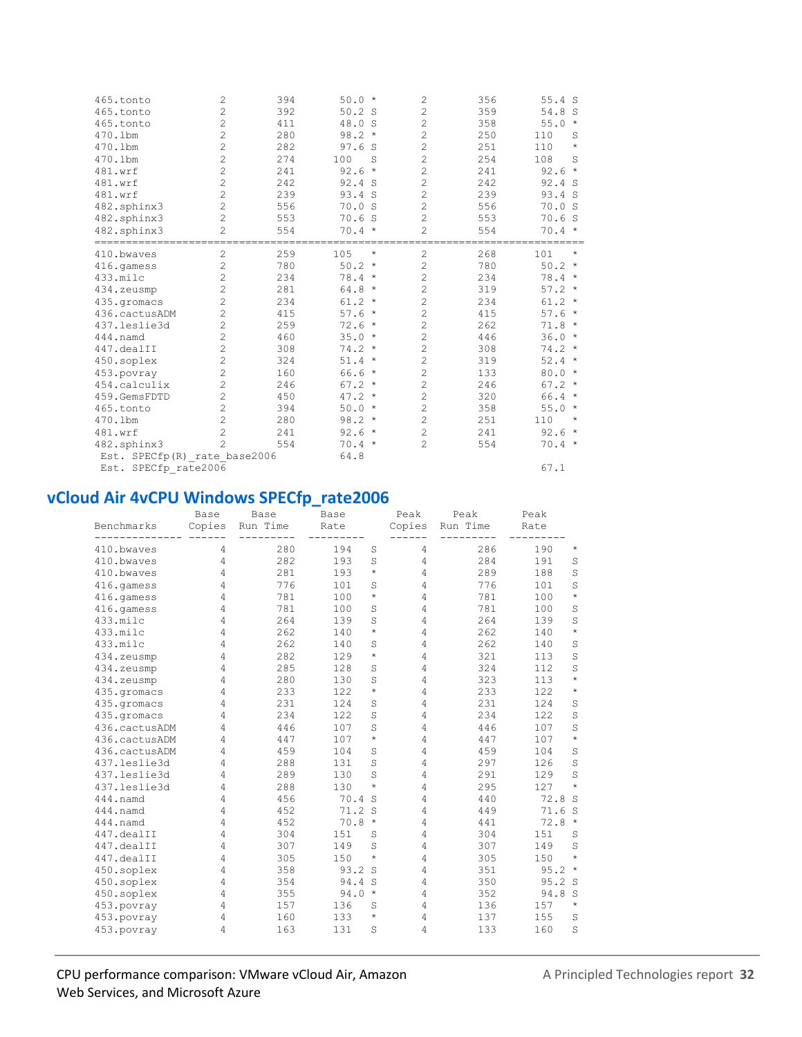| 465.tonto                                    | $\overline{c}$ | 394 | $50.0*$              | 2              | 356 | 55.4 S               |
|----------------------------------------------|----------------|-----|----------------------|----------------|-----|----------------------|
| 465.tonto                                    | $\overline{c}$ | 392 | 50.2<br><sub>S</sub> | 2              | 359 | 54.8<br><sub>S</sub> |
| 465.tonto                                    | $\overline{c}$ | 411 | 48.0 S               | $\overline{c}$ | 358 | 55.0<br>$\star$      |
| 470.1bm                                      | $\overline{c}$ | 280 | 98.2<br>$\star$      | $\overline{c}$ | 250 | 110<br>S             |
| 470.1bm                                      | $\overline{c}$ | 282 | 97.6<br>S            | $\overline{c}$ | 251 | 110<br>$^{\star}$    |
| 470.1bm                                      | $\overline{c}$ | 274 | 100<br>S             | $\overline{c}$ | 254 | 108<br>S             |
| 481.wrf                                      | $\overline{c}$ | 241 | 92.6<br>$^{\star}$   | 2              | 241 | 92.6<br>$\star$      |
| 481.wrf                                      | $\overline{c}$ | 242 | 92.4<br>- S          | $\overline{c}$ | 242 | 92.4 S               |
| 481.wrf                                      | $\overline{c}$ | 239 | 93.4<br>S            | $\overline{c}$ | 239 | 93.4 S               |
| 482.sphinx3                                  | $\overline{c}$ | 556 | 70.0<br>S            | 2              | 556 | 70.0<br>S            |
| 482.sphinx3                                  | $\overline{c}$ | 553 | 70.6<br>-S           | 2              | 553 | 70.6<br>-S           |
| 482.sphinx3                                  | 2              | 554 | 70.4                 | $\overline{a}$ | 554 | 70.4<br>$\star$      |
| ==============================<br>410.bwaves | 2              | 259 | 105<br>$^\star$      | $\overline{c}$ | 268 | 101<br>$\star$       |
| 416.qamess                                   | $\overline{c}$ | 780 | 50.2<br>$\star$      | $\overline{c}$ | 780 | 50.2<br>$\star$      |
| 433.milc                                     | $\overline{c}$ | 234 | $78.4 *$             | 2              | 234 | $78.4*$              |
| 434.zeusmp                                   | $\overline{c}$ | 281 | 64.8<br>$\star$      | $\overline{c}$ | 319 | $57.2*$              |
| 435.qromacs                                  | $\overline{c}$ | 234 | 61.2<br>$\star$      | $\overline{c}$ | 234 | 61.2<br>$\star$      |
| 436.cactusADM                                | $\overline{c}$ | 415 | 57.6<br>$\star$      | $\overline{c}$ | 415 | 57.6<br>$\star$      |
| 437.leslie3d                                 | $\overline{c}$ | 259 | 72.6<br>$\star$      | $\overline{c}$ | 262 | $71.8 *$             |
| $444.$ namd                                  | $\overline{c}$ | 460 | $35.0*$              | $\overline{c}$ | 446 | 36.0<br>$\star$      |
| 447.dealII                                   | $\overline{c}$ | 308 | $74.2*$              | $\overline{c}$ | 308 | $74.2*$              |
| 450.soplex                                   | $\overline{c}$ | 324 | 51.4<br>$\star$      | $\overline{c}$ | 319 | 52.4<br>$\star$      |
| 453.povray                                   | $\overline{c}$ | 160 | 66.6<br>$\star$      | $\overline{c}$ | 133 | 80.0<br>$\star$      |
| 454.calculix                                 | $\overline{c}$ | 246 | $67.2*$              | 2              | 246 | $67.2*$              |
| 459.GemsFDTD                                 | $\overline{c}$ | 450 | 47.2<br>$\star$      | $\overline{c}$ | 320 | $66.4 *$             |
| 465.tonto                                    | $\overline{c}$ | 394 | $50.0 *$             | $\overline{c}$ | 358 | $\star$<br>55.0      |
| 470.1bm                                      | $\overline{c}$ | 280 | 98.2<br>$\star$      | $\overline{c}$ | 251 | 110<br>$^\star$      |
| 481.wrf                                      | $\overline{c}$ | 241 | 92.6<br>$\star$      | 2              | 241 | 92.6<br>$\star$      |
| 482.sphinx3                                  | 2              | 554 | $70.4 *$             | $\overline{c}$ | 554 | $70.4 *$             |
| Est. SPECfp(R) rate base2006                 |                |     | 64.8                 |                |     |                      |
| Est. SPECfp rate2006                         |                |     |                      |                |     | 67.1                 |

#### vCloud Air 4vCPU Windows SPECfp rate2006

| Benchmarks    | Base<br>Copies | Base<br>Run Time | Base<br>Rate |            | Peak<br>Copies | Peak<br>Run Time | Peak<br>Rate |         |
|---------------|----------------|------------------|--------------|------------|----------------|------------------|--------------|---------|
| 410.bwaves    | 4              | 280              | 194          | S          | 4              | 286              | 190          | $\star$ |
| 410.bwayes    | 4              | 282              | 193          | S          | 4              | 284              | 191          | S       |
| 410.bwaves    | 4              | 281              | 193          | $^{\star}$ | 4              | 289              | 188          | S       |
| 416.qamess    | 4              | 776              | 101          | S          | 4              | 776              | 101          | S       |
| 416.qamess    | 4              | 781              | 100          | $\star$    | 4              | 781              | 100          | $\star$ |
| 416.gamess    | 4              | 781              | 100          | S          | 4              | 781              | 100          | S       |
| 433.milc      | 4              | 264              | 139          | S          | 4              | 264              | 139          | S       |
| 433.milc      | 4              | 262              | 140          | $\star$    | 4              | 262              | 140          | $\star$ |
| 433.milc      | 4              | 262              | 140          | S          | 4              | 262              | 140          | S       |
| 434.zeusmp    | 4              | 282              | 129          | $^{\star}$ | 4              | 321              | 113          | S       |
| 434.zeusmp    | 4              | 285              | 128          | S          | 4              | 324              | 112          | S       |
| 434.zeusmp    | 4              | 280              | 130          | S          | 4              | 323              | 113          | $\star$ |
| 435.gromacs   | 4              | 233              | 122          | $\star$    | 4              | 233              | 122          | $\star$ |
| 435.qromacs   | 4              | 231              | 124          | S          | 4              | 231              | 124          | S       |
| 435.gromacs   | 4              | 234              | 122          | S          | 4              | 234              | 122          | S       |
| 436.cactusADM | 4              | 446              | 107          | S          | 4              | 446              | 107          | S       |
| 436.cactusADM | 4              | 447              | 107          | $\star$    | 4              | 447              | 107          | $\star$ |
| 436.cactusADM | 4              | 459              | 104          | S          | 4              | 459              | 104          | S       |
| 437.leslie3d  | 4              | 288              | 131          | S          | 4              | 297              | 126          | S       |
| 437.leslie3d  | 4              | 289              | 130          | S          | 4              | 291              | 129          | S       |
| 437.leslie3d  | 4              | 288              | 130          | $\star$    | 4              | 295              | 127          | $\star$ |
| 444.namd      | 4              | 456              | 70.4         | S          | 4              | 440              | 72.8         | S       |
| 444.namd      | 4              | 452              | 71.2         | S          | 4              | 449              | 71.6         | S       |
| 444.namd      | 4              | 452              | 70.8         | $\star$    | 4              | 441              | 72.8         | $\star$ |
| 447.dealII    | 4              | 304              | 151          | S          | 4              | 304              | 151          | S       |
| 447.dealII    | 4              | 307              | 149          | S          | 4              | 307              | 149          | S       |
| 447.dealII    | 4              | 305              | 150          | $^{\star}$ | 4              | 305              | 150          | $\star$ |
| 450.soplex    | 4              | 358              | 93.2         | S          | 4              | 351              | 95.2         | $\star$ |
| 450.soplex    | 4              | 354              | 94.4         | S          | 4              | 350              | 95.2         | S       |
| 450.soplex    | 4              | 355              | 94.0         | $\star$    | 4              | 352              | 94.8         | S       |
| 453.povray    | 4              | 157              | 136          | S          | 4              | 136              | 157          | $\star$ |
| 453.povray    | 4              | 160              | 133          | $^{\star}$ | 4              | 137              | 155          | S       |
| 453.povray    | 4              | 163              | 131          | S          | 4              | 133              | 160          | S       |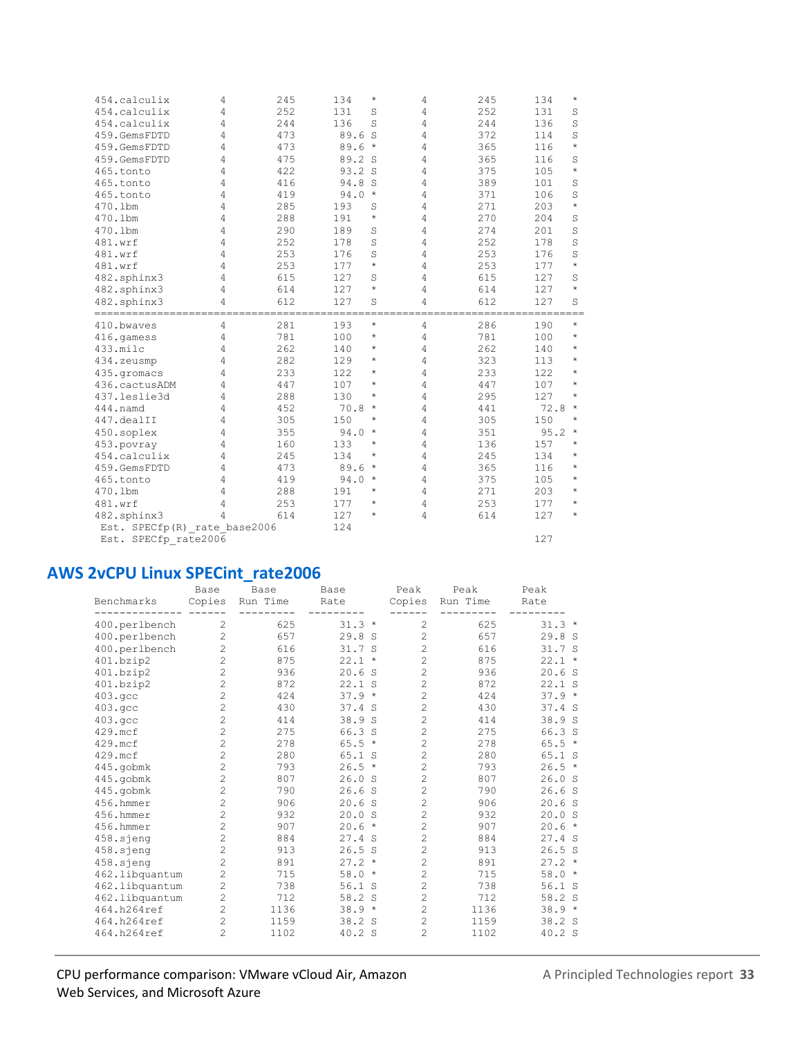| 454.calculix                 | 4 | 245 | 134<br>$^\star$   | 4 | 245 | 134<br>$^\star$ |  |
|------------------------------|---|-----|-------------------|---|-----|-----------------|--|
| 454.calculix                 | 4 | 252 | 131<br>S          | 4 | 252 | 131<br>S        |  |
| 454.calculix                 | 4 | 244 | 136<br>S          | 4 | 244 | 136<br>S        |  |
| 459.GemsFDTD                 | 4 | 473 | 89.6<br>S         | 4 | 372 | S<br>114        |  |
| 459.GemsFDTD                 | 4 | 473 | 89.6<br>$\star$   | 4 | 365 | $\star$<br>116  |  |
| 459.GemsFDTD                 | 4 | 475 | 89.2 S            | 4 | 365 | 116<br>S        |  |
| 465.tonto                    | 4 | 422 | 93.2 S            | 4 | 375 | $\star$<br>105  |  |
| 465.tonto                    | 4 | 416 | 94.8<br>S         | 4 | 389 | 101<br>S        |  |
| 465.tonto                    | 4 | 419 | 94.0<br>$\star$   | 4 | 371 | S<br>106        |  |
| 470.1bm                      | 4 | 285 | 193<br>S          | 4 | 271 | $\star$<br>203  |  |
| 470.1bm                      | 4 | 288 | 191<br>$^{\star}$ | 4 | 270 | 204<br>S        |  |
| 470.1bm                      | 4 | 290 | 189<br>S          | 4 | 274 | 201<br>S        |  |
| 481.wrf                      | 4 | 252 | S<br>178          | 4 | 252 | 178<br>S        |  |
| 481.wrf                      | 4 | 253 | S<br>176          | 4 | 253 | 176<br>S        |  |
| 481.wrf                      | 4 | 253 | $\star$<br>177    | 4 | 253 | $\star$<br>177  |  |
| 482.sphinx3                  | 4 | 615 | 127<br>S          | 4 | 615 | 127<br>S        |  |
| 482.sphinx3                  | 4 | 614 | $\star$<br>127    | 4 | 614 | $\star$<br>127  |  |
| 482.sphinx3                  | 4 | 612 | 127<br>S          | 4 | 612 | 127<br>S        |  |
| ----------                   |   |     |                   |   |     |                 |  |
| 410.bwayes                   | 4 | 281 | $\star$<br>193    | 4 | 286 | $\star$<br>190  |  |
| 416.gamess                   | 4 | 781 | 100<br>$\star$    | 4 | 781 | 100<br>$\star$  |  |
| 433.milc                     | 4 | 262 | $^{\star}$<br>140 | 4 | 262 | $\star$<br>140  |  |
| 434.zeusmp                   | 4 | 282 | 129<br>$^{\star}$ | 4 | 323 | 113<br>$\star$  |  |
| 435.gromacs                  | 4 | 233 | 122<br>$\star$    | 4 | 233 | 122<br>$\star$  |  |
| 436.cactusADM                | 4 | 447 | 107<br>$\star$    | 4 | 447 | 107<br>$\star$  |  |
| 437.leslie3d                 | 4 | 288 | 130<br>$^\star$   | 4 | 295 | 127<br>$\star$  |  |
| 444.namd                     | 4 | 452 | 70.8<br>$\star$   | 4 | 441 | $\star$<br>72.8 |  |
| 447.dealII                   | 4 | 305 | 150<br>$^\star$   | 4 | 305 | 150<br>$\star$  |  |
| 450.soplex                   | 4 | 355 | $\star$<br>94.0   | 4 | 351 | 95.2<br>$\star$ |  |
| 453.povray                   | 4 | 160 | 133<br>$^\star$   | 4 | 136 | 157<br>$\star$  |  |
| 454.calculix                 | 4 | 245 | 134<br>$\star$    | 4 | 245 | 134<br>$\star$  |  |
| 459.GemsFDTD                 | 4 | 473 | 89.6<br>$\star$   | 4 | 365 | 116<br>$\star$  |  |
| 465.tonto                    | 4 | 419 | 94.0<br>$^\star$  | 4 | 375 | $\star$<br>105  |  |
| 470.1bm                      | 4 | 288 | $\star$<br>191    | 4 | 271 | 203<br>$\star$  |  |
| 481.wrf                      | 4 | 253 | $\star$<br>177    | 4 | 253 | $\star$<br>177  |  |
| 482.sphinx3                  | 4 | 614 | $^\star$<br>127   | 4 | 614 | $\star$<br>127  |  |
| Est. SPECfp(R) rate base2006 |   |     | 124               |   |     |                 |  |
| Est. SPECfp rate2006         |   |     |                   |   |     | 127             |  |
|                              |   |     |                   |   |     |                 |  |

# **AWS 2vCPU Linux SPECint\_rate2006**

|                | Base           | Base     | Base                 | Peak           | Peak     | Peak            |
|----------------|----------------|----------|----------------------|----------------|----------|-----------------|
| Benchmarks     | Copies         | Run Time | Rate                 | Copies         | Run Time | Rate            |
| 400.perlbench  | 2              | 625      | $31.3*$              | $\overline{2}$ | 625      | $31.3*$         |
| 400.perlbench  | $\overline{c}$ | 657      | 29.8 S               | $\overline{c}$ | 657      | 29.8 S          |
| 400.perlbench  | 2              | 616      | 31.7S                | $\overline{c}$ | 616      | 31.7 S          |
| 401.bzip2      | $\overline{c}$ | 875      | 22.1<br>$\star$      | $\overline{c}$ | 875      | $22.1$ *        |
| 401.bzip2      | $\overline{c}$ | 936      | 20.6<br>S            | $\overline{c}$ | 936      | 20.6 S          |
| 401.bzip2      | $\overline{c}$ | 872      | 22.1<br>S            | $\overline{c}$ | 872      | 22.1 S          |
| 403.qcc        | $\overline{c}$ | 424      | 37.9<br>$\star$      | $\overline{c}$ | 424      | $37.9*$         |
| 403.qcc        | $\overline{c}$ | 430      | 37.4<br><sub>S</sub> | $\overline{c}$ | 430      | 37.4 S          |
| 403.qcc        | $\overline{c}$ | 414      | 38.9 S               | $\overline{c}$ | 414      | 38.9 S          |
| 429.mcf        | $\overline{c}$ | 275      | 66.3<br><sub>S</sub> | $\overline{c}$ | 275      | 66.3 S          |
| 429.mcf        | $\overline{c}$ | 278      | 65.5<br>$\star$      | $\overline{c}$ | 278      | $65.5 *$        |
| 429.mcf        | $\overline{c}$ | 280      | 65.1 S               | $\overline{c}$ | 280      | 65.1 S          |
| 445.gobmk      | $\overline{c}$ | 793      | 26.5<br>$\star$      | $\overline{c}$ | 793      | $26.5 *$        |
| 445.gobmk      | $\overline{c}$ | 807      | 26.0 S               | $\overline{c}$ | 807      | 26.0 S          |
| 445.gobmk      | $\overline{c}$ | 790      | 26.6<br>-S           | $\overline{c}$ | 790      | 26.6S           |
| 456.hmmer      | $\overline{c}$ | 906      | 20.6 S               | $\overline{c}$ | 906      | 20.6 S          |
| 456.hmmer      | $\overline{c}$ | 932      | 20.0<br>-S           | $\overline{c}$ | 932      | 20.0 S          |
| 456.hmmer      | $\overline{c}$ | 907      | 20.6<br>$\star$      | $\overline{c}$ | 907      | 20.6<br>$\star$ |
| 458.sieng      | $\overline{c}$ | 884      | 27.4 S               | $\overline{c}$ | 884      | 27.4 S          |
| 458.sjeng      | $\overline{c}$ | 913      | $26.5$ S             | $\overline{c}$ | 913      | 26.5S           |
| 458.sjeng      | $\overline{c}$ | 891      | 27.2<br>$\star$      | $\overline{c}$ | 891      | $27.2 *$        |
| 462.libquantum | $\overline{c}$ | 715      | 58.0<br>$\star$      | $\overline{c}$ | 715      | 58.0<br>$\star$ |
| 462.libquantum | $\overline{c}$ | 738      | 56.1<br>S            | $\overline{c}$ | 738      | 56.1 S          |
| 462.libquantum | $\overline{c}$ | 712      | 58.2<br>S            | $\overline{c}$ | 712      | 58.2 S          |
| 464.h264ref    | 2              | 1136     | $38.9*$              | $\overline{c}$ | 1136     | $38.9*$         |
| 464.h264ref    | $\overline{c}$ | 1159     | 38.2<br>S            | $\overline{c}$ | 1159     | 38.2 S          |
| 464.h264ref    | $\overline{c}$ | 1102     | 40.2 S               | $\overline{c}$ | 1102     | 40.2 S          |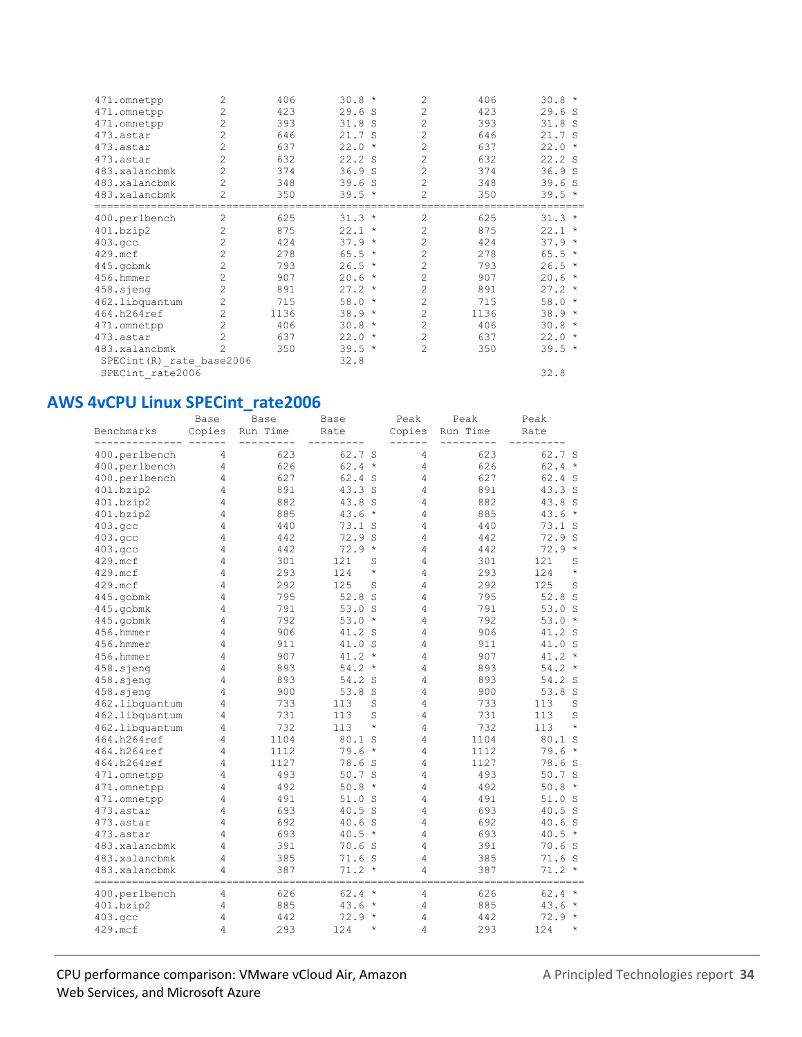| 471.omnetpp                | 2              | 406  | $30.8 *$         | $\overline{c}$ | 406  | $30.8 *$        |
|----------------------------|----------------|------|------------------|----------------|------|-----------------|
| 471.omnetpp                | $\overline{c}$ | 423  | 29.6 S           | $\overline{c}$ | 423  | 29.6S           |
| 471.omnetpp                | $\overline{c}$ | 393  | 31.8S            | $\overline{c}$ | 393  | 31.8S           |
| 473.astar                  | 2              | 646  | 21.7 S           | $\overline{c}$ | 646  | 21.7 S          |
| 473.astar                  | 2              | 637  | 22.0<br>$\star$  | $\overline{c}$ | 637  | 22.0<br>$\star$ |
| 473.astar                  | 2              | 632  | 22.2S            | $\overline{c}$ | 632  | 22.2 S          |
| 483.xalancbmk              | 2              | 374  | 36.9S            | 2              | 374  | 36.9S           |
| 483.xalancbmk              | 2              | 348  | 39.6S            | $\overline{c}$ | 348  | 39.6S           |
| 483.xalancbmk              | 2              | 350  | $39.5*$          | $\overline{c}$ | 350  | $39.5*$         |
| 400.perlbench              | $\overline{c}$ | 625  | $31.3*$          | $\overline{c}$ | 625  | $31.3*$         |
| 401.bzip2                  | $\overline{c}$ | 875  | $22.1$ *         | $\overline{c}$ | 875  | $22.1$ *        |
| 403.qcc                    | 2              | 424  | 37.9<br>$\star$  | $\overline{c}$ | 424  | 37.9<br>$\star$ |
| 429.mcf                    | 2              | 278  | $65.5 *$         | $\overline{c}$ | 278  | $65.5 *$        |
| 445.gobmk                  | $\overline{c}$ | 793  | $26.5 *$         | $\overline{c}$ | 793  | $26.5 *$        |
| 456.hmmer                  | 2              | 907  | $20.6 *$         | $\overline{2}$ | 907  | 20.6<br>$\star$ |
| 458.sjeng                  | $\overline{c}$ | 891  | $27.2*$          | $\overline{c}$ | 891  | $27.2*$         |
| 462.libquantum             | 2              | 715  | 58.0<br>$^\star$ | $\overline{c}$ | 715  | 58.0<br>$\star$ |
| 464.h264ref                | 2              | 1136 | $38.9*$          | $\overline{c}$ | 1136 | $38.9*$         |
| 471.omnetpp                | 2              | 406  | $30.8 *$         | $\overline{c}$ | 406  | $30.8 *$        |
| 473.astar                  | 2              | 637  | 22.0<br>$\star$  | $\overline{c}$ | 637  | 22.0<br>$\star$ |
| 483.xalancbmk              | $\mathfrak{D}$ | 350  | $39.5*$          | $\overline{2}$ | 350  | $39.5*$         |
| SPECint (R) _rate_base2006 |                |      | 32.8             |                |      |                 |
| SPECint rate2006           |                |      |                  |                |      | 32.8            |
|                            |                |      |                  |                |      |                 |

### **AWS 4vCPU Linux SPECint\_rate2006**

|                                 | Base   | Base     | Base              | Peak   | Peak     | Peak               |
|---------------------------------|--------|----------|-------------------|--------|----------|--------------------|
| Benchmarks                      | Copies | Run Time | Rate              | Copies | Run Time | Rate               |
| 400.perlbench                   | 4      | 623      | 62.7 S            | 4      | 623      | 62.7 S             |
| 400.perlbench                   | 4      | 626      | $62.4 *$          | 4      | 626      | $62.4 *$           |
| 400.perlbench                   | 4      | 627      | 62.4 S            | 4      | 627      | 62.4 S             |
| 401.bzip2                       | 4      | 891      | 43.3 S            | 4      | 891      | 43.3 S             |
| 401.bzip2                       | 4      | 882      | 43.8 S            | 4      | 882      | 43.8 S             |
| 401.bzip2                       | 4      | 885      | $43.6 *$          | 4      | 885      | 43.6<br>$\star$    |
| 403.gcc                         | 4      | 440      | 73.1 S            | 4      | 440      | 73.1<br>- S        |
| 403.gcc                         | 4      | 442      | 72.9<br>S         | 4      | 442      | 72.9 S             |
| 403.gcc                         | 4      | 442      | 72.9<br>$\star$   | 4      | 442      | 72.9<br>$\star$    |
| 429.mcf                         | 4      | 301      | 121<br>S          | 4      | 301      | 121<br>S           |
| 429.mcf                         | 4      | 293      | 124<br>$^{\star}$ | 4      | 293      | $\star$<br>124     |
| 429.mcf                         | 4      | 292      | 125<br>S          | 4      | 292      | 125<br>S           |
| 445.gobmk                       | 4      | 795      | 52.8<br>S         | 4      | 795      | 52.8<br>- S        |
| 445.gobmk                       | 4      | 791      | 53.0 S            | 4      | 791      | 53.0 S             |
| 445.gobmk                       | 4      | 792      | $53.0*$           | 4      | 792      | $53.0*$            |
| 456.hmmer                       | 4      | 906      | 41.2 S            | 4      | 906      | 41.2 S             |
| 456.hmmer                       | 4      | 911      | 41.0 S            | 4      | 911      | 41.0 S             |
| 456.hmmer                       | 4      | 907      | 41.2<br>$\star$   | 4      | 907      | 41.2<br>$\star$    |
| 458.sjeng                       | 4      | 893      | 54.2<br>$\star$   | 4      | 893      | 54.2<br>$\star$    |
| 458.sjeng                       | 4      | 893      | 54.2<br>S         | 4      | 893      | 54.2 S             |
| 458.sjeng                       | 4      | 900      | 53.8<br>S         | 4      | 900      | 53.8 S             |
| 462.libquantum                  | 4      | 733      | 113<br>S          | 4      | 733      | 113<br>S           |
| 462.libquantum                  | 4      | 731      | 113<br>S          | 4      | 731      | S<br>113           |
| 462.libquantum                  | 4      | 732      | $\star$<br>113    | 4      | 732      | $\star$<br>113     |
| 464.h264ref                     | 4      | 1104     | 80.1<br>S         | 4      | 1104     | 80.1<br>S          |
| 464.h264ref                     | 4      | 1112     | $\star$<br>79.6   | 4      | 1112     | 79.6<br>$\star$    |
| 464.h264ref                     | 4      | 1127     | 78.6 S            | 4      | 1127     | 78.6 S             |
| 471.omnetpp                     | 4      | 493      | 50.7S             | 4      | 493      | 50.7 S             |
| 471.omnetpp                     | 4      | 492      | $50.8 *$          | 4      | 492      | 50.8<br>$\star$    |
| 471.omnetpp                     | 4      | 491      | 51.0 S            | 4      | 491      | 51.0 S             |
| 473.astar                       | 4      | 693      | 40.5 S            | 4      | 693      | 40.5 S             |
| 473.astar                       | 4      | 692      | 40.6 S            | 4      | 692      | 40.6 S             |
| 473.astar                       | 4      | 693      | $40.5 *$          | 4      | 693      | 40.5<br>$\star$    |
| 483.xalancbmk                   | 4      | 391      | 70.6 S            | 4      | 391      | 70.6 S             |
| 483.xalancbmk                   | 4      | 385      | 71.6 S            | 4      | 385      | 71.6S              |
| 483.xalancbmk<br>============== | 4      | 387      | 71.2<br>$\star$   | 4      | 387      | $71.2$ *           |
| 400.perlbench                   | 4      | 626      | $62.4 *$          | 4      | 626      | 62.4<br>$\star$    |
| 401.bzip2                       | 4      | 885      | $43.6 *$          | 4      | 885      | 43.6<br>$\star$    |
| 403.qcc                         | 4      | 442      | $\star$<br>72.9   | 4      | 442      | 72.9<br>$_{\star}$ |
| 429.mcf                         | 4      | 293      | $\star$<br>124    | 4      | 293      | $\star$<br>124     |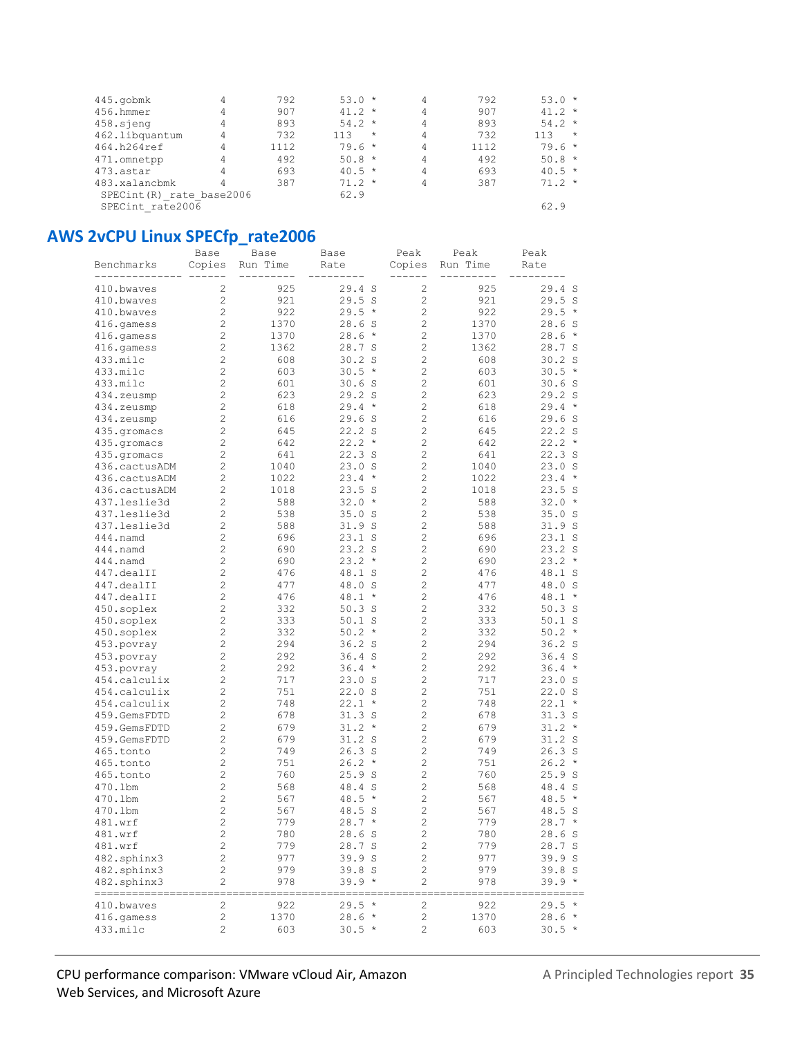| 445.gobmk                 |   | 792  | $53.0*$        | 4 | 792  | $53.0*$        |
|---------------------------|---|------|----------------|---|------|----------------|
| 456.hmmer                 | 4 | 907  | $41.2 *$       | 4 | 907  | 41.2 $*$       |
| 458.sjeng                 | 4 | 893  | $54.2*$        | 4 | 893  | $54.2*$        |
| 462.libquantum            | 4 | 732  | 113<br>$\star$ | 4 | 732  | 113<br>$\star$ |
| 464.h264ref               |   | 1112 | $79.6*$        | 4 | 1112 | $79.6*$        |
| 471.omnetpp               | 4 | 492  | $50.8 *$       | 4 | 492  | $50.8*$        |
| 473.astar                 | 4 | 693  | $40.5 *$       | 4 | 693  | $40.5 *$       |
| 483.xalancbmk             | 4 | 387  | $71.2 *$       | 4 | 387  | $71.2 *$       |
| SPECint (R) rate base2006 |   |      | 62.9           |   |      |                |
| SPECint rate2006          |   |      |                |   |      | 62.9           |

## **AWS 2vCPU Linux SPECfp\_rate2006**

|               | Base                    | Base     | Base              | Peak           | Peak     | Peak               |
|---------------|-------------------------|----------|-------------------|----------------|----------|--------------------|
| Benchmarks    | Copies                  | Run Time | Rate              | Copies         | Run Time | Rate               |
|               |                         |          |                   |                |          |                    |
| 410.bwaves    | 2                       | 925      | 29.4 S            | 2              | 925      | 29.4S              |
| 410.bwaves    | $\overline{c}$          | 921      | 29.5S             | $\overline{c}$ | 921      | 29.5S              |
| 410.bwaves    | $\overline{c}$          | 922      | $29.5 *$          | 2              | 922      | 29.5<br>$\star$    |
| 416.qamess    | 2                       | 1370     | 28.6S             | 2              | 1370     | 28.6<br>- S        |
| 416.qamess    | 2                       | 1370     | $28.6*$           | 2              | 1370     | 28.6<br>$^{\star}$ |
| 416.gamess    | 2                       | 1362     | 28.7 S            | 2              | 1362     | 28.7 S             |
| 433.milc      | 2                       | 608      | $30.2$ S          | 2              | 608      | $30.2$ S           |
| 433.milc      | 2                       | 603      | $30.5 *$          | 2              | 603      | 30.5<br>$\star$    |
| 433.milc      | $\overline{c}$          | 601      | 30.6 S            | $\overline{c}$ | 601      | 30.6<br>- S        |
| 434.zeusmp    | $\overline{c}$          | 623      | 29.2 S            | 2              | 623      | 29.2 S             |
| 434.zeusmp    | $\overline{c}$          | 618      | $29.4 *$          | $\overline{c}$ | 618      | 29.4<br>$\star$    |
| 434.zeusmp    | $\overline{c}$          | 616      | 29.6S             | $\overline{c}$ | 616      | 29.6<br>- S        |
| 435.gromacs   | $\overline{c}$          | 645      | 22.2 S            | 2              | 645      | 22.2 S             |
| 435.gromacs   | $\overline{c}$          | 642      | $22.2 *$          | 2              | 642      | 22.2<br>$\star$    |
| 435.gromacs   | $\overline{c}$          | 641      | 22.3S             | 2              | 641      | 22.3S              |
| 436.cactusADM | $\overline{c}$          | 1040     | 23.0 S            | $\overline{c}$ | 1040     | 23.0<br>S.         |
| 436.cactusADM | $\overline{c}$          | 1022     | $23.4 *$          | 2              | 1022     | 23.4<br>$\star$    |
| 436.cactusADM | $\overline{c}$          | 1018     | 23.5S             | 2              | 1018     | 23.5<br>- S        |
| 437.leslie3d  | $\overline{c}$          | 588      | $32.0*$           | $\overline{c}$ | 588      | 32.0<br>$\star$    |
| 437.leslie3d  | $\overline{c}$          | 538      | 35.0 S            | 2              | 538      | 35.0<br>- S        |
| 437.leslie3d  | $\overline{c}$          | 588      | 31.9S             | 2              | 588      | 31.9S              |
| 444.namd      | $\overline{c}$          | 696      | 23.1 S            | 2              | 696      | $23.1$ S           |
| 444.namd      | $\overline{c}$          | 690      | 23.2 S            | 2              | 690      | 23.2 S             |
| 444.namd      | $\overline{c}$          | 690      | $23.2 *$          | 2              | 690      | 23.2<br>$^{\star}$ |
| 447.dealII    | $\overline{c}$          | 476      | 48.1 S            | 2              | 476      | 48.1 S             |
| 447.dealII    | $\overline{c}$          | 477      | 48.0 S            | 2              | 477      | 48.0<br>S          |
| 447.dealII    | 2                       | 476      | $48.1 *$          | 2              | 476      | 48.1<br>$\star$    |
| 450.soplex    | 2                       | 332      | $50.3$ S          | 2              | 332      | $50.3$ S           |
| 450.soplex    | 2                       | 333      | $50.1$ S          | 2              | 333      | $50.1$ S           |
| 450.soplex    | 2                       | 332      | $50.2*$           | 2              | 332      | 50.2<br>$\star$    |
| 453.povray    | 2                       | 294      | 36.2 <sub>s</sub> | 2              | 294      | $36.2$ S           |
| 453.povray    | $\overline{c}$          | 292      | $36.4$ S          | $\overline{c}$ | 292      | 36.4<br>- S        |
| 453.povray    | $\overline{c}$          | 292      | $36.4 *$          | $\overline{c}$ | 292      | 36.4<br>$\star$    |
| 454.calculix  | $\overline{c}$          | 717      | 23.0 S            | $\overline{c}$ | 717      | 23.0 S             |
| 454.calculix  | $\overline{c}$          | 751      | 22.0 S            | $\overline{c}$ | 751      | 22.0 S             |
| 454.calculix  | $\overline{c}$          | 748      | $22.1$ *          | 2              | 748      | 22.1<br>$^\star$   |
| 459.GemsFDTD  | $\overline{c}$          | 678      | 31.3S             | $\overline{c}$ | 678      | 31.3S              |
| 459.GemsFDTD  | $\overline{c}$          | 679      | $31.2 *$          | 2              | 679      | 31.2<br>$^{\star}$ |
| 459.GemsFDTD  | $\overline{c}$          | 679      | 31.2S             | 2              | 679      | $31.2$ S           |
| 465.tonto     | $\overline{c}$          | 749      | 26.3S             | 2              | 749      | $26.3$ S           |
| 465.tonto     | 2                       | 751      | 26.2<br>$\star$   | 2              | 751      | 26.2<br>$\star$    |
| 465.tonto     | 2                       | 760      | 25.9S             | 2              | 760      | 25.9 S             |
| 470.1bm       | 2                       | 568      | 48.4<br>S         | 2              | 568      | 48.4 S             |
| 470.1bm       | $\overline{c}$          | 567      | 48.5 *            | $\overline{c}$ | 567      | 48.5<br>$\star$    |
| 470.1bm       | 2                       | 567      | 48.5 S            | $\overline{c}$ | 567      | 48.5<br>- S        |
| 481.wrf       | $\overline{c}$          | 779      | $28.7 *$          | 2              | 779      | $28.7 *$           |
| 481.wrf       | $\mathbf{2}$            | 780      | 28.6 S            | 2              | 780      | 28.6 S             |
| 481.wrf       | $\sqrt{2}$              | 779      | 28.7 S            | 2              | 779      | 28.7 S             |
| 482.sphinx3   | $\overline{\mathbf{c}}$ | 977      | 39.9 S            | $\overline{c}$ | 977      | 39.9 S             |
| 482.sphinx3   | $\overline{c}$          | 979      | 39.8 S            | $\mathbf{2}$   | 979      | 39.8 S             |
| 482.sphinx3   | 2                       | 978      | 39.9 *            | 2              | 978      | 39.9 *             |
|               |                         |          |                   |                |          |                    |
| 410.bwaves    | 2                       | 922      | 29.5 *            | 2              | 922      | $29.5*$            |
| 416.gamess    | $\sqrt{2}$              | 1370     | $28.6*$           | $\mathbf{2}$   | 1370     | $28.6*$            |
| 433.milc      | $\overline{\mathbf{c}}$ | 603      | $30.5 *$          | 2              | 603      | $30.5 *$           |

#### CPU performance comparison: VMware vCloud Air, Amazon A Principled Technologies report 35 Web Services, and Microsoft Azure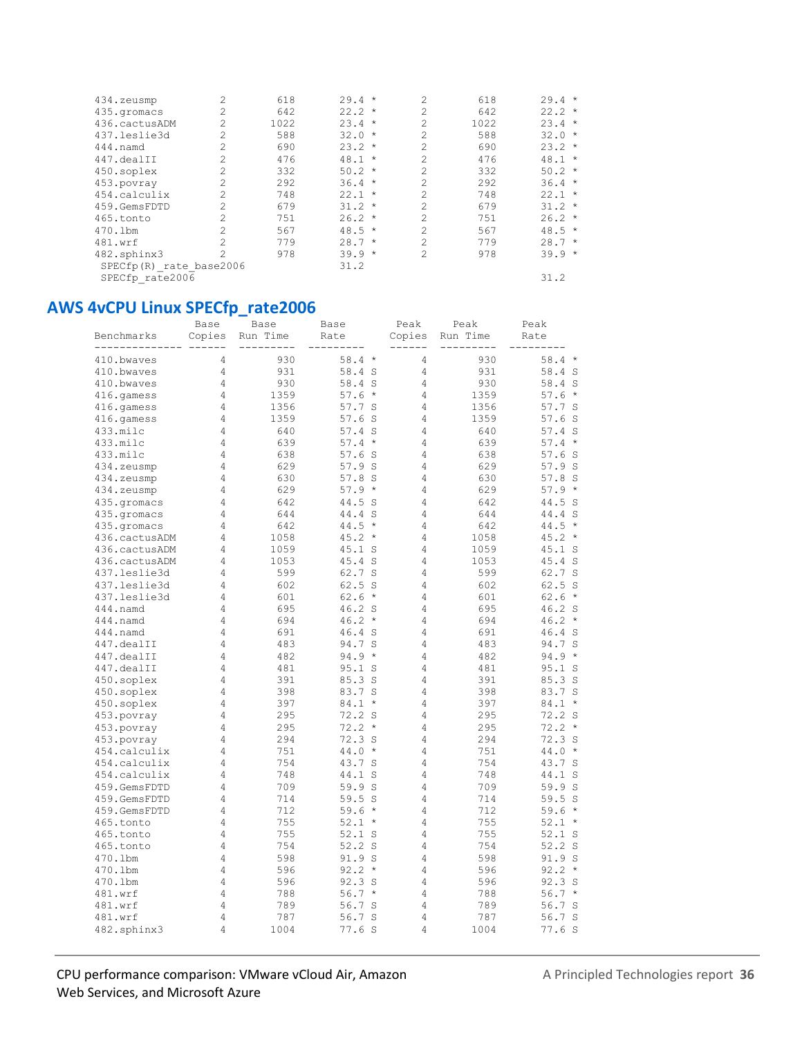| 434.zeusmp              | 2              | 618  | $29.4 *$ | 2              | 618  | $29.4 *$ |
|-------------------------|----------------|------|----------|----------------|------|----------|
| 435.gromacs             |                | 642  | $22.2 *$ | $\overline{c}$ | 642  | $22.2 *$ |
| 436.cactusADM           | 2              | 1022 | $23.4 *$ | 2              | 1022 | $23.4 *$ |
| 437.leslie3d            |                | 588  | $32.0*$  | 2              | 588  | $32.0*$  |
| 444.namd                |                | 690  | $23.2*$  | $\mathcal{L}$  | 690  | $23.2 *$ |
| 447.dealII              | 2              | 476  | $48.1 *$ | 2              | 476  | $48.1 *$ |
| 450.soplex              |                | 332  | $50.2 *$ | 2              | 332  | $50.2 *$ |
| 453.povray              | 2              | 292  | $36.4 *$ | $\mathfrak{D}$ | 292  | $36.4 *$ |
| 454.calculix            | $\mathfrak{D}$ | 748  | $22.1$ * | 2              | 748  | $22.1$ * |
| 459.GemsFDTD            |                | 679  | $31.2 *$ | 2              | 679  | $31.2 *$ |
| 465.tonto               | 2              | 751  | $26.2*$  | $\mathfrak{D}$ | 751  | $26.2 *$ |
| 470.1bm                 |                | 567  | $48.5 *$ | 2              | 567  | $48.5*$  |
| 481.wrf                 | $\mathfrak{D}$ | 779  | $28.7*$  | $\mathcal{D}$  | 779  | $28.7 *$ |
| 482.sphinx3             | $\mathfrak{D}$ | 978  | $39.9 *$ | $\mathfrak{D}$ | 978  | $39.9 *$ |
| SPECfp(R) rate base2006 |                |      | 31.2     |                |      |          |
| SPECfp rate2006         |                |      |          |                |      | 31.2     |

### **AWS 4vCPU Linux SPECfp\_rate2006**

|               | Base           | Base     | Base            | Peak   | Peak     | Peak                 |
|---------------|----------------|----------|-----------------|--------|----------|----------------------|
| Benchmarks    | Copies         | Run Time | Rate            | Copies | Run Time | Rate                 |
|               |                |          |                 |        |          |                      |
| 410.bwaves    | 4              | 930      | $58.4*$         | 4      | 930      | $58.4*$              |
| 410.bwaves    | 4              | 931      | 58.4 S          | 4      | 931      | 58.4 S               |
| 410.bwaves    | 4              | 930      | 58.4 S          | 4      | 930      | 58.4 S               |
| 416.qamess    | 4              | 1359     | 57.6<br>$\star$ | 4      | 1359     | 57.6<br>$\star$      |
| 416.qamess    | 4              | 1356     | 57.7 S          | 4      | 1356     | 57.7 S               |
| 416.gamess    | 4              | 1359     | 57.6S           | 4      | 1359     | 57.6<br>- S          |
| 433.milc      | 4              | 640      | 57.4 S          | 4      | 640      | 57.4S                |
| 433.milc      | 4              | 639      | 57.4<br>$\star$ | 4      | 639      | 57.4<br>$\star$      |
| 433.milc      | $\overline{4}$ | 638      | 57.6S           | 4      | 638      | 57.6S                |
| 434.zeusmp    | 4              | 629      | 57.9S           | 4      | 629      | 57.9 S               |
| 434.zeusmp    | 4              | 630      | 57.8<br>- S     | 4      | 630      | 57.8 S               |
| 434.zeusmp    | 4              | 629      | 57.9<br>$\star$ | 4      | 629      | 57.9<br>$\star$      |
| 435.gromacs   | 4              | 642      | 44.5 S          | 4      | 642      | 44.5 S               |
| 435.qromacs   | 4              | 644      | 44.4 S          | 4      | 644      | 44.4 S               |
| 435.qromacs   | 4              | 642      | $\star$<br>44.5 | 4      | 642      | $\star$<br>44.5      |
| 436.cactusADM | 4              | 1058     | 45.2<br>$\star$ | 4      | 1058     | 45.2<br>$\star$      |
| 436.cactusADM | 4              | 1059     | 45.1<br>S       | 4      | 1059     | 45.1 S               |
| 436.cactusADM | 4              | 1053     | 45.4 S          | 4      | 1053     | 45.4<br><sub>S</sub> |
| 437.leslie3d  | 4              | 599      | 62.7 S          | 4      | 599      | 62.7 S               |
| 437.leslie3d  | 4              | 602      | 62.5 S          | 4      | 602      | 62.5 S               |
| 437.leslie3d  | 4              | 601      | $\star$<br>62.6 | 4      | 601      | 62.6<br>$\star$      |
| 444.namd      | 4              | 695      | 46.2 S          | 4      | 695      | 46.2 S               |
| 444.namd      | 4              | 694      | 46.2<br>$\star$ | 4      | 694      | 46.2<br>$\star$      |
| $444.$ namd   | 4              | 691      | 46.4 S          | 4      | 691      | 46.4<br>- S          |
| 447.dealII    | 4              | 483      | 94.7 S          | 4      | 483      | 94.7 S               |
| 447.dealII    | 4              | 482      | $\star$<br>94.9 | 4      | 482      | 94.9<br>$\star$      |
| 447.dealII    | 4              | 481      | 95.1 S          | 4      | 481      | 95.1<br>- S          |
| 450.soplex    | 4              | 391      | 85.3 S          | 4      | 391      | 85.3 S               |
| 450.soplex    | 4              | 398      | 83.7 S          | 4      | 398      | 83.7 S               |
| 450.soplex    | 4              | 397      | $\star$<br>84.1 | 4      | 397      | 84.1<br>$\star$      |
| 453.povray    | 4              | 295      | 72.2 S          | 4      | 295      | 72.2 S               |
| 453.povray    | 4              | 295      | 72.2<br>$\star$ | 4      | 295      | 72.2<br>$\star$      |
| 453.povray    | 4              | 294      | 72.3 S          | 4      | 294      | 72.3 S               |
| 454.calculix  | 4              | 751      | 44.0<br>$\star$ | 4      | 751      | 44.0<br>$\star$      |
| 454.calculix  | 4              | 754      | 43.7 S          | 4      | 754      | 43.7 S               |
| 454.calculix  | 4              | 748      | 44.1<br>S       | 4      | 748      | 44.1<br>S            |
| 459.GemsFDTD  | 4              | 709      | 59.9 S          | 4      | 709      | 59.9<br>S.           |
| 459.GemsFDTD  | 4              | 714      | 59.5<br>S       | 4      | 714      | 59.5S                |
| 459.GemsFDTD  | 4              | 712      | $\star$<br>59.6 | 4      | 712      | 59.6<br>$\star$      |
| 465.tonto     | 4              | 755      | 52.1<br>$\star$ | 4      | 755      | $52.1 *$             |
| 465.tonto     | 4              | 755      | 52.1 S          | 4      | 755      | 52.1 S               |
| 465.tonto     | 4              | 754      | $52.2$ S        | 4      | 754      | 52.2S                |
| 470.1bm       | 4              | 598      | 91.9 S          | 4      | 598      | 91.9 S               |
| 470.1bm       | 4              | 596      | 92.2<br>$\star$ | 4      | 596      | 92.2<br>$\star$      |
| 470.1bm       | 4              | 596      | 92.3 S          | 4      | 596      | 92.3 S               |
| 481.wrf       | 4              | 788      | $\star$<br>56.7 | 4      | 788      | 56.7<br>$\star$      |
| 481.wrf       | 4              | 789      | 56.7<br>S       | 4      | 789      | 56.7<br>- S          |
| 481.wrf       | 4              | 787      | 56.7 S          | 4      | 787      | 56.7 S               |
| 482.sphinx3   | 4              | 1004     | 77.6S           | 4      | 1004     | 77.6S                |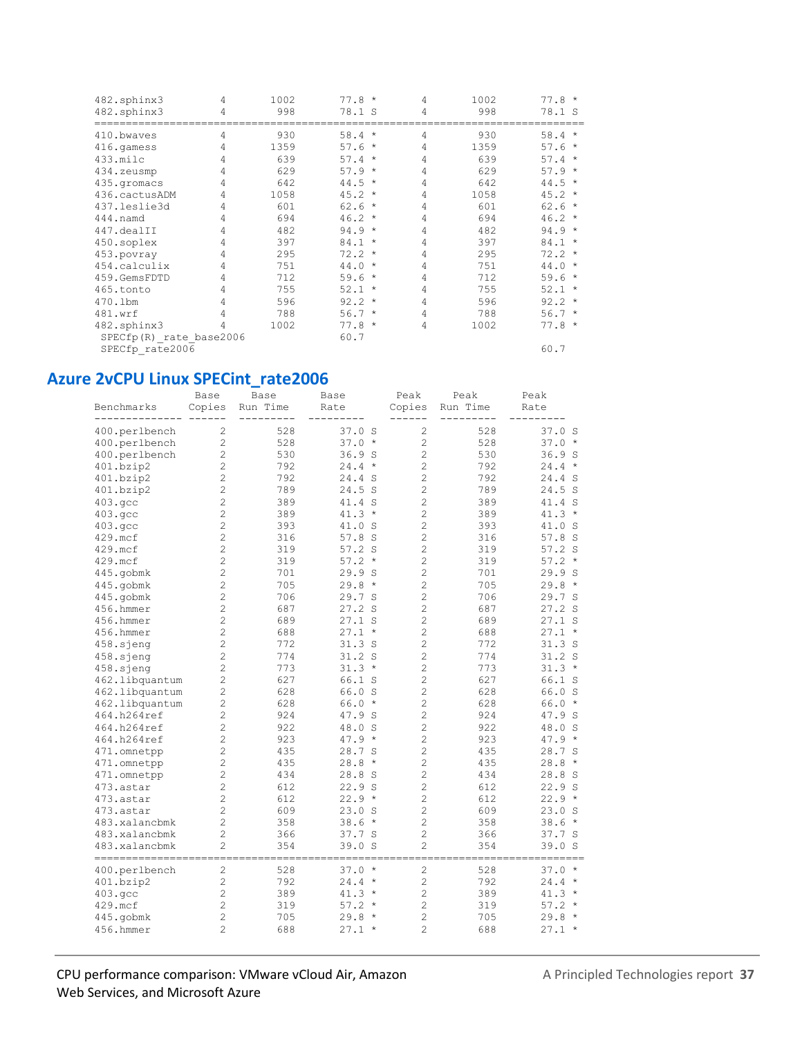| 482.sphinx3<br>482.sphinx3 | 4<br>4 | 1002<br>998 | $77.8*$<br>78.1 S | 4<br>4 | 1002<br>998 | $77.8*$<br>78.1 S |
|----------------------------|--------|-------------|-------------------|--------|-------------|-------------------|
| 410.bwaves                 | 4      | 930         | $58.4*$           | 4      | 930         | $58.4*$           |
| 416.qamess                 | 4      | 1359        | $57.6*$           | 4      | 1359        | $57.6*$           |
| 433.milc                   | 4      | 639         | $57.4 *$          | 4      | 639         | $57.4 *$          |
| 434.zeusmp                 | 4      | 629         | $57.9*$           | 4      | 629         | $57.9*$           |
| 435.qromacs                | 4      | 642         | $44.5 *$          | 4      | 642         | $44.5 *$          |
| 436.cactusADM              | 4      | 1058        | $45.2*$           | 4      | 1058        | $45.2*$           |
| 437.leslie3d               | 4      | 601         | $62.6*$           | 4      | 601         | $62.6*$           |
| 444.namd                   | 4      | 694         | $46.2*$           | 4      | 694         | $46.2*$           |
| 447.dealII                 | 4      | 482         | $94.9 *$          | 4      | 482         | $94.9 *$          |
| 450.soplex                 | 4      | 397         | $84.1 *$          | 4      | 397         | $84.1 *$          |
| 453.povray                 | 4      | 295         | $72.2 *$          | 4      | 295         | $72.2 *$          |
| 454.calculix               | 4      | 751         | $44.0*$           | 4      | 751         | $44.0*$           |
| 459.GemsFDTD               | 4      | 712         | $59.6*$           | 4      | 712         | $59.6*$           |
| 465.tonto                  | 4      | 755         | $52.1 *$          | 4      | 755         | $52.1 *$          |
| 470.1bm                    | 4      | 596         | $92.2 *$          | 4      | 596         | $92.2 *$          |
| 481.wrf                    | 4      | 788         | $56.7*$           | 4      | 788         | $56.7*$           |
| 482.sphinx3                | 4      | 1002        | $77.8 *$          | 4      | 1002        | $77.8*$           |
| SPECfp(R) rate base2006    |        |             | 60.7              |        |             |                   |
| SPECfp_rate2006            |        |             |                   |        |             | 60.7              |

# Azure 2vCPU Linux SPECint\_rate2006

| Benchmarks                         | Base<br>Copies                   | Base<br>Run Time | Base<br>Rate      | Peak<br>Copies                   | Peak<br>Run Time | Peak<br>Rate         |
|------------------------------------|----------------------------------|------------------|-------------------|----------------------------------|------------------|----------------------|
| 400.perlbench                      | $\overline{c}$                   | 528              | 37.0S             | $\overline{c}$                   | 528              | 37.0S                |
| 400.perlbench                      | $\overline{c}$                   | 528              | $37.0*$           | $\overline{c}$                   | 528              | 37.0<br>$\star$      |
| 400.perlbench                      | $\overline{c}$                   | 530              | 36.9S             | $\overline{c}$                   | 530              | 36.9S                |
| 401.bzip2                          | $\overline{c}$                   | 792              | $24.4 *$          | $\overline{c}$                   | 792              | $24.4 *$             |
| 401.bzip2                          | $\overline{c}$                   | 792              | 24.4 S            | $\overline{c}$                   | 792              | 24.4<br>S            |
| 401.bzip2                          | $\overline{c}$                   | 789              | $24.5$ S          | $\overline{c}$                   | 789              | 24.5S                |
| 403.gcc                            | $\overline{c}$                   | 389              | 41.4 S            | $\overline{c}$                   | 389              | 41.4 S               |
| 403.gcc                            | $\overline{c}$                   | 389              | $41.3 *$          | $\overline{c}$                   | 389              | $41.3 *$             |
| 403.gcc                            | $\overline{c}$                   | 393              | 41.0 S            | $\overline{c}$                   | 393              | 41.0 S               |
| 429.mcf                            | $\overline{c}$                   | 316              | 57.8S             | $\overline{c}$                   | 316              | 57.8 S               |
| 429.mcf                            | $\overline{c}$                   | 319              | $57.2$ S          | $\overline{c}$                   | 319              | $57.2$ S             |
| 429.mcf                            | $\overline{c}$                   | 319              | $57.2*$           | $\overline{c}$                   | 319              | $57.2*$              |
| 445.gobmk                          | 2                                | 701              | 29.9 S            | $\overline{c}$                   | 701              | 29.9<br>S            |
| 445.gobmk                          | $\overline{c}$                   | 705              | 29.8<br>$\star$   | $\overline{c}$                   | 705              | 29.8<br>$\star$      |
| 445.gobmk                          | $\overline{c}$                   | 706              | 29.7 S            | $\overline{c}$                   | 706              | 29.7S                |
| 456.hmmer                          | $\overline{c}$                   | 687              | 27.2 S            | $\overline{c}$                   | 687              | 27.2 S               |
| 456.hmmer                          | $\overline{c}$                   | 689              | $27.1$ S          | $\overline{c}$                   | 689              | $27.1$ S             |
| 456.hmmer                          | $\overline{c}$                   | 688              | $27.1 *$          | $\overline{c}$                   | 688              | $27.1 *$             |
| 458.sjeng                          | $\overline{c}$                   | 772              | 31.3S             | $\overline{c}$                   | 772              | 31.3S                |
| 458.sjeng                          | $\overline{c}$                   | 774              | 31.2S             | $\overline{c}$                   | 774              | 31.2S                |
| 458.sjeng                          | $\overline{2}$                   | 773              | $31.3 *$          | $\overline{c}$                   | 773              | $31.3*$              |
| 462.libquantum                     | $\overline{c}$                   | 627              | 66.1 S            | $\overline{c}$                   | 627              | 66.1 S               |
| 462.libquantum                     | $\overline{c}$                   | 628              | 66.0 S            | $\overline{c}$                   | 628              | 66.0 S               |
| 462.libquantum                     | $\overline{c}$                   | 628              | $66.0*$           | $\overline{c}$                   | 628              | 66.0<br>$\star$      |
| 464.h264ref                        | $\overline{c}$                   | 924              | 47.9 S            | $\overline{c}$                   | 924              | 47.9 S               |
| 464.h264ref                        | $\overline{c}$                   | 922              | 48.0 S            | $\overline{c}$                   | 922              | 48.0 S               |
| 464.h264ref                        | $\overline{c}$                   | 923              | $47.9 *$          | $\overline{c}$                   | 923              | $47.9 *$             |
| 471.omnetpp                        | $\overline{c}$<br>$\overline{c}$ | 435              | 28.7 S<br>$\star$ | $\overline{c}$<br>$\overline{c}$ | 435              | 28.7<br>S<br>$\star$ |
| 471.omnetpp                        | $\overline{c}$                   | 435<br>434       | 28.8              | $\overline{c}$                   | 435<br>434       | 28.8                 |
| 471.omnetpp<br>473.astar           | $\overline{c}$                   | 612              | 28.8 S<br>22.9S   | $\overline{c}$                   | 612              | 28.8S<br>22.9S       |
| 473.astar                          | $\overline{c}$                   | 612              | $22.9 *$          | $\overline{c}$                   | 612              | $22.9*$              |
| 473.astar                          | $\overline{c}$                   | 609              | 23.0 S            | $\overline{c}$                   | 609              | 23.0 S               |
| 483.xalancbmk                      | $\overline{c}$                   | 358              | $38.6*$           | $\overline{c}$                   | 358              | 38.6<br>$\star$      |
| 483.xalancbmk                      | 2                                | 366              | 37.7S             | $\overline{c}$                   | 366              | 37.7 S               |
| 483.xalancbmk                      | $\overline{c}$                   | 354              | 39.0 S            | $\overline{c}$                   | 354              | 39.0 S               |
| ---------------------------------- |                                  |                  |                   |                                  |                  |                      |
| 400.perlbench                      | 2                                | 528              | $37.0*$           | $\overline{c}$                   | 528              | $37.0*$              |
| 401.bzip2                          | $\overline{c}$                   | 792              | $24.4 *$          | $\overline{c}$                   | 792              | $24.4 *$             |
| 403.gcc                            | $\overline{c}$                   | 389              | $41.3*$           | $\overline{c}$                   | 389              | 41.3<br>$\star$      |
| 429.mcf                            | $\overline{c}$                   | 319              | $57.2*$           | $\overline{c}$                   | 319              | 57.2<br>$\star$      |
| 445.gobmk                          | $\overline{c}$                   | 705              | 29.8<br>$\star$   | $\overline{c}$                   | 705              | 29.8<br>$\star$      |
| 456.hmmer                          | $\overline{2}$                   | 688              | $27.1 *$          | $\overline{c}$                   | 688              | $27.1 *$             |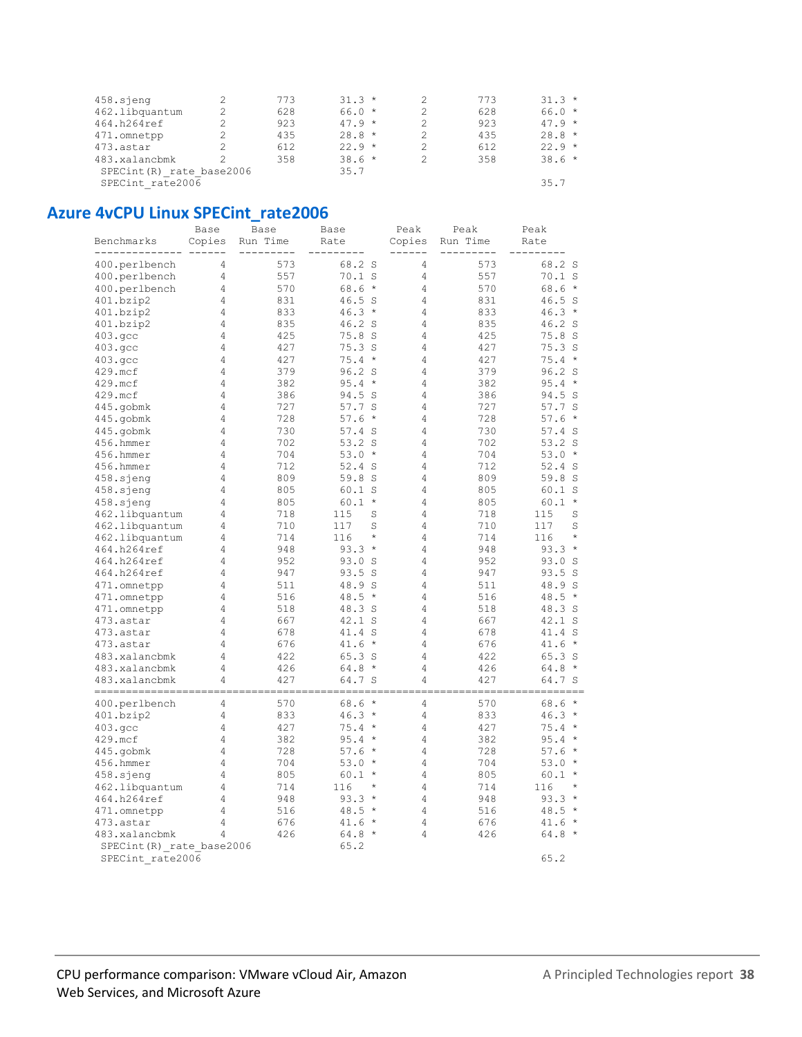| 458.sjeng                 | 773 | $31.3*$  | 773 | $31.3*$  |
|---------------------------|-----|----------|-----|----------|
| 462.libquantum            | 628 | $66.0*$  | 628 | $66.0*$  |
| 464.h264ref               | 923 | $47.9 *$ | 923 | $47.9 *$ |
| 471.omnetpp               | 435 | $28.8 *$ | 435 | $28.8 *$ |
| 473.astar                 | 612 | $22.9*$  | 612 | $22.9*$  |
| 483.xalancbmk             | 358 | $38.6*$  | 358 | $38.6*$  |
| SPECint (R) rate base2006 |     | 35.7     |     |          |
| SPECint rate2006          |     |          |     | 35.7     |
|                           |     |          |     |          |

#### **Azure 4vCPU Linux SPECint rate2006**

|                                | Base           | Base       | Base             | Peak           | Peak       | Peak                |
|--------------------------------|----------------|------------|------------------|----------------|------------|---------------------|
| Benchmarks                     | Copies         | Run Time   | Rate             | Copies         | Run Time   | Rate                |
| 400.perlbench                  | 4              | 573        | 68.2 S           | $\overline{4}$ | 573        | 68.2 S              |
| 400.perlbench                  | 4              | 557        | $70.1$ S         | 4              | 557        | $70.1$ S            |
| 400.perlbench                  | 4              | 570        | $68.6*$          | 4              | 570        | $68.6*$             |
| 401.bzip2                      | 4              | 831        | 46.5 S           | 4              | 831        | $46.5$ S            |
| 401.bzip2                      | 4              | 833        | $46.3*$          | 4              | 833        | $46.3*$             |
| 401.bzip2                      | 4              | 835        | 46.2 S           | $\overline{4}$ | 835        | 46.2 <sub>S</sub>   |
| 403.gcc                        | 4              | 425        | 75.8S            | 4              | 425        | 75.8S               |
| 403.qcc                        | 4              | 427        | 75.3S            | 4              | 427        | 75.3S               |
| 403.qcc                        | 4              | 427        | $75.4 *$         | 4              | 427        | $75.4 *$            |
| 429.mcf                        | 4              | 379        | 96.2 S           | 4              | 379        | 96.2 S              |
| 429.mcf                        | $\overline{4}$ | 382        | 95.4<br>$\star$  | 4              | 382        | 95.4<br>$\star$     |
| 429.mcf                        | 4              | 386        | 94.5 S           | 4              | 386        | 94.5 S              |
| 445.gobmk                      | 4              | 727        | 57.7 S           | 4              | 727        | 57.7 S              |
| 445.gobmk                      | 4              | 728        | $57.6*$          | 4              | 728        | 57.6<br>$\star$     |
| 445.gobmk                      | 4              | 730        | 57.4S            | 4              | 730        | 57.4S               |
| 456.hmmer                      | 4              | 702        | 53.2 S           | 4              | 702        | $53.2$ S            |
| 456.hmmer                      | 4              | 704        | $53.0*$          | 4              | 704        | $53.0*$             |
| 456.hmmer                      | 4              | 712        | 52.4S            | 4              | 712        | 52.4S               |
| $458.\skip$ sjeng              | 4              | 809        | 59.8 S           | 4              | 809        | 59.8 S              |
| $458.\skip$ sjeng              | 4              | 805        | 60.1 S           | 4              | 805        | 60.1 S              |
| 458.sjeng                      | 4              | 805        | $60.1 *$         | 4              | 805        | 60.1<br>$\star$     |
| 462.libquantum                 | 4              | 718        | 115<br>S         | 4              | 718        | 115<br>S            |
| 462.libquantum                 | 4              | 710        | 117<br>S         | 4              | 710        | 117<br>S            |
| 462.libquantum                 | 4              | 714        | 116<br>$\star$   | 4              | 714        | $\star$<br>116      |
| 464.h264ref                    | 4              | 948        | $93.3*$          | 4              | 948        | 93.3<br>$\star$     |
| 464.h264ref                    | 4              | 952        | 93.0 S           | 4              | 952        | 93.0 S              |
| 464.h264ref                    | 4              | 947        | 93.5 S           | 4              | 947        | 93.5 S              |
| 471.omnetpp                    | 4              | 511        | 48.9 S           | 4              | 511        | 48.9 S              |
| 471.omnetpp                    | 4              | 516        | $48.5 *$         | 4              | 516        | 48.5<br>$\star$     |
| 471.omnetpp                    | 4              | 518        | 48.3 S           | 4              | 518        | 48.3 S              |
| 473.astar                      | 4              | 667        | 42.1 S           | 4              | 667        | 42.1 S              |
| 473.astar                      | 4<br>4         | 678        | 41.4 S           | 4<br>4         | 678        | 41.4 S<br>$\star$   |
| 473.astar                      | 4              | 676        | $41.6 *$         | $\overline{4}$ | 676        | 41.6                |
| 483.xalancbmk<br>483.xalancbmk | 4              | 422<br>426 | 65.3S<br>$64.8*$ | 4              | 422<br>426 | $65.3$ S<br>$64.8*$ |
| 483.xalancbmk                  | 4              | 427        | 64.7 S           | 4              | 427        | 64.7 S              |
| ---------                      |                |            |                  |                |            |                     |
| 400.perlbench                  | 4              | 570        | $68.6*$          | 4              | 570        | 68.6<br>$\star$     |
| 401.bzip2                      | 4              | 833        | $46.3*$          | 4              | 833        | 46.3<br>$\star$     |
| 403.qcc                        | 4              | 427        | 75.4<br>$\star$  | 4              | 427        | 75.4<br>$\star$     |
| 429.mcf                        | 4              | 382        | $95.4 *$         | 4              | 382        | 95.4<br>$\star$     |
| 445.gobmk                      | 4              | 728        | 57.6<br>$\star$  | 4              | 728        | 57.6<br>$\star$     |
| 456.hmmer                      | 4              | 704        | $53.0*$          | 4              | 704        | $53.0*$             |
| 458.sjeng                      | 4              | 805        | 60.1<br>$\star$  | 4              | 805        | 60.1<br>$\star$     |
| 462.libquantum                 | 4              | 714        | 116<br>$\star$   | 4              | 714        | 116<br>$\star$      |
| 464.h264ref                    | 4              | 948        | 93.3<br>$\star$  | 4              | 948        | 93.3<br>$\star$     |
| 471.omnetpp                    | 4              | 516        | 48.5<br>$\star$  | 4              | 516        | $\star$<br>48.5     |
| 473.astar                      | 4              | 676        | 41.6<br>$\star$  | $\overline{4}$ | 676        | $\star$<br>41.6     |
| 483.xalancbmk                  | 4              | 426        | $64.8*$          | 4              | 426        | $64.8*$             |
| SPECint (R) rate base2006      |                |            | 65.2             |                |            |                     |
| SPECint rate2006               |                |            |                  |                |            | 65.2                |

CPU performance comparison: VMware vCloud Air, Amazon Web Services, and Microsoft Azure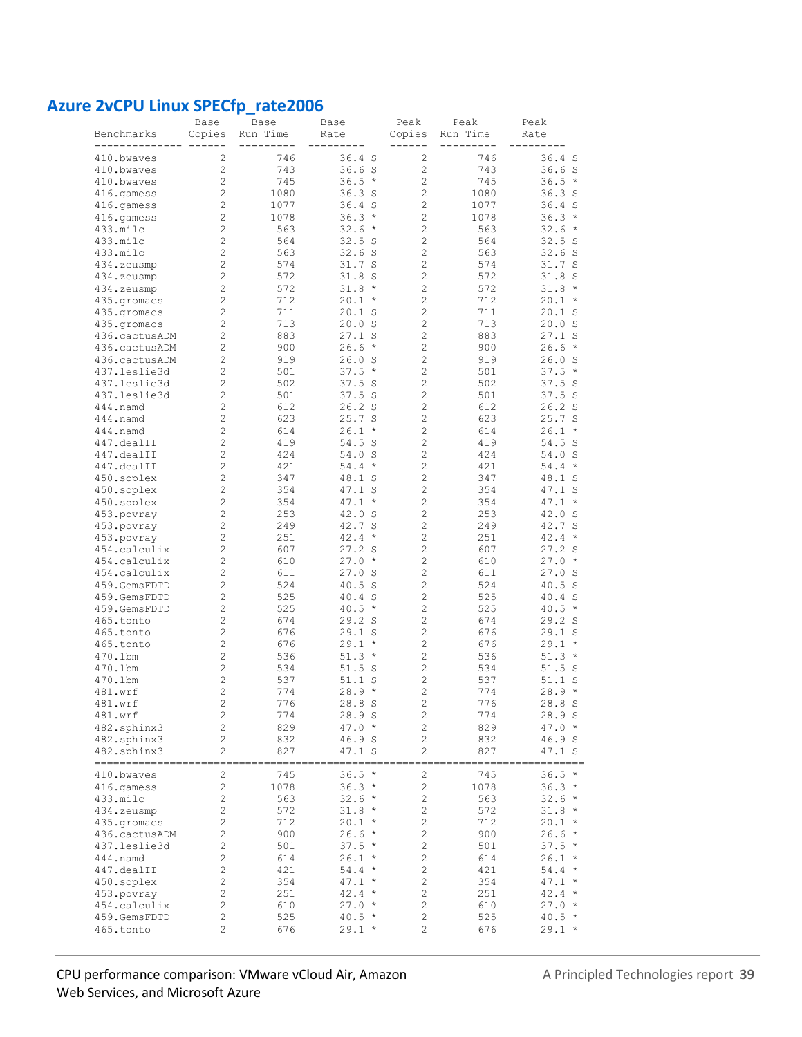### **Azure 2vCPU Linux SPECfp\_rate2006**

|                                | Base                             | Base       | Base                      | Peak                | Peak            | Peak                      |
|--------------------------------|----------------------------------|------------|---------------------------|---------------------|-----------------|---------------------------|
| Benchmarks<br>--------         | Copies                           | Run Time   | Rate                      | Copies<br>------    | Run Time<br>$-$ | Rate                      |
| 410.bwaves                     | 2                                | 746        | $36.4$ S                  | 2                   | 746             | $36.4$ S                  |
| 410.bwaves                     | $\overline{c}$                   | 743        | 36.6S                     | $\overline{c}$      | 743             | 36.6S                     |
| 410.bwaves                     | $\overline{c}$                   | 745        | $36.5 *$                  | $\overline{c}$      | 745             | 36.5<br>$\star$           |
| 416.gamess                     | $\overline{c}$                   | 1080       | 36.3 <sub>S</sub>         | $\overline{c}$      | 1080            | 36.3S                     |
| 416.qamess                     | $\overline{c}$                   | 1077       | $36.4$ S                  | 2                   | 1077            | $36.4$ S                  |
| 416.gamess                     | $\overline{c}$                   | 1078       | $36.3*$                   | $\overline{c}$      | 1078            | $36.3*$                   |
| 433.milc                       | $\overline{c}$                   | 563        | $32.6*$                   | $\overline{c}$      | 563             | 32.6<br>$\star$           |
| 433.milc                       | $\overline{c}$                   | 564        | 32.5S                     | $\overline{c}$      | 564             | 32.5S                     |
| 433.milc                       | 2                                | 563        | 32.6S                     | $\overline{c}$      | 563             | 32.6S                     |
| 434.zeusmp                     | $\overline{c}$                   | 574        | 31.7S                     | $\overline{c}$      | 574             | 31.7 S                    |
| 434.zeusmp                     | 2                                | 572        | 31.8 <sub>S</sub>         | $\overline{c}$      | 572             | 31.8S                     |
| 434.zeusmp                     | $\overline{c}$                   | 572        | $31.8 *$                  | $\overline{c}$      | 572             | $31.8 *$                  |
| 435.qromacs                    | $\overline{c}$                   | 712        | $20.1 *$                  | $\overline{c}$      | 712             | 20.1<br>$\star$           |
| 435.gromacs                    | $\overline{c}$                   | 711        | 20.1 S                    | $\overline{c}$      | 711             | 20.1 S                    |
| 435.gromacs                    | $\overline{c}$                   | 713        | 20.0 S                    | 2                   | 713             | 20.0 S                    |
| 436.cactusADM                  | $\overline{c}$                   | 883        | 27.1 S<br>$\star$         | $\overline{c}$      | 883             | 27.1 S<br>$\star$         |
| 436.cactusADM<br>436.cactusADM | $\overline{c}$<br>$\overline{c}$ | 900<br>919 | 26.6                      | 2<br>$\overline{c}$ | 900<br>919      | 26.6                      |
| 437.leslie3d                   | $\overline{c}$                   | 501        | 26.0 S<br>37.5<br>$\star$ | 2                   | 501             | 26.0 S<br>37.5<br>$\star$ |
| 437.leslie3d                   | $\overline{c}$                   | 502        | 37.5 S                    | 2                   | 502             | 37.5 S                    |
| 437.leslie3d                   | 2                                | 501        | 37.5 S                    | 2                   | 501             | 37.5 S                    |
| 444.namd                       | 2                                | 612        | 26.2 S                    | 2                   | 612             | 26.2 S                    |
| 444.namd                       | 2                                | 623        | 25.7 S                    | 2                   | 623             | 25.7 S                    |
| 444.namd                       | 2                                | 614        | $26.1 *$                  | 2                   | 614             | 26.1<br>$\star$           |
| 447.dealII                     | 2                                | 419        | 54.5 S                    | 2                   | 419             | 54.5 S                    |
| 447.dealII                     | $\overline{c}$                   | 424        | 54.0<br>S                 | $\overline{c}$      | 424             | 54.0 S                    |
| 447.dealII                     | $\overline{c}$                   | 421        | 54.4<br>$\star$           | $\overline{c}$      | 421             | 54.4<br>$\star$           |
| 450.soplex                     | $\overline{c}$                   | 347        | 48.1 S                    | $\overline{c}$      | 347             | 48.1 S                    |
| 450.soplex                     | $\overline{c}$                   | 354        | 47.1 S                    | $\overline{c}$      | 354             | $47.1$ S                  |
| 450.soplex                     | 2                                | 354        | 47.1<br>$^\star$          | $\overline{c}$      | 354             | $47.1 *$                  |
| 453.povray                     | $\overline{c}$                   | 253        | 42.0 S                    | $\overline{c}$      | 253             | 42.0 S                    |
| 453.povray                     | $\overline{c}$                   | 249        | 42.7 S                    | $\overline{c}$      | 249             | 42.7 S                    |
| 453.povray                     | 2                                | 251        | $\star$<br>42.4           | $\overline{c}$      | 251             | 42.4<br>$^\star$          |
| 454.calculix                   | 2                                | 607        | 27.2 S                    | 2                   | 607             | 27.2 S                    |
| 454.calculix                   | $\overline{c}$                   | 610        | 27.0<br>$\star$           | $\overline{c}$      | 610             | 27.0<br>$\star$           |
| 454.calculix                   | $\overline{c}$                   | 611        | 27.0 S                    | $\overline{c}$      | 611             | 27.0 S                    |
| 459.GemsFDTD                   | $\overline{c}$                   | 524        | 40.5 S                    | $\overline{c}$      | 524             | 40.5 S                    |
| 459.GemsFDTD                   | 2<br>2                           | 525        | 40.4 S                    | 2<br>$\overline{c}$ | 525             | 40.4 S                    |
| 459.GemsFDTD<br>465.tonto      | 2                                | 525<br>674 | $40.5 *$<br>29.2 S        | 2                   | 525<br>674      | $40.5 *$<br>29.2 S        |
| 465.tonto                      | 2                                | 676        | $29.1$ S                  | 2                   | 676             | 29.1 S                    |
| 465.tonto                      | 2                                | 676        | 29.1<br>$\star$           | 2                   | 676             | 29.1<br>$^{\star}$        |
| 470.1bm                        | 2                                | 536        | $51.3*$                   | 2                   | 536             | $51.3*$                   |
| 470.1bm                        | 2                                | 534        | $51.5$ S                  | 2                   | 534             | 51.5S                     |
| 470.1bm                        | 2                                | 537        | 51.1 S                    | 2                   | 537             | 51.1 S                    |
| 481.wrf                        | 2                                | 774        | $28.9 *$                  | 2                   | 774             | $28.9 *$                  |
| 481.wrf                        | $\overline{c}$                   | 776        | 28.8 S                    | $\sqrt{2}$          | 776             | 28.8 S                    |
| 481.wrf                        | 2                                | 774        | 28.9 S                    | $\sqrt{2}$          | 774             | 28.9S                     |
| 482.sphinx3                    | $\overline{c}$                   | 829        | $47.0*$                   | $\mathbf{2}$        | 829             | $47.0*$                   |
| 482.sphinx3                    | $\sqrt{2}$                       | 832        | 46.9 S                    | $\sqrt{2}$          | 832             | 46.9 S                    |
| 482.sphinx3                    | $\overline{c}$                   | 827        | 47.1 S                    | 2                   | 827             | 47.1 S                    |
| ========<br>410.bwaves         | 2                                | 745        | $36.5*$                   | $\sqrt{2}$          | 745             | $36.5 *$                  |
| 416.gamess                     | $\overline{c}$                   | 1078       | $36.3*$                   | $\overline{c}$      | 1078            | $36.3*$                   |
| 433.milc                       | $\overline{c}$                   | 563        | $32.6*$                   | $\overline{c}$      | 563             | $32.6*$                   |
| 434.zeusmp                     | 2                                | 572        | $31.8 *$                  | 2                   | 572             | $31.8 *$                  |
| 435.qromacs                    | 2                                | 712        | $20.1 *$                  | $\mathbf{2}$        | 712             | $20.1 *$                  |
| 436.cactusADM                  | 2                                | 900        | $26.6*$                   | $\mathbf{2}$        | 900             | $26.6*$                   |
| 437.leslie3d                   | $\overline{c}$                   | 501        | $37.5*$                   | $\sqrt{2}$          | 501             | $37.5*$                   |
| 444.namd                       | $\overline{c}$                   | 614        | $26.1 *$                  | $\sqrt{2}$          | 614             | $26.1 *$                  |
| 447.dealII                     | $\overline{c}$                   | 421        | $54.4*$                   | $\sqrt{2}$          | 421             | $54.4 *$                  |
| 450.soplex                     | 2                                | 354        | $47.1 *$                  | 2                   | 354             | $47.1 *$                  |
| 453.povray                     | $\overline{c}$                   | 251        | $42.4*$                   | $\sqrt{2}$          | 251             | $42.4*$                   |
| 454.calculix                   | $\sqrt{2}$                       | 610        | $27.0*$                   | $\sqrt{2}$          | 610             | $27.0*$                   |
| 459.GemsFDTD                   | $\sqrt{2}$                       | 525        | $40.5 *$                  | $\sqrt{2}$          | 525             | $40.5 *$                  |
| 465.tonto                      | $\overline{c}$                   | 676        | $29.1 *$                  | 2                   | 676             | $29.1 *$                  |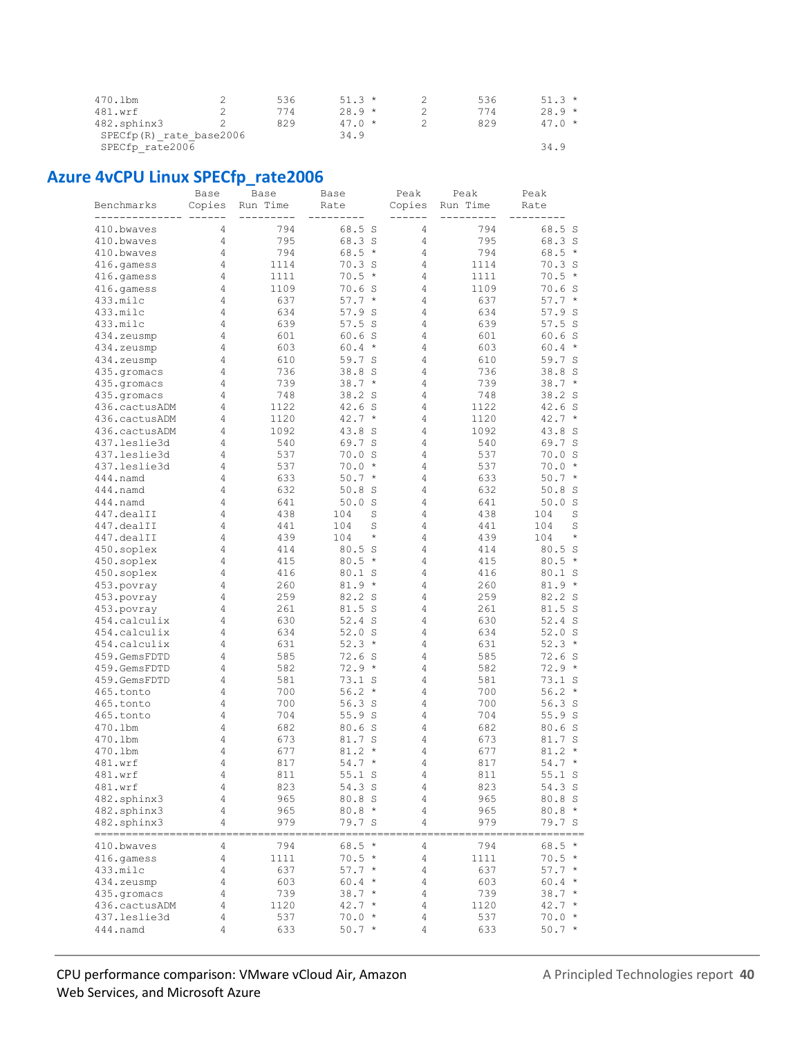| 470.1bm                 | 536  | $51.3*$ | 536 | $51.3*$ |
|-------------------------|------|---------|-----|---------|
| 481.wrf                 | 774  | $28.9*$ | 774 | $28.9*$ |
| 482.sphinx3             | 829  | $47.0*$ | 829 | $47.0*$ |
| SPECfp(R) rate base2006 | 34.9 |         |     |         |
| SPECfp rate2006         |      |         |     | 34.9    |

## **Azure 4vCPU Linux SPECfp\_rate2006**

|                          | Base   | Base       | Base                       | Peak   | Peak                       | Peak                       |
|--------------------------|--------|------------|----------------------------|--------|----------------------------|----------------------------|
| Benchmarks<br>--------   | Copies | Run Time   | Rate                       | Copies | Run Time<br>$- - -$<br>$-$ | Rate                       |
| 410.bwaves               | 4      | 794        | 68.5 S                     | 4      | 794                        | 68.5 S                     |
| 410.bwaves               | 4      | 795        | 68.3 S                     | 4      | 795                        | 68.3 S                     |
| 410.bwaves               | 4      | 794        | $68.5*$                    | 4      | 794                        | 68.5<br>$\star$            |
| 416.qamess               | 4      | 1114       | 70.3 S                     | 4      | 1114                       | 70.3 S                     |
| 416.gamess               | 4      | 1111       | $70.5 *$                   | 4      | 1111                       | 70.5<br>$^{\star}$         |
| 416.gamess               | 4      | 1109       | 70.6 S                     | 4      | 1109                       | 70.6<br>- S                |
| 433.milc                 | 4      | 637        | $57.7*$                    | 4      | 637                        | $57.7*$                    |
| 433.milc                 | 4      | 634        | 57.9 S                     | 4      | 634                        | 57.9<br>- S                |
| 433.milc                 | 4      | 639        | 57.5S                      | 4      | 639                        | 57.5S                      |
| 434.zeusmp               | 4      | 601        | 60.6 S                     | 4      | 601                        | 60.6 S                     |
| 434.zeusmp               | 4      | 603        | $60.4 *$                   | 4      | 603                        | 60.4<br>$^{\star}$         |
| 434.zeusmp               | 4      | 610        | 59.7 S                     | 4      | 610                        | 59.7 S                     |
| 435.qromacs              | 4      | 736        | 38.8 S                     | 4      | 736                        | 38.8 S                     |
| 435.gromacs              | 4      | 739        | $38.7*$                    | 4      | 739                        | $38.7*$                    |
| 435.gromacs              | 4      | 748        | 38.2 S                     | 4      | 748                        | 38.2 S                     |
| 436.cactusADM            | 4      | 1122       | 42.6 S                     | 4      | 1122                       | 42.6 S                     |
| 436.cactusADM            | 4      | 1120       | $42.7 *$                   | 4      | 1120                       | $42.7 *$                   |
| 436.cactusADM            | 4      | 1092       | 43.8 S                     | 4      | 1092                       | 43.8<br>- S                |
| 437.leslie3d             | 4      | 540        | 69.7 S                     | 4      | 540                        | 69.7 S                     |
| 437.leslie3d             | 4      | 537        | 70.0 S                     | 4      | 537                        | 70.0 S                     |
| 437.leslie3d             | 4      | 537        | $70.0 *$                   | 4      | 537                        | 70.0<br>$\star$            |
| 444.namd                 | 4      | 633        | $50.7*$                    | 4      | 633                        | 50.7<br>$\star$            |
| 444.namd                 | 4      | 632        | $50.8$ S                   | 4      | 632                        | 50.8<br>S                  |
| 444.namd                 | 4      | 641        | 50.0 S                     | 4      | 641                        | 50.0 S                     |
| 447.dealII               | 4<br>4 | 438        | 104<br>S                   | 4<br>4 | 438                        | 104<br>S                   |
| 447.dealII               | 4      | 441<br>439 | 104<br>S<br>104<br>$\star$ | 4      | 441<br>439                 | 104<br>S<br>104<br>$\star$ |
| 447.dealII<br>450.soplex | 4      | 414        | 80.5 S                     | 4      | 414                        | 80.5 S                     |
| 450.soplex               | 4      | 415        | $80.5*$                    | 4      | 415                        | $80.5 *$                   |
| 450.soplex               | 4      | 416        | 80.1 S                     | 4      | 416                        | 80.1 S                     |
| 453.povray               | 4      | 260        | $81.9*$                    | 4      | 260                        | 81.9<br>$\star$            |
| 453.povray               | 4      | 259        | 82.2 S                     | 4      | 259                        | 82.2 S                     |
| 453.povray               | 4      | 261        | 81.5 S                     | 4      | 261                        | 81.5 S                     |
| 454.calculix             | 4      | 630        | $52.4$ S                   | 4      | 630                        | $52.4$ S                   |
| 454.calculix             | 4      | 634        | 52.0 S                     | 4      | 634                        | 52.0 S                     |
| 454.calculix             | 4      | 631        | $52.3*$                    | 4      | 631                        | 52.3<br>$^{\star}$         |
| 459.GemsFDTD             | 4      | 585        | 72.6 S                     | 4      | 585                        | 72.6 S                     |
| 459.GemsFDTD             | 4      | 582        | $72.9*$                    | 4      | 582                        | $72.9*$                    |
| 459.GemsFDTD             | 4      | 581        | 73.1 S                     | 4      | 581                        | 73.1 S                     |
| 465.tonto                | 4      | 700        | $56.2*$                    | 4      | 700                        | 56.2<br>$^{\star}$         |
| 465.tonto                | 4      | 700        | 56.3 <sub>S</sub>          | 4      | 700                        | 56.3S                      |
| 465.tonto                | 4      | 704        | 55.9S                      | 4      | 704                        | 55.9S                      |
| 470.1bm                  | 4      | 682        | 80.6S                      | 4      | 682                        | 80.6S                      |
| 470.1bm                  | 4      | 673        | 81.7 S                     | 4      | 673                        | 81.7 S                     |
| 470.1bm                  | 4      | 677        | $81.2 *$                   | 4      | 677                        | 81.2<br>$\star$            |
| 481.wrf                  | 4      | 817        | $54.7 *$                   | 4      | 817                        | $54.7 *$                   |
| 481.wrf                  | 4      | 811        | 55.1 S                     | 4      | 811                        | 55.1 S                     |
| $481.$ wrf               | 4      | 823        | 54.3 S                     | 4      | 823                        | 54.3 S                     |
| 482.sphinx3              | 4      | 965        | 80.8 S                     | 4      | 965                        | 80.8 S                     |
| 482.sphinx3              | 4<br>4 | 965<br>979 | $80.8*$<br>79.7 S          | 4      | 965<br>979                 | $80.8*$                    |
| 482.sphinx3<br>========= |        |            |                            | 4      |                            | 79.7 S                     |
| 410.bwaves               | 4      | 794        | $68.5*$                    | 4      | 794                        | $68.5*$                    |
| 416.gamess               | 4      | 1111       | $70.5 *$                   | 4      | 1111                       | $70.5 *$                   |
| 433.milc                 | 4      | 637        | $57.7*$                    | 4      | 637                        | $57.7*$                    |
| 434.zeusmp               | 4      | 603        | $60.4 *$                   | 4      | 603                        | $60.4 *$                   |
| 435.gromacs              | 4      | 739        | $38.7*$                    | 4      | 739                        | $38.7 *$                   |
| 436.cactusADM            | 4      | 1120       | $42.7*$                    | 4      | 1120                       | $42.7 *$                   |
| 437.leslie3d             | 4      | 537        | $70.0 *$                   | 4      | 537                        | $70.0 *$                   |
| $444.$ namd              | 4      | 633        | $50.7 *$                   | 4      | 633                        | $50.7 *$                   |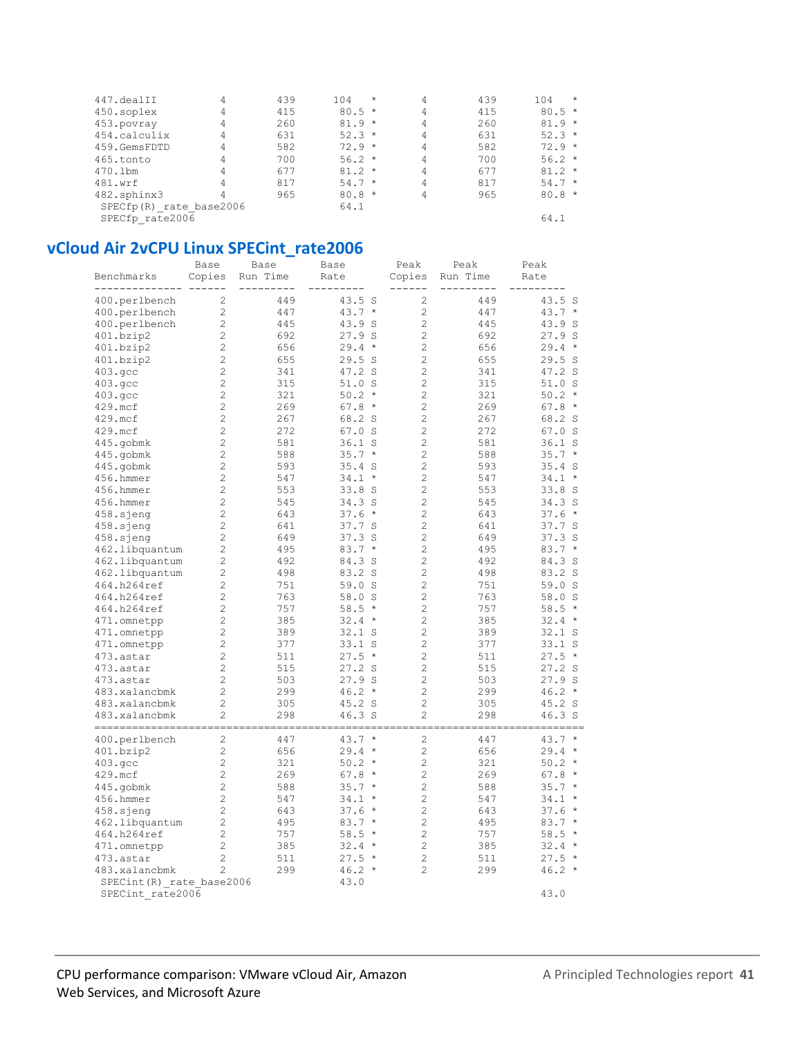| 447.dealII              | 4 | 439 | 104      | $\star$ | 4 | 439 | $\star$<br>104 |
|-------------------------|---|-----|----------|---------|---|-----|----------------|
| 450.soplex              | 4 | 415 | $80.5*$  |         | 4 | 415 | $80.5*$        |
| 453.povray              | 4 | 260 | $81.9 *$ |         | 4 | 260 | $81.9 *$       |
| 454.calculix            | 4 | 631 | $52.3*$  |         | 4 | 631 | $52.3*$        |
| 459.GemsFDTD            | 4 | 582 | $72.9 *$ |         | 4 | 582 | $72.9*$        |
| 465.tonto               | 4 | 700 | $56.2*$  |         | 4 | 700 | $56.2*$        |
| 470.1bm                 | 4 | 677 | $81.2 *$ |         | 4 | 677 | $81.2*$        |
| 481.wrf                 | 4 | 817 | $54.7*$  |         | 4 | 817 | $54.7*$        |
| 482.sphinx3             | 4 | 965 | $80.8*$  |         | 4 | 965 | $80.8*$        |
| SPECfp(R) rate base2006 |   |     | 64.1     |         |   |     |                |
| SPECfp rate2006         |   |     |          |         |   |     | 64.1           |

### vCloud Air 2vCPU Linux SPECint\_rate2006

|                           | Base           | Base     | Base            | Peak           | Peak     | Peak                 |
|---------------------------|----------------|----------|-----------------|----------------|----------|----------------------|
| Benchmarks                | Copies         | Run Time | Rate            | Copies         | Run Time | Rate                 |
|                           |                |          |                 |                |          |                      |
| 400.perlbench             | $\overline{c}$ | 449      | 43.5 S          | $\overline{c}$ | 449      | 43.5 S               |
| 400.perlbench             | $\overline{c}$ | 447      | $43.7 *$        | $\overline{c}$ | 447      | 43.7<br>$\star$      |
| 400.perlbench             | $\overline{c}$ | 445      | 43.9 S          | $\overline{c}$ | 445      | 43.9<br>- S          |
| 401.bzip2                 | $\overline{c}$ | 692      | 27.9S           | $\overline{c}$ | 692      | 27.9S                |
| 401.bzip2                 | $\overline{c}$ | 656      | $29.4 *$        | $\overline{c}$ | 656      | 29.4<br>$\star$      |
| 401.bzip2                 | $\overline{c}$ | 655      | 29.5S           | $\overline{c}$ | 655      | 29.5S                |
| 403.qcc                   | $\overline{c}$ | 341      | 47.2 S          | $\overline{c}$ | 341      | 47.2 S               |
| 403.qcc                   | $\overline{c}$ | 315      | 51.0 S          | $\overline{c}$ | 315      | 51.0S                |
| 403.gcc                   | $\overline{c}$ | 321      | $50.2*$         | $\overline{c}$ | 321      | 50.2<br>$\star$      |
| 429.mcf                   | $\overline{c}$ | 269      | $67.8*$         | $\overline{c}$ | 269      | 67.8<br>$\star$      |
| 429.mcf                   | $\overline{c}$ | 267      | 68.2 S          | $\overline{c}$ | 267      | 68.2 S               |
| 429.mcf                   | $\overline{c}$ | 272      | 67.0 S          | $\overline{c}$ | 272      | 67.0<br>- S          |
| 445.gobmk                 | $\overline{c}$ | 581      | $36.1$ S        | 2              | 581      | 36.1<br>- S          |
| 445.gobmk                 | $\overline{c}$ | 588      | 35.7<br>$\star$ | $\overline{c}$ | 588      | 35.7<br>$\star$      |
| 445.gobmk                 | $\overline{c}$ | 593      | 35.4S           | $\overline{c}$ | 593      | 35.4S                |
| 456.hmmer                 | $\overline{c}$ | 547      | 34.1<br>$\star$ | $\overline{c}$ | 547      | 34.1<br>$\star$      |
| 456.hmmer                 | $\overline{c}$ | 553      | 33.8S           | $\overline{c}$ | 553      | 33.8<br>- S          |
| 456.hmmer                 | $\overline{c}$ | 545      | 34.3S           | $\overline{c}$ | 545      | 34.3 S               |
| 458.sjeng                 | $\overline{c}$ | 643      | $37.6*$         | $\overline{2}$ | 643      | 37.6<br>$\star$      |
| 458.sjeng                 | $\overline{c}$ | 641      | 37.7 S          | $\overline{c}$ | 641      | 37.7 S               |
| 458.sjeng                 | $\overline{c}$ | 649      | 37.3S           | $\overline{c}$ | 649      | 37.3<br>- S          |
| 462.libquantum            | $\overline{c}$ | 495      | $83.7*$         | $\overline{c}$ | 495      | 83.7<br>$\star$      |
| 462.libquantum            | $\overline{c}$ | 492      | 84.3 S          | $\overline{2}$ | 492      | 84.3<br><sub>S</sub> |
| 462.libquantum            | $\overline{c}$ | 498      | 83.2 S          | $\overline{c}$ | 498      | 83.2<br>- S          |
| 464.h264ref               | $\overline{c}$ | 751      | 59.0 S          | $\overline{c}$ | 751      | 59.0<br>-S           |
| 464.h264ref               | $\overline{c}$ | 763      | 58.0 S          | $\overline{c}$ | 763      | 58.0<br>S.           |
| 464.h264ref               | $\overline{c}$ | 757      | 58.5<br>$\star$ | $\overline{2}$ | 757      | 58.5<br>$\star$      |
| 471.omnetpp               | $\overline{c}$ | 385      | $32.4 *$        | $\overline{c}$ | 385      | $32.4 *$             |
| 471.omnetpp               | $\overline{c}$ | 389      | $32.1$ S        | $\overline{c}$ | 389      | 32.1 S               |
| 471.omnetpp               | $\overline{c}$ | 377      | $33.1$ S        | $\overline{c}$ | 377      | 33.1<br>- S          |
| 473.astar                 | $\overline{c}$ | 511      | $27.5 *$        | $\overline{c}$ | 511      | 27.5<br>$\star$      |
| 473.astar                 | $\overline{c}$ | 515      | 27.2 S          | $\overline{c}$ | 515      | 27.2 S               |
| 473.astar                 | $\overline{c}$ | 503      | 27.9S           | $\overline{c}$ | 503      | 27.9S                |
| 483.xalancbmk             | $\overline{c}$ | 299      | $46.2 *$        | $\overline{2}$ | 299      | 46.2<br>$\star$      |
| 483.xalancbmk             | $\overline{c}$ | 305      | 45.2 S          | $\overline{c}$ | 305      | 45.2 S               |
| 483.xalancbmk             | $\overline{c}$ | 298      | 46.3S           | $\overline{2}$ | 298      | 46.3S                |
| -----------------------   |                |          | -------         |                |          | $=$ $=$ $=$          |
| 400.perlbench             | $\mathbf{2}$   | 447      | $43.7*$         | 2              | 447      | $43.7 *$             |
| 401.bzip2                 | $\mathbf{2}$   | 656      | $29.4 *$        | $\mathbf{2}$   | 656      | 29.4<br>$\star$      |
| 403.qcc                   | $\overline{c}$ | 321      | 50.2<br>$\star$ | $\overline{c}$ | 321      | 50.2<br>$\star$      |
| 429.mcf                   | $\overline{c}$ | 269      | $67.8*$         | $\overline{c}$ | 269      | 67.8<br>$\star$      |
| 445.gobmk                 | $\overline{c}$ | 588      | $35.7*$         | $\overline{c}$ | 588      | 35.7<br>$\star$      |
| 456.hmmer                 | $\overline{c}$ | 547      | 34.1<br>$\star$ | $\overline{c}$ | 547      | 34.1<br>$\star$      |
| 458.sjeng                 | $\overline{c}$ | 643      | $37.6*$         | $\overline{c}$ | 643      | 37.6<br>$\star$      |
| 462.libquantum            | $\overline{c}$ | 495      | $83.7*$         | $\overline{c}$ | 495      | 83.7<br>$\star$      |
| 464.h264ref               | $\overline{c}$ | 757      | 58.5<br>$\star$ | $\overline{c}$ | 757      | 58.5<br>$\star$      |
| 471.omnetpp               | $\overline{c}$ | 385      | $32.4 *$        | $\overline{c}$ | 385      | 32.4<br>$\star$      |
| 473.astar                 | 2              | 511      | $27.5 *$        | $\overline{c}$ | 511      | 27.5<br>$\star$      |
| 483.xalancbmk             | $\overline{c}$ | 299      | $46.2*$         | $\overline{c}$ | 299      | $46.2*$              |
| SPECint (R) rate base2006 |                |          | 43.0            |                |          |                      |
| SPECint rate2006          |                |          |                 |                |          | 43.0                 |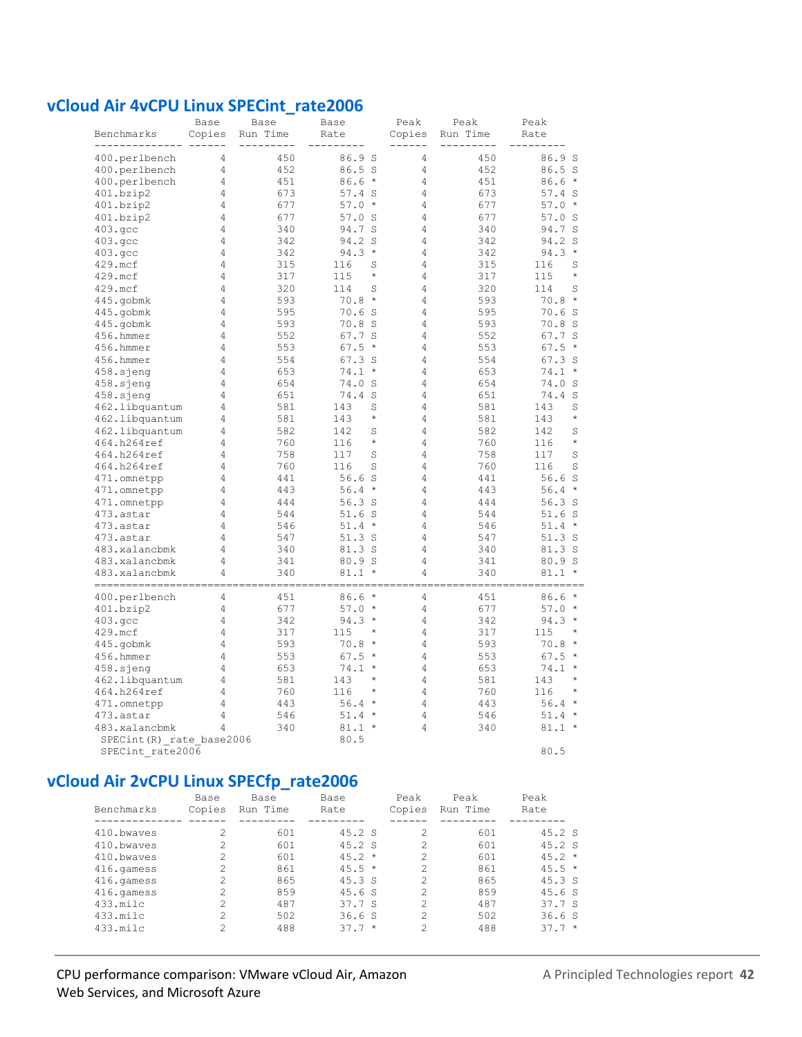#### vCloud Air 4vCPU Linux SPECint\_rate2006

| Benchmarks                     | Base<br>Copies | <b>Base</b><br>Run Time | Base<br>Rate      | Peak<br>Copies | Peak<br>Run Time | Peak<br>Rate |         |
|--------------------------------|----------------|-------------------------|-------------------|----------------|------------------|--------------|---------|
|                                |                |                         |                   |                |                  |              |         |
| 400.perlbench                  | 4              | 450                     | 86.9 S            | 4              | 450              | 86.9 S       |         |
| 400.perlbench                  | 4              | 452                     | 86.5 S            | $\overline{4}$ | 452              | 86.5S        |         |
| 400.perlbench                  | 4              | 451                     | 86.6<br>$\star$   | 4              | 451              | $86.6*$      |         |
| 401.bzip2                      | 4              | 673                     | $57.4$ S          | 4              | 673              | $57.4$ S     |         |
| 401.bzip2                      | 4              | 677                     | 57.0<br>$\star$   | 4              | 677              | 57.0         | $\star$ |
| 401.bzip2                      | 4              | 677                     | 57.0<br>S         | 4              | 677              | 57.0 S       |         |
| 403.qcc                        | 4              | 340                     | S<br>94.7         | 4              | 340              | 94.7 S       |         |
| 403.qcc                        | $\overline{4}$ | 342                     | S<br>94.2         | 4              | 342              | 94.2 S       |         |
| 403.qcc                        | 4              | 342                     | 94.3<br>$\star$   | 4              | 342              | 94.3         | $\star$ |
| 429.mcf                        | 4              | 315                     | 116<br>S          | $\overline{4}$ | 315              | 116          | S       |
| 429.mcf                        | 4              | 317                     | $\star$<br>115    | 4              | 317              | 115          | $\star$ |
| 429.mcf                        | $\overline{4}$ | 320                     | 114<br>S          | $\overline{4}$ | 320              | 114          | S       |
| 445.gobmk                      | 4              | 593                     | $\star$<br>70.8   | 4              | 593              | 70.8         | $\star$ |
| 445.gobmk                      | 4              | 595                     | 70.6<br>S         | 4              | 595              | 70.6 S       |         |
| 445.gobmk                      | 4              | 593                     | 70.8S             | $\overline{4}$ | 593              | 70.8 S       |         |
| 456.hmmer                      | 4              | 552                     | 67.7 S            | 4              | 552              | 67.7 S       |         |
| 456.hmmer                      | 4              | 553                     | 67.5<br>$^\star$  | 4              | 553              | $67.5*$      |         |
| 456.hmmer                      | 4              | 554                     | 67.3<br>S         | $\overline{4}$ | 554              | 67.3 S       |         |
| $458.\skip$ sjeng              | 4              | 653                     | 74.1<br>$\star$   | 4              | 653              | 74.1         | $\star$ |
| 458.sjeng                      | 4              | 654                     | 74.0<br>S         | 4              | 654              | 74.0 S       |         |
| 458.sjeng                      | 4              | 651                     | 74.4 S            | 4              | 651              | 74.4 S       |         |
| 462.libquantum                 | 4              | 581                     | 143<br>S          | 4              | 581              | 143          | S       |
| 462.libquantum                 | 4              | 581                     | 143<br>$^{\star}$ | 4              | 581              | 143          | $\star$ |
| 462.libquantum                 | 4              | 582                     | 142<br>S          | 4              | 582              | 142          | S       |
| 464.h264ref                    | 4              | 760                     | $\star$<br>116    | 4              | 760              | 116          | $\star$ |
| 464.h264ref                    | 4              | 758                     | 117<br>S          | 4              | 758              | 117          | S       |
| 464.h264ref                    | 4              | 760                     | 116<br>S          | 4              | 760              | 116          | S       |
| 471.omnetpp                    | 4              | 441                     | 56.6S             | 4              | 441              | 56.6S        |         |
| 471.omnetpp                    | 4              | 443                     | $\star$<br>56.4   | 4              | 443              | $56.4 *$     |         |
| 471.omnetpp                    | 4              | 444                     | 56.3S             | 4              | 444              | 56.3S        |         |
| 473.astar                      | 4              | 544                     | 51.6S             | 4              | 544              | 51.6S        |         |
| 473.astar                      | 4              | 546                     | 51.4<br>$\star$   | 4              | 546              | 51.4         | $\star$ |
| 473.astar                      | 4              | 547                     | 51.3S             | 4              | 547              | 51.3S        |         |
| 483.xalancbmk                  | 4              | 340                     | 81.3 S            | 4              | 340              | 81.3 S       |         |
| 483.xalancbmk                  | 4              | 341                     | 80.9 S            | 4              | 341              | 80.9 S       |         |
| 483.xalancbmk                  | 4              | 340                     | 81.1<br>$\star$   | 4              | 340              | $81.1 *$     |         |
| -------------<br>400.perlbench | 4              | 451                     | 86.6<br>$\star$   | 4              | 451              | $86.6*$      |         |
| 401.bzip2                      | 4              | 677                     | 57.0<br>$\star$   | $\overline{4}$ | 677              | $57.0*$      |         |
| 403.qcc                        | 4              | 342                     | 94.3<br>$\star$   | $\overline{4}$ | 342              | $94.3*$      |         |
| 429.mcf                        | 4              | 317                     | 115<br>$\star$    | 4              | 317              | 115          | $\star$ |
| 445.gobmk                      | 4              | 593                     | $\star$<br>70.8   | 4              | 593              | 70.8         | $\star$ |
| 456.hmmer                      | 4              | 553                     | 67.5<br>$\star$   | $\overline{4}$ | 553              | $67.5*$      |         |
| 458.sjeng                      | 4              | 653                     | 74.1<br>$\star$   | 4              | 653              | 74.1         | $\star$ |
| 462.libquantum                 | 4              | 581                     | $\star$<br>143    | $\overline{4}$ | 581              | 143          | $\star$ |
| 464.h264ref                    | 4              | 760                     | $\star$<br>116    | $\overline{4}$ | 760              | 116          | $\star$ |
| 471.omnetpp                    | 4              | 443                     | $\star$<br>56.4   | 4              | 443              | $56.4*$      |         |
| 473.astar                      | 4              | 546                     | 51.4<br>$\star$   | 4              | 546              | 51.4         | $\star$ |
| 483.xalancbmk                  | 4              | 340                     | $81.1 *$          | 4              | 340              | $81.1 *$     |         |
| SPECint (R) rate base2006      |                |                         | 80.5              |                |                  |              |         |
| SPECint rate2006               |                |                         |                   |                |                  | 80.5         |         |

# vCloud Air 2vCPU Linux SPECfp\_rate2006

| Benchmarks | Base<br>Copies | Base<br>Run Time | Base<br>Rate  | Peak<br>Copies | Peak<br>Run Time | Peak<br>Rate |
|------------|----------------|------------------|---------------|----------------|------------------|--------------|
| 410.bwayes | 2              | 601              | 45.2 S        |                | 601              | 45.2 S       |
| 410.bwayes | 2              | 601              | 45.2 S        | 2              | 601              | 45.2 S       |
| 410.bwayes | $\mathfrak{D}$ | 601              | $45.2 *$      |                | 601              | $45.2 *$     |
| 416.qamess | 2              | 861              | $45.5 \times$ |                | 861              | $45.5 *$     |
| 416.qamess | $\mathfrak{D}$ | 865              | 45.3 S        | 2              | 865              | 45.3 S       |
| 416.qamess | $\mathfrak{D}$ | 859              | 45.6 S        | 2              | 859              | 45.6S        |
| 433.milc   | $\mathfrak{D}$ | 487              | 37.7S         | 2              | 487              | 37.7S        |
| 433.milc   | 2              | 502              | 36.6S         | 2              | 502              | 36.6S        |
| 433.milc   | 2              | 488              | $37.7 *$      | 2              | 488              | $37.7 *$     |

#### CPU performance comparison: VMware vCloud Air, Amazon Web Services, and Microsoft Azure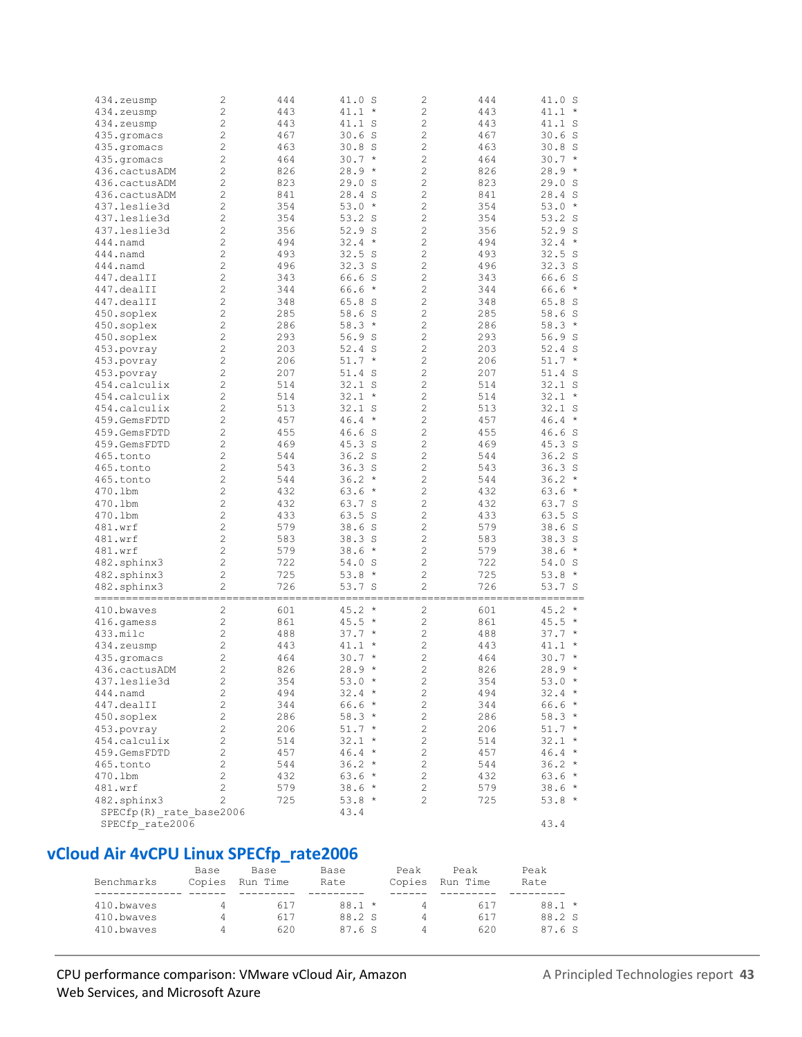| 434.zeusmp              | 2              | 444 | 41.0 S            | $\mathbf{2}$   | 444 | 41.0 S               |
|-------------------------|----------------|-----|-------------------|----------------|-----|----------------------|
| 434.zeusmp              | $\overline{c}$ | 443 | $41.1 *$          | $\overline{c}$ | 443 | 41.1<br>$\star$      |
| 434.zeusmp              | $\overline{c}$ | 443 | 41.1 S            | 2              | 443 | 41.1 S               |
| 435.qromacs             | $\overline{c}$ | 467 | $30.6$ S          | $\overline{c}$ | 467 | 30.6 S               |
|                         | $\overline{c}$ |     |                   |                |     |                      |
| 435.gromacs             |                | 463 | $30.8$ S          | 2              | 463 | 30.8<br><sub>S</sub> |
| 435.gromacs             | $\overline{c}$ | 464 | $30.7 *$          | $\overline{c}$ | 464 | 30.7<br>$\star$      |
| 436.cactusADM           | $\overline{c}$ | 826 | $28.9 *$          | $\overline{c}$ | 826 | 28.9<br>$^\star$     |
| 436.cactusADM           | $\overline{c}$ | 823 | 29.0 S            | $\overline{c}$ | 823 | 29.0<br>S            |
| 436.cactusADM           | $\overline{c}$ | 841 | 28.4 S            | $\overline{c}$ | 841 | 28.4<br><sub>S</sub> |
| 437.leslie3d            | $\overline{c}$ | 354 | $53.0*$           | $\overline{c}$ | 354 | 53.0<br>$\star$      |
| 437.leslie3d            | $\overline{c}$ | 354 | $53.2$ S          | $\overline{c}$ | 354 | 53.2 S               |
| 437.leslie3d            | $\overline{c}$ | 356 | 52.9S             | $\overline{c}$ | 356 | 52.9<br><sub>S</sub> |
| 444.namd                | $\overline{c}$ | 494 | $32.4*$           | $\overline{c}$ | 494 | 32.4<br>$\star$      |
| 444.namd                | $\overline{c}$ | 493 | 32.5S             | $\overline{c}$ | 493 | 32.5S                |
| 444.namd                | $\overline{c}$ | 496 | 32.3S             | $\overline{c}$ | 496 | 32.3S                |
| 447.dealII              | $\overline{c}$ | 343 | 66.6 S            | $\overline{c}$ | 343 | 66.6 S               |
|                         |                |     |                   | $\overline{c}$ |     | $\star$              |
| 447.dealII              | $\overline{c}$ | 344 | $66.6*$           |                | 344 | 66.6                 |
| 447.dealII              | $\overline{c}$ | 348 | 65.8 S            | $\overline{c}$ | 348 | 65.8 S               |
| 450.soplex              | $\overline{c}$ | 285 | 58.6 S            | $\overline{c}$ | 285 | 58.6 S               |
| 450.soplex              | $\overline{c}$ | 286 | $58.3*$           | $\overline{c}$ | 286 | 58.3<br>$\star$      |
| 450.soplex              | $\overline{c}$ | 293 | 56.9 S            | $\overline{c}$ | 293 | 56.9 S               |
| 453.povray              | $\overline{c}$ | 203 | $52.4$ S          | $\overline{c}$ | 203 | 52.4 S               |
| 453.povray              | $\overline{c}$ | 206 | $51.7 *$          | $\overline{c}$ | 206 | 51.7<br>$\star$      |
| 453.povray              | $\overline{c}$ | 207 | 51.4 S            | $\overline{c}$ | 207 | 51.4 S               |
| 454.calculix            | $\overline{c}$ | 514 | $32.1$ S          | 2              | 514 | $32.1$ S             |
| 454.calculix            | $\overline{c}$ | 514 | $32.1 *$          | $\overline{c}$ | 514 | 32.1<br>$\star$      |
| 454.calculix            | $\overline{c}$ | 513 | $32.1$ S          | 2              | 513 |                      |
|                         |                |     |                   |                |     | $32.1$ S             |
| 459.GemsFDTD            | $\overline{c}$ | 457 | $46.4 *$          | 2              | 457 | 46.4<br>$\star$      |
| 459.GemsFDTD            | $\overline{c}$ | 455 | 46.6 S            | 2              | 455 | 46.6 S               |
| 459.GemsFDTD            | $\overline{c}$ | 469 | 45.3 S            | $\overline{c}$ | 469 | 45.3 S               |
| 465.tonto               | $\overline{c}$ | 544 | 36.2 <sub>S</sub> | $\overline{c}$ | 544 | 36.2 <sub>S</sub>    |
| 465.tonto               | $\overline{c}$ | 543 | $36.3$ S          | 2              | 543 | 36.3<br>S            |
| 465.tonto               | $\overline{c}$ | 544 | $36.2*$           | $\overline{c}$ | 544 | 36.2<br>$\star$      |
| 470.1bm                 | $\overline{c}$ | 432 | $63.6*$           | $\overline{c}$ | 432 | 63.6<br>$\star$      |
| 470.1bm                 | $\overline{c}$ | 432 | 63.7 S            | $\overline{c}$ | 432 | 63.7 S               |
| 470.1bm                 | $\overline{c}$ | 433 | 63.5 S            | $\overline{c}$ | 433 | 63.5<br>S            |
| 481.wrf                 | $\overline{c}$ | 579 | 38.6S             | $\overline{c}$ | 579 | 38.6<br>- S          |
| 481.wrf                 | $\overline{c}$ | 583 | 38.3 S            | $\overline{c}$ | 583 | 38.3<br>S            |
| 481.wrf                 | $\overline{c}$ | 579 | 38.6<br>$\star$   | $\overline{c}$ | 579 | 38.6<br>$\star$      |
| 482.sphinx3             | $\overline{c}$ | 722 | 54.0 S            | $\overline{c}$ | 722 | 54.0<br>- S          |
|                         |                | 725 |                   | $\overline{c}$ |     | $\star$              |
| 482.sphinx3             | $\overline{c}$ |     | $53.8*$           |                | 725 | 53.8                 |
| 482.sphinx3             | $\overline{c}$ | 726 | 53.7 S            | $\overline{c}$ | 726 | 53.7 S               |
|                         |                |     |                   |                |     |                      |
| 410.bwaves              | $\overline{c}$ | 601 | 45.2<br>$\star$   | $\overline{c}$ | 601 | 45.2<br>$\star$      |
| 416.gamess              | $\overline{c}$ | 861 | $45.5 *$          | $\overline{c}$ | 861 | 45.5<br>$\star$      |
| 433.milc                | $\overline{c}$ | 488 | $37.7*$           | $\overline{c}$ | 488 | 37.7<br>$\star$      |
| 434.zeusmp              | $\overline{c}$ | 443 | 41.1<br>$\star$   | $\overline{c}$ | 443 | 41.1<br>$\star$      |
| 435.gromacs             | $\overline{c}$ | 464 | 30.7<br>$\star$   | $\overline{c}$ | 464 | $\star$<br>30.7      |
| 436.cactusADM           | $\overline{c}$ | 826 | 28.9<br>$\star$   | $\overline{c}$ | 826 | 28.9<br>$\star$      |
| 437.leslie3d            | $\overline{c}$ | 354 | $53.0*$           | 2              | 354 | $53.0*$              |
| $444$ .namd             | 2              | 494 | $32.4 *$          | 2              | 494 | $32.4 *$             |
| 447.dealII              | 2              | 344 | $66.6*$           | 2              | 344 | $66.6*$              |
| 450.soplex              | 2              | 286 | $58.3*$           | $\mathbf{2}$   | 286 | $58.3*$              |
|                         |                |     |                   |                |     |                      |
| 453.povray              | 2              | 206 | $51.7*$           | 2              | 206 | $51.7 *$             |
| 454.calculix            | 2              | 514 | $32.1 *$          | 2              | 514 | $32.1 *$             |
| 459.GemsFDTD            | $\overline{c}$ | 457 | $46.4*$           | $\overline{c}$ | 457 | $46.4 *$             |
| 465.tonto               | $\overline{c}$ | 544 | $36.2*$           | $\overline{c}$ | 544 | $36.2 *$             |
| 470.1bm                 | $\overline{c}$ | 432 | $63.6*$           | $\overline{c}$ | 432 | $63.6 *$             |
| 481.wrf                 | $\overline{c}$ | 579 | 38.6 *            | $\overline{c}$ | 579 | $38.6 *$             |
| 482.sphinx3             | $\overline{c}$ | 725 | $53.8*$           | 2              | 725 | $53.8*$              |
| SPECfp(R) rate base2006 |                |     | 43.4              |                |     |                      |
| SPECfp rate2006         |                |     |                   |                |     | 43.4                 |
|                         |                |     |                   |                |     |                      |

## **vCloud Air 4vCPU Linux SPECfp\_rate2006**

| Benchmarks | Base<br>Copies | Base<br>Run Time | Base<br>Rate | Peak<br>Copies | Peak<br>Run Time | Peak<br>Rate |
|------------|----------------|------------------|--------------|----------------|------------------|--------------|
|            |                |                  |              |                |                  |              |
| 410.bwayes | 4              | 617              | $88.1*$      | 4              | 617              | $88.1*$      |
| 410.bwayes | 4              | 617              | 88.2 S       | 4              | 617              | 88.2 S       |
| 410.bwayes | 4              | 620              | 87.6 S       | $\Delta$       | 620              | 87.6 S       |

#### CPU performance comparison: VMware vCloud Air, Amazon A Principled Technologies report 43 Web Services, and Microsoft Azure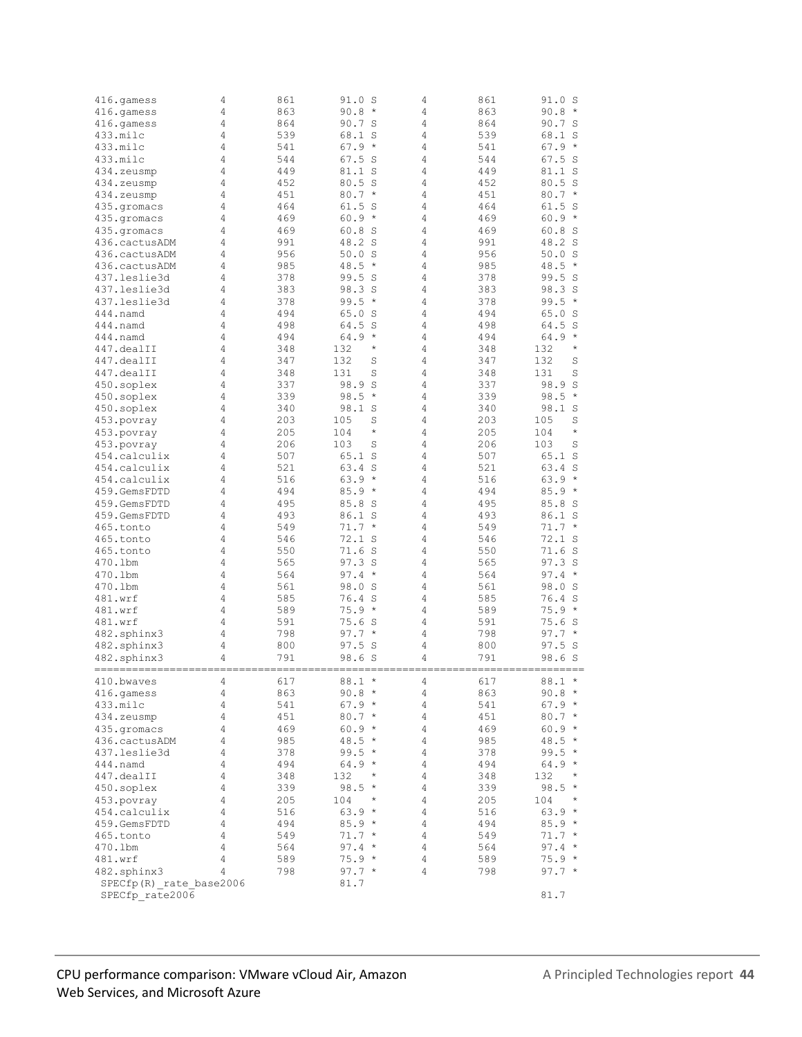| 416.gamess              | 4              | 861 | 91.0 S               | 4              | 861 | 91.0 S               |
|-------------------------|----------------|-----|----------------------|----------------|-----|----------------------|
| 416.qamess              | 4              | 863 | $90.8 *$             | 4              | 863 | 90.8<br>$\star$      |
| 416.qamess              | 4              | 864 | 90.7 S               | 4              | 864 | 90.7 S               |
| 433.milc                | 4              | 539 | 68.1 S               | 4              | 539 | 68.1<br>S            |
| 433.milc                | 4              | 541 | $67.9*$              | 4              | 541 | 67.9<br>$\star$      |
| 433.milc                | 4              | 544 | 67.5S                | 4              | 544 | 67.5<br>S            |
|                         | 4              | 449 | 81.1 S               | 4              | 449 | 81.1 S               |
| 434.zeusmp              |                |     |                      |                |     |                      |
| 434.zeusmp              | 4              | 452 | 80.5 S               | 4              | 452 | 80.5<br><sub>S</sub> |
| 434.zeusmp              | 4              | 451 | $80.7*$              | 4              | 451 | 80.7<br>$\star$      |
| 435.qromacs             | 4              | 464 | 61.5S                | 4              | 464 | 61.5<br>S            |
| 435.gromacs             | 4              | 469 | $60.9 *$             | 4              | 469 | 60.9<br>$\star$      |
| 435.gromacs             | 4              | 469 | 60.8 S               | 4              | 469 | 60.8<br>S            |
| 436.cactusADM           | 4              | 991 | 48.2 S               | 4              | 991 | 48.2<br><sub>S</sub> |
| 436.cactusADM           | 4              | 956 | 50.0<br>- S          | 4              | 956 | 50.0<br>S            |
| 436.cactusADM           | 4              | 985 | 48.5<br>$\star$      | 4              | 985 | 48.5<br>$\star$      |
| 437.leslie3d            | 4              | 378 | 99.5 S               | 4              | 378 | 99.5<br>S            |
| 437.leslie3d            | 4              | 383 | 98.3 S               | 4              | 383 | 98.3<br>S            |
| 437.leslie3d            | 4              | 378 | 99.5<br>$\star$      | 4              | 378 | 99.5<br>$\star$      |
| 444.namd                | 4              | 494 | 65.0S                | 4              | 494 | 65.0<br>S            |
|                         | 4              | 498 | 64.5<br><sub>S</sub> | 4              | 498 | 64.5<br>S            |
| 444.namd                |                |     |                      |                |     | $\star$              |
| 444.namd                | 4              | 494 | 64.9<br>$\star$      | 4              | 494 | 64.9                 |
| 447.dealII              | 4              | 348 | $\star$<br>132       | 4              | 348 | $\star$<br>132       |
| 447.dealII              | 4              | 347 | 132<br>S             | $\overline{4}$ | 347 | 132<br>S             |
| 447.dealII              | 4              | 348 | 131<br>S             | 4              | 348 | 131<br>S             |
| 450.soplex              | 4              | 337 | 98.9<br>S            | 4              | 337 | 98.9<br>S            |
| 450.soplex              | 4              | 339 | 98.5<br>$\star$      | 4              | 339 | 98.5<br>$\star$      |
| 450.soplex              | 4              | 340 | 98.1 S               | 4              | 340 | 98.1<br>S            |
| 453.povray              | 4              | 203 | 105<br>S             | 4              | 203 | 105<br>S             |
| 453.povray              | 4              | 205 | 104<br>$^{\star}$    | 4              | 205 | $\star$<br>104       |
| 453.povray              | 4              | 206 | 103<br>S             | 4              | 206 | 103<br>S             |
| 454.calculix            | 4              | 507 | 65.1 S               | 4              | 507 | 65.1<br>S            |
| 454.calculix            | 4              | 521 | 63.4 S               | 4              | 521 | 63.4<br>S            |
|                         |                |     |                      |                |     |                      |
| 454.calculix            | 4              | 516 | 63.9<br>$\star$      | 4              | 516 | 63.9<br>$\star$      |
| 459.GemsFDTD            | 4              | 494 | $85.9*$              | 4              | 494 | 85.9<br>$\star$      |
| 459.GemsFDTD            | 4              | 495 | 85.8 S               | 4              | 495 | 85.8<br>- S          |
| 459.GemsFDTD            | 4              | 493 | 86.1 S               | 4              | 493 | 86.1 S               |
| 465.tonto               | 4              | 549 | $71.7 *$             | 4              | 549 | 71.7<br>$\star$      |
| 465.tonto               | 4              | 546 | $72.1$ S             | 4              | 546 | 72.1 S               |
| 465.tonto               | 4              | 550 | 71.6S                | 4              | 550 | 71.6<br>- S          |
| 470.1bm                 | 4              | 565 | 97.3 S               | 4              | 565 | 97.3 S               |
| 470.1bm                 | 4              | 564 | $97.4 *$             | 4              | 564 | 97.4<br>$\star$      |
| 470.1bm                 | 4              | 561 | 98.0 S               | 4              | 561 | 98.0<br><sub>S</sub> |
| 481.wrf                 | 4              | 585 | 76.4 S               | 4              | 585 | 76.4<br><sub>S</sub> |
| 481.wrf                 | 4              | 589 | 75.9<br>$\star$      | 4              | 589 | 75.9<br>$\star$      |
| 481.wrf                 | 4              | 591 | 75.6S                | 4              | 591 | 75.6<br>-S           |
| 482.sphinx3             | 4              | 798 | 97.7<br>$\star$      | 4              | 798 | 97.7<br>$\star$      |
| 482.sphinx3             |                |     |                      |                | 800 |                      |
|                         | 4              | 800 | 97.5<br>S            | 4              |     | 97.5<br>-S           |
| 482.sphinx3             | 4              | 791 | 98.6 S               | 4              | 791 | 98.6 S               |
|                         |                |     |                      |                |     |                      |
| 410.bwaves              | 4              | 617 | $88.1*$              | 4              | 617 | $88.1 *$             |
| 416.gamess              | 4              | 863 | $90.8 *$             | 4              | 863 | $90.8 *$             |
| 433.milc                | 4              | 541 | $67.9*$              | 4              | 541 | $67.9*$              |
| 434.zeusmp              | 4              | 451 | $80.7*$              | 4              | 451 | $80.7*$              |
| 435.gromacs             | 4              | 469 | $60.9 *$             | 4              | 469 | $60.9 *$             |
| 436.cactusADM           | 4              | 985 | $48.5 *$             | 4              | 985 | $48.5 *$             |
| 437.leslie3d            | 4              | 378 | $99.5*$              | 4              | 378 | $99.5*$              |
| 444.namd                | 4              | 494 | 64.9 *               | 4              | 494 | 64.9<br>$\star$      |
| 447.dealII              | 4              | 348 | 132<br>$^{\star}$    | 4              | 348 | 132<br>$\star$       |
| 450.soplex              | 4              | 339 | 98.5 *               | 4              | 339 | 98.5<br>$\star$      |
| 453.povray              | 4              | 205 | 104<br>$\star$       | 4              | 205 | 104<br>$\star$       |
| 454.calculix            | 4              | 516 | 63.9 *               | 4              | 516 | 63.9<br>$\star$      |
| 459.GemsFDTD            | 4              | 494 | $85.9*$              | 4              | 494 | $85.9*$              |
| 465.tonto               | 4              | 549 | $71.7 *$             | 4              | 549 | $71.7 *$             |
|                         | $\overline{4}$ |     |                      | 4              |     | $\star$              |
| 470.1bm                 |                | 564 | $97.4 *$             |                | 564 | 97.4                 |
| 481.wrf                 | $\overline{4}$ | 589 | $75.9*$              | 4              | 589 | $75.9*$              |
| 482.sphinx3             | 4              | 798 | 97.7 $*$             | 4              | 798 | $97.7 *$             |
| SPECfp(R) rate base2006 |                |     | 81.7                 |                |     |                      |
| SPECfp rate2006         |                |     |                      |                |     | 81.7                 |